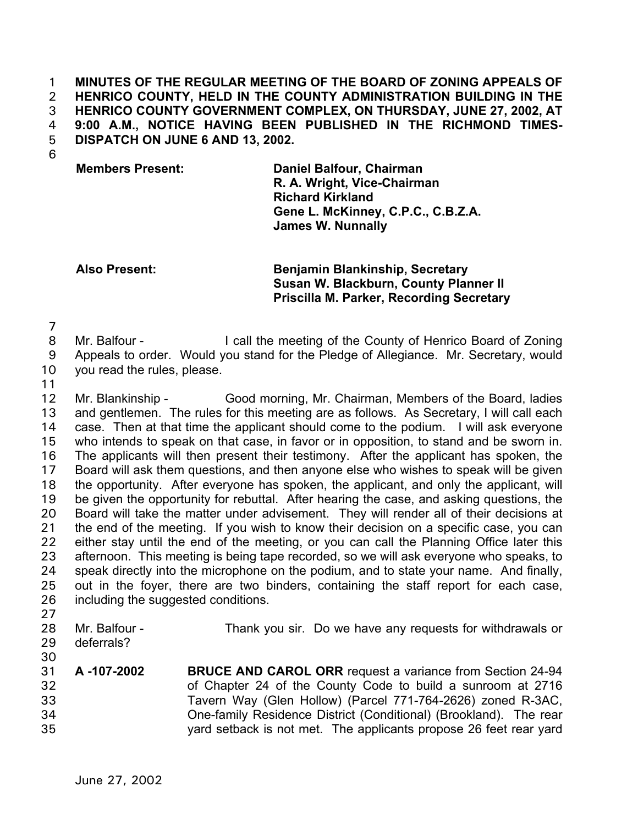**MINUTES OF THE REGULAR MEETING OF THE BOARD OF ZONING APPEALS OF HENRICO COUNTY, HELD IN THE COUNTY ADMINISTRATION BUILDING IN THE HENRICO COUNTY GOVERNMENT COMPLEX, ON THURSDAY, JUNE 27, 2002, AT 9:00 A.M., NOTICE HAVING BEEN PUBLISHED IN THE RICHMOND TIMES-DISPATCH ON JUNE 6 AND 13, 2002.**  1 2 3 4 5

6

**Members Present: Daniel Balfour, Chairman R. A. Wright, Vice-Chairman Richard Kirkland Gene L. McKinney, C.P.C., C.B.Z.A. James W. Nunnally**

## **Also Present: Benjamin Blankinship, Secretary Susan W. Blackburn, County Planner II Priscilla M. Parker, Recording Secretary**

7

8 9 Mr. Balfour - I call the meeting of the County of Henrico Board of Zoning Appeals to order. Would you stand for the Pledge of Allegiance. Mr. Secretary, would

- 10 you read the rules, please.
- 11

12 13 14 15 16 17 18 19 20 21 22 23 24 25 26 Mr. Blankinship - Good morning, Mr. Chairman, Members of the Board, ladies and gentlemen. The rules for this meeting are as follows. As Secretary, I will call each case. Then at that time the applicant should come to the podium. I will ask everyone who intends to speak on that case, in favor or in opposition, to stand and be sworn in. The applicants will then present their testimony. After the applicant has spoken, the Board will ask them questions, and then anyone else who wishes to speak will be given the opportunity. After everyone has spoken, the applicant, and only the applicant, will be given the opportunity for rebuttal. After hearing the case, and asking questions, the Board will take the matter under advisement. They will render all of their decisions at the end of the meeting. If you wish to know their decision on a specific case, you can either stay until the end of the meeting, or you can call the Planning Office later this afternoon. This meeting is being tape recorded, so we will ask everyone who speaks, to speak directly into the microphone on the podium, and to state your name. And finally, out in the foyer, there are two binders, containing the staff report for each case, including the suggested conditions.

- 27
- 28 Mr. Balfour - Thank you sir. Do we have any requests for withdrawals or
- 29 deferrals?
- 30 31

- **A -107-2002 BRUCE AND CAROL ORR** request a variance from Section 24-94 of Chapter 24 of the County Code to build a sunroom at 2716 Tavern Way (Glen Hollow) (Parcel 771-764-2626) zoned R-3AC, One-family Residence District (Conditional) (Brookland). The rear
	- yard setback is not met. The applicants propose 26 feet rear yard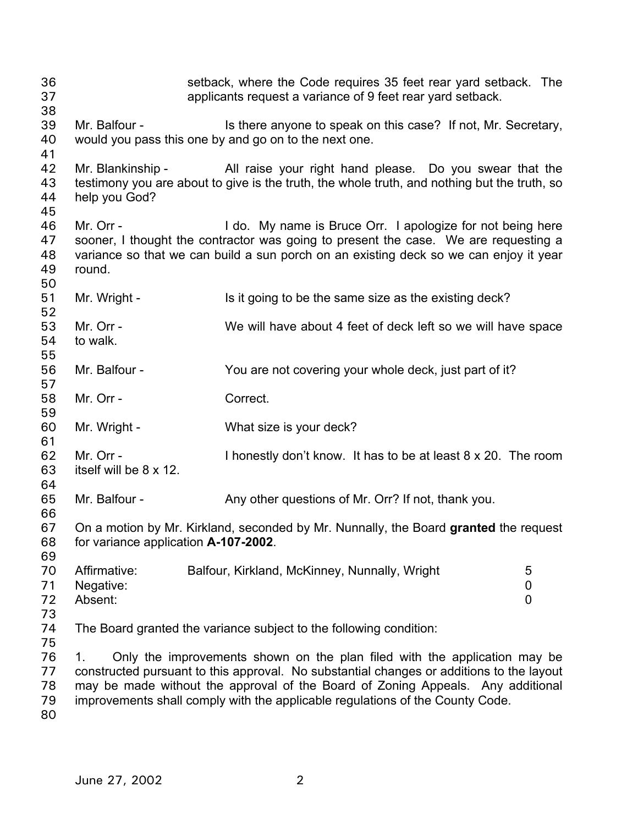setback, where the Code requires 35 feet rear yard setback. The applicants request a variance of 9 feet rear yard setback. 36 37 38 39 40 41 42 43 44 45 46 47 48 49 50 51 52 53 54 55 56 57 58 59 60 61 62 63 64 65 66 67 68 69 70 71 72 73 74 75 76 77 78 79 80 Mr. Balfour - Is there anyone to speak on this case? If not, Mr. Secretary, would you pass this one by and go on to the next one. Mr. Blankinship - All raise your right hand please. Do you swear that the testimony you are about to give is the truth, the whole truth, and nothing but the truth, so help you God? Mr. Orr - I do. My name is Bruce Orr. I apologize for not being here sooner, I thought the contractor was going to present the case. We are requesting a variance so that we can build a sun porch on an existing deck so we can enjoy it year round. Mr. Wright - Is it going to be the same size as the existing deck? Mr. Orr - We will have about 4 feet of deck left so we will have space to walk. Mr. Balfour - You are not covering your whole deck, just part of it? Mr. Orr - Correct. Mr. Wright - What size is your deck? Mr. Orr - I honestly don't know. It has to be at least 8 x 20. The room itself will be 8 x 12. Mr. Balfour - Any other questions of Mr. Orr? If not, thank you. On a motion by Mr. Kirkland, seconded by Mr. Nunnally, the Board **granted** the request for variance application **A-107-2002**. Affirmative: Balfour, Kirkland, McKinney, Nunnally, Wright 5 Negative: 0 Absent: 0 The Board granted the variance subject to the following condition: 1. Only the improvements shown on the plan filed with the application may be constructed pursuant to this approval. No substantial changes or additions to the layout may be made without the approval of the Board of Zoning Appeals. Any additional improvements shall comply with the applicable regulations of the County Code.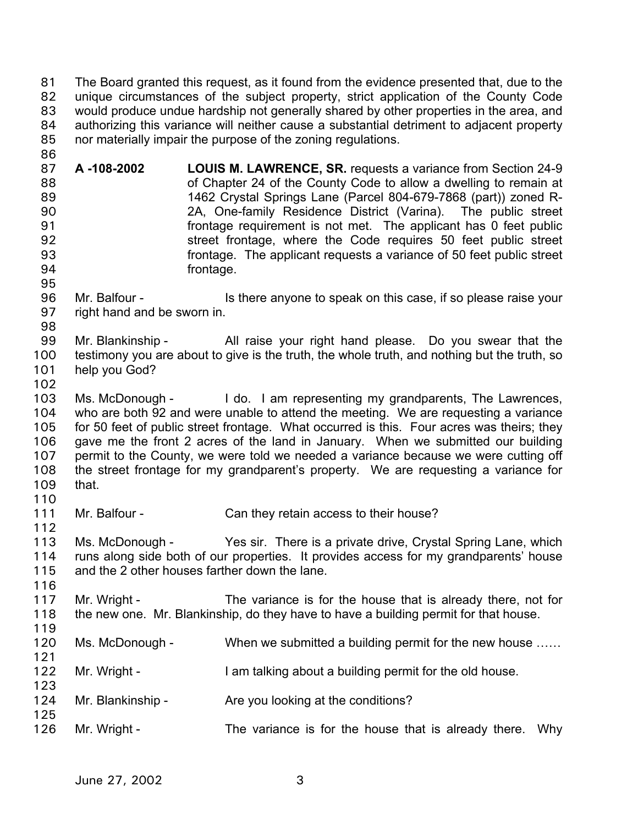The Board granted this request, as it found from the evidence presented that, due to the unique circumstances of the subject property, strict application of the County Code would produce undue hardship not generally shared by other properties in the area, and authorizing this variance will neither cause a substantial detriment to adjacent property nor materially impair the purpose of the zoning regulations. 81 82 83 84 85

87 88 89 90 91 92 93 94 **A -108-2002 LOUIS M. LAWRENCE, SR.** requests a variance from Section 24-9 of Chapter 24 of the County Code to allow a dwelling to remain at 1462 Crystal Springs Lane (Parcel 804-679-7868 (part)) zoned R-2A, One-family Residence District (Varina). The public street frontage requirement is not met. The applicant has 0 feet public street frontage, where the Code requires 50 feet public street frontage. The applicant requests a variance of 50 feet public street frontage.

- 96 97 Mr. Balfour - Is there anyone to speak on this case, if so please raise your right hand and be sworn in.
- 98

95

86

99 100 Mr. Blankinship - All raise your right hand please. Do you swear that the testimony you are about to give is the truth, the whole truth, and nothing but the truth, so

- 101 help you God?
- 102

116

119

121

123

125

103 104 105 106 107 108 109 110 Ms. McDonough - I do. I am representing my grandparents, The Lawrences, who are both 92 and were unable to attend the meeting. We are requesting a variance for 50 feet of public street frontage. What occurred is this. Four acres was theirs; they gave me the front 2 acres of the land in January. When we submitted our building permit to the County, we were told we needed a variance because we were cutting off the street frontage for my grandparent's property. We are requesting a variance for that.

111 112 Mr. Balfour - Can they retain access to their house?

113 114 115 Ms. McDonough - Yes sir. There is a private drive, Crystal Spring Lane, which runs along side both of our properties. It provides access for my grandparents' house and the 2 other houses farther down the lane.

117 118 Mr. Wright - The variance is for the house that is already there, not for the new one. Mr. Blankinship, do they have to have a building permit for that house.

- 120 Ms. McDonough - When we submitted a building permit for the new house ......
- 122 Mr. Wright - The I am talking about a building permit for the old house.
- 124 Mr. Blankinship - Are you looking at the conditions?
- 126 Mr. Wright - The variance is for the house that is already there. Why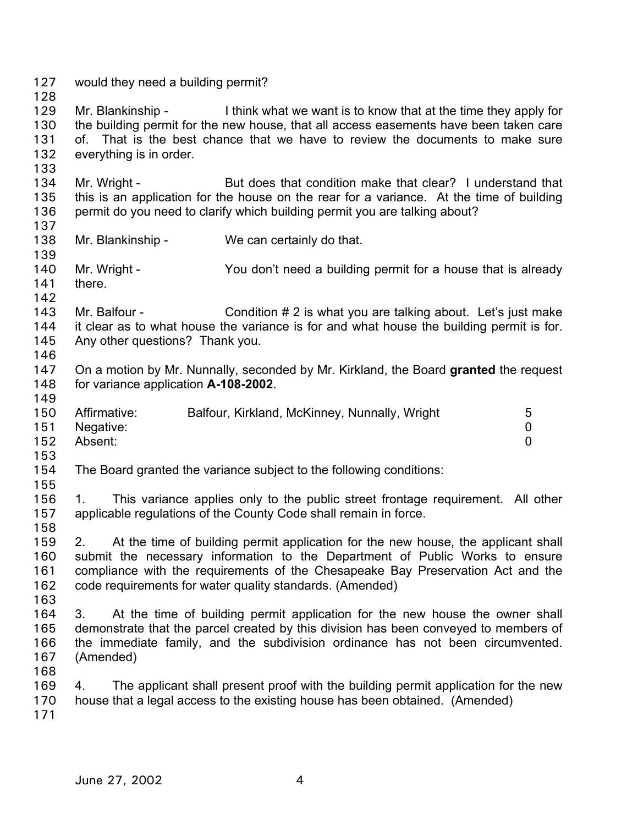127 would they need a building permit? 128 129 130 131 132 133 134 135 136 137 138 139 140 141 142 143 144 145 146 147 148 149 150 151 152 153 154 155 156 157 158 159 160 161 162 163 164 165 166 167 168 169 170 171 Mr. Blankinship - I think what we want is to know that at the time they apply for the building permit for the new house, that all access easements have been taken care of. That is the best chance that we have to review the documents to make sure everything is in order. Mr. Wright - But does that condition make that clear? I understand that this is an application for the house on the rear for a variance. At the time of building permit do you need to clarify which building permit you are talking about? Mr. Blankinship - We can certainly do that. Mr. Wright - You don't need a building permit for a house that is already there. Mr. Balfour - Condition # 2 is what you are talking about. Let's just make it clear as to what house the variance is for and what house the building permit is for. Any other questions? Thank you. On a motion by Mr. Nunnally, seconded by Mr. Kirkland, the Board **granted** the request for variance application **A-108-2002**. Affirmative: Balfour, Kirkland, McKinney, Nunnally, Wright 5 Negative: 0 Absent: 0 The Board granted the variance subject to the following conditions: 1. This variance applies only to the public street frontage requirement. All other applicable regulations of the County Code shall remain in force. 2. At the time of building permit application for the new house, the applicant shall submit the necessary information to the Department of Public Works to ensure compliance with the requirements of the Chesapeake Bay Preservation Act and the code requirements for water quality standards. (Amended) 3. At the time of building permit application for the new house the owner shall demonstrate that the parcel created by this division has been conveyed to members of the immediate family, and the subdivision ordinance has not been circumvented. (Amended) 4. The applicant shall present proof with the building permit application for the new house that a legal access to the existing house has been obtained. (Amended)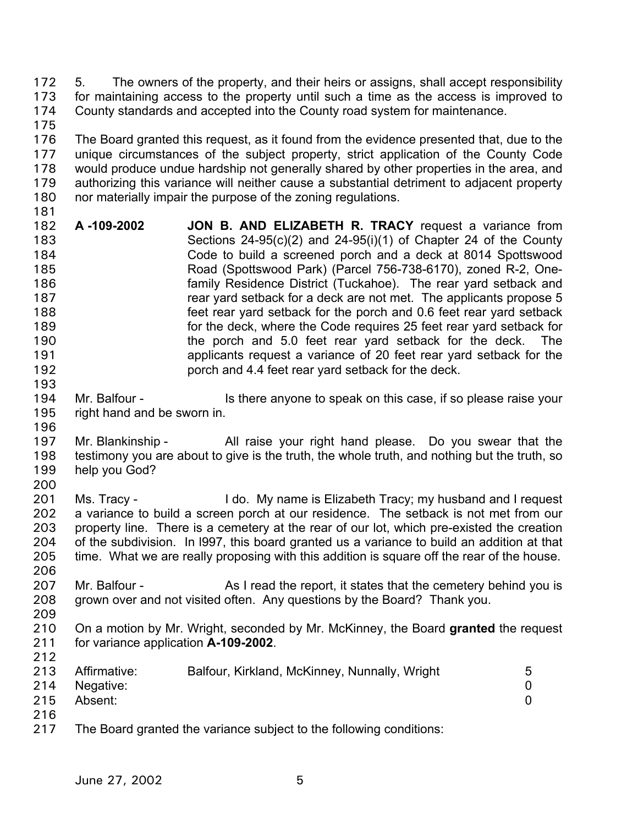5. The owners of the property, and their heirs or assigns, shall accept responsibility for maintaining access to the property until such a time as the access is improved to County standards and accepted into the County road system for maintenance. 172 173 174 175

- 176 177 178 179 180 181 The Board granted this request, as it found from the evidence presented that, due to the unique circumstances of the subject property, strict application of the County Code would produce undue hardship not generally shared by other properties in the area, and authorizing this variance will neither cause a substantial detriment to adjacent property nor materially impair the purpose of the zoning regulations.
- 182 183 184 185 186 187 188 189 190 191 192 **A -109-2002 JON B. AND ELIZABETH R. TRACY** request a variance from Sections 24-95(c)(2) and 24-95(i)(1) of Chapter 24 of the County Code to build a screened porch and a deck at 8014 Spottswood Road (Spottswood Park) (Parcel 756-738-6170), zoned R-2, Onefamily Residence District (Tuckahoe). The rear yard setback and rear yard setback for a deck are not met. The applicants propose 5 feet rear yard setback for the porch and 0.6 feet rear yard setback for the deck, where the Code requires 25 feet rear yard setback for the porch and 5.0 feet rear yard setback for the deck. The applicants request a variance of 20 feet rear yard setback for the porch and 4.4 feet rear yard setback for the deck.
- 194 195 196 Mr. Balfour - Is there anyone to speak on this case, if so please raise your right hand and be sworn in.
- 197 198 199 200 Mr. Blankinship - All raise your right hand please. Do you swear that the testimony you are about to give is the truth, the whole truth, and nothing but the truth, so help you God?
- 201 202 203 204 205 206 Ms. Tracy - I do. My name is Elizabeth Tracy; my husband and I request a variance to build a screen porch at our residence. The setback is not met from our property line. There is a cemetery at the rear of our lot, which pre-existed the creation of the subdivision. In l997, this board granted us a variance to build an addition at that time. What we are really proposing with this addition is square off the rear of the house.
- 207 208 Mr. Balfour - As I read the report, it states that the cemetery behind you is grown over and not visited often. Any questions by the Board? Thank you.
- 209

212

193

210 211 On a motion by Mr. Wright, seconded by Mr. McKinney, the Board **granted** the request for variance application **A-109-2002**.

| 213 | Affirmative:  | Balfour, Kirkland, McKinney, Nunnally, Wright | 5 |
|-----|---------------|-----------------------------------------------|---|
|     | 214 Negative: |                                               |   |
|     | 215 Absent:   |                                               |   |
| 216 |               |                                               |   |

217 The Board granted the variance subject to the following conditions: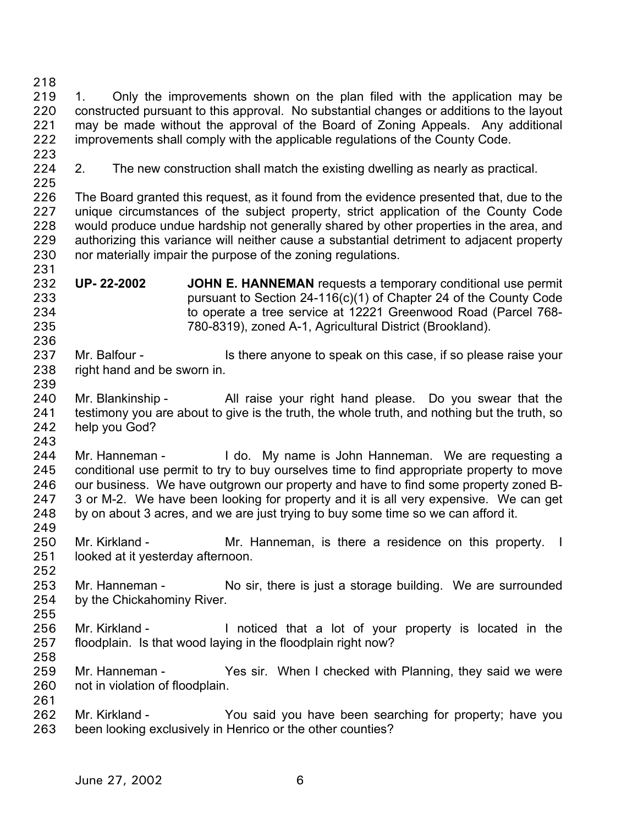218 219 220 221 222 1. Only the improvements shown on the plan filed with the application may be constructed pursuant to this approval. No substantial changes or additions to the layout may be made without the approval of the Board of Zoning Appeals. Any additional improvements shall comply with the applicable regulations of the County Code.

- 223
- 224 225

236

243

2. The new construction shall match the existing dwelling as nearly as practical.

226 227 228 229 230 231 The Board granted this request, as it found from the evidence presented that, due to the unique circumstances of the subject property, strict application of the County Code would produce undue hardship not generally shared by other properties in the area, and authorizing this variance will neither cause a substantial detriment to adjacent property nor materially impair the purpose of the zoning regulations.

- 232 233 234 235 **UP- 22-2002 JOHN E. HANNEMAN** requests a temporary conditional use permit pursuant to Section 24-116(c)(1) of Chapter 24 of the County Code to operate a tree service at 12221 Greenwood Road (Parcel 768- 780-8319), zoned A-1, Agricultural District (Brookland).
- 237 238 239 Mr. Balfour - Is there anyone to speak on this case, if so please raise your right hand and be sworn in.
- 240 241 242 Mr. Blankinship - All raise your right hand please. Do you swear that the testimony you are about to give is the truth, the whole truth, and nothing but the truth, so help you God?
- 244 245 246 247 248 249 Mr. Hanneman - I do. My name is John Hanneman. We are requesting a conditional use permit to try to buy ourselves time to find appropriate property to move our business. We have outgrown our property and have to find some property zoned B-3 or M-2. We have been looking for property and it is all very expensive. We can get by on about 3 acres, and we are just trying to buy some time so we can afford it.
- 250 251 Mr. Kirkland - The Mr. Hanneman, is there a residence on this property. I looked at it yesterday afternoon.
- 252
- 253 254 Mr. Hanneman - No sir, there is just a storage building. We are surrounded by the Chickahominy River.
- 255 256 257 Mr. Kirkland - Inoticed that a lot of your property is located in the floodplain. Is that wood laying in the floodplain right now?
- 258 259

261

- 260 Mr. Hanneman - Yes sir. When I checked with Planning, they said we were not in violation of floodplain.
- 262 263 Mr. Kirkland - You said you have been searching for property; have you been looking exclusively in Henrico or the other counties?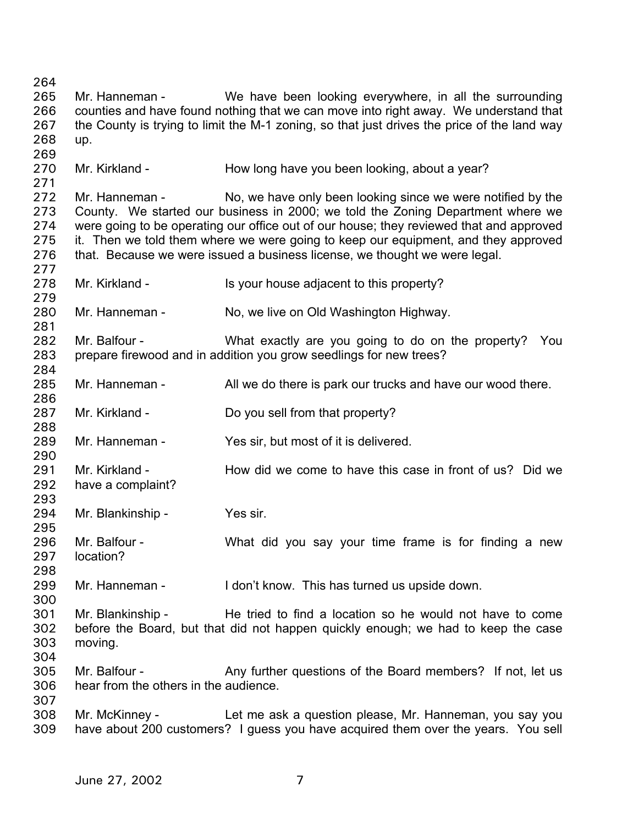264 265 266 267 268 269 270 271 272 273 274 275 276 277 278 279 280 281 282 283 284 285 286 287 288 289 290 291 292 293 294 295 296 297 298 299 300 301 302 303 304 305 306 307 308 309 Mr. Hanneman - We have been looking everywhere, in all the surrounding counties and have found nothing that we can move into right away. We understand that the County is trying to limit the M-1 zoning, so that just drives the price of the land way up. Mr. Kirkland - How long have you been looking, about a year? Mr. Hanneman - No, we have only been looking since we were notified by the County. We started our business in 2000; we told the Zoning Department where we were going to be operating our office out of our house; they reviewed that and approved it. Then we told them where we were going to keep our equipment, and they approved that. Because we were issued a business license, we thought we were legal. Mr. Kirkland - Is your house adjacent to this property? Mr. Hanneman - No, we live on Old Washington Highway. Mr. Balfour - What exactly are you going to do on the property? You prepare firewood and in addition you grow seedlings for new trees? Mr. Hanneman - All we do there is park our trucks and have our wood there. Mr. Kirkland - Do you sell from that property? Mr. Hanneman - Yes sir, but most of it is delivered. Mr. Kirkland - How did we come to have this case in front of us? Did we have a complaint? Mr. Blankinship - Yes sir. Mr. Balfour - The Must did you say your time frame is for finding a new location? Mr. Hanneman - I don't know. This has turned us upside down. Mr. Blankinship - He tried to find a location so he would not have to come before the Board, but that did not happen quickly enough; we had to keep the case moving. Mr. Balfour - Any further questions of the Board members? If not, let us hear from the others in the audience. Mr. McKinney - Let me ask a question please, Mr. Hanneman, you say you have about 200 customers? I guess you have acquired them over the years. You sell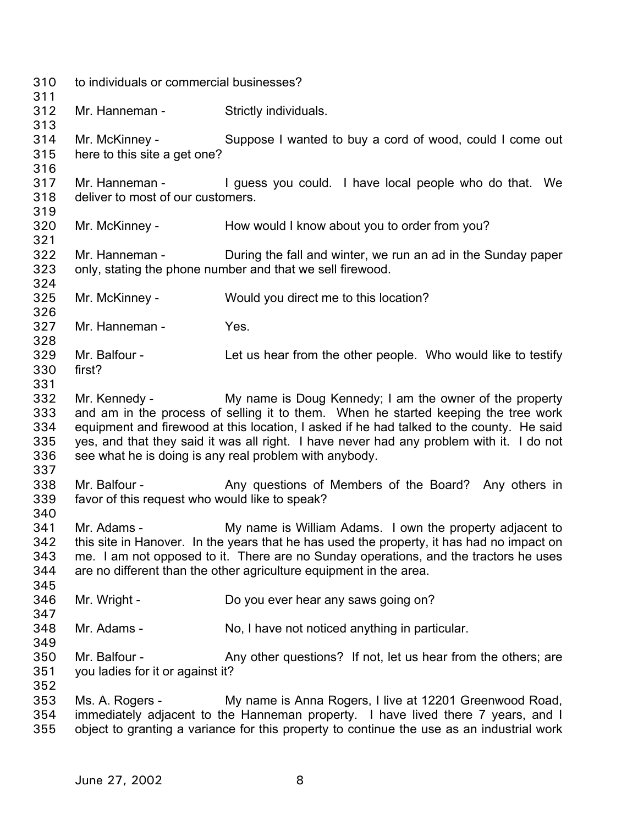| 310<br>311                             | to individuals or commercial businesses?                        |                                                                                                                                                                                                                                                                                                                                                                                                               |  |
|----------------------------------------|-----------------------------------------------------------------|---------------------------------------------------------------------------------------------------------------------------------------------------------------------------------------------------------------------------------------------------------------------------------------------------------------------------------------------------------------------------------------------------------------|--|
| 312<br>313                             | Mr. Hanneman -                                                  | Strictly individuals.                                                                                                                                                                                                                                                                                                                                                                                         |  |
| 314<br>315<br>316                      | Mr. McKinney -<br>here to this site a get one?                  | Suppose I wanted to buy a cord of wood, could I come out                                                                                                                                                                                                                                                                                                                                                      |  |
| 317<br>318<br>319                      | deliver to most of our customers.                               | Mr. Hanneman - T guess you could. I have local people who do that. We                                                                                                                                                                                                                                                                                                                                         |  |
| 320<br>321                             |                                                                 | Mr. McKinney - How would I know about you to order from you?                                                                                                                                                                                                                                                                                                                                                  |  |
| 322<br>323                             |                                                                 | Mr. Hanneman - During the fall and winter, we run an ad in the Sunday paper<br>only, stating the phone number and that we sell firewood.                                                                                                                                                                                                                                                                      |  |
| 324<br>325<br>326                      | Mr. McKinney -                                                  | Would you direct me to this location?                                                                                                                                                                                                                                                                                                                                                                         |  |
| 327<br>328                             | Mr. Hanneman -                                                  | Yes.                                                                                                                                                                                                                                                                                                                                                                                                          |  |
| 329<br>330<br>331                      | Mr. Balfour -<br>first?                                         | Let us hear from the other people. Who would like to testify                                                                                                                                                                                                                                                                                                                                                  |  |
| 332<br>333<br>334<br>335<br>336<br>337 |                                                                 | Mr. Kennedy - My name is Doug Kennedy; I am the owner of the property<br>and am in the process of selling it to them. When he started keeping the tree work<br>equipment and firewood at this location, I asked if he had talked to the county. He said<br>yes, and that they said it was all right. I have never had any problem with it. I do not<br>see what he is doing is any real problem with anybody. |  |
| 338<br>339                             | Mr. Balfour -<br>favor of this request who would like to speak? | Any questions of Members of the Board? Any others in                                                                                                                                                                                                                                                                                                                                                          |  |
| 340<br>341<br>342<br>343<br>344<br>345 | Mr. Adams -                                                     | My name is William Adams. I own the property adjacent to<br>this site in Hanover. In the years that he has used the property, it has had no impact on<br>me. I am not opposed to it. There are no Sunday operations, and the tractors he uses<br>are no different than the other agriculture equipment in the area.                                                                                           |  |
| 346<br>347                             | Mr. Wright -                                                    | Do you ever hear any saws going on?                                                                                                                                                                                                                                                                                                                                                                           |  |
| 348<br>349                             | Mr. Adams -                                                     | No, I have not noticed anything in particular.                                                                                                                                                                                                                                                                                                                                                                |  |
| 350<br>351<br>352                      | Mr. Balfour -<br>you ladies for it or against it?               | Any other questions? If not, let us hear from the others; are                                                                                                                                                                                                                                                                                                                                                 |  |
| 353<br>354<br>355                      | Ms. A. Rogers -                                                 | My name is Anna Rogers, I live at 12201 Greenwood Road,<br>immediately adjacent to the Hanneman property. I have lived there 7 years, and I<br>object to granting a variance for this property to continue the use as an industrial work                                                                                                                                                                      |  |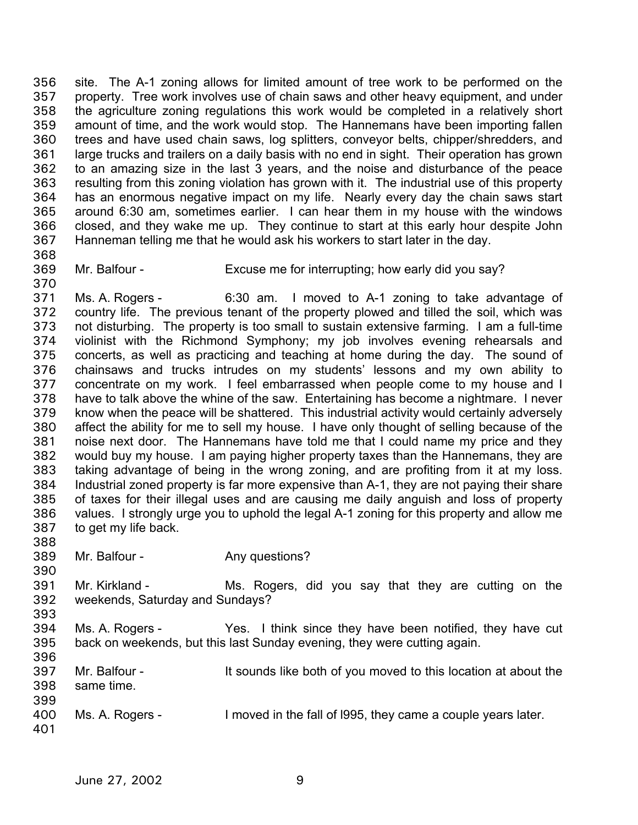site. The A-1 zoning allows for limited amount of tree work to be performed on the property. Tree work involves use of chain saws and other heavy equipment, and under the agriculture zoning regulations this work would be completed in a relatively short amount of time, and the work would stop. The Hannemans have been importing fallen trees and have used chain saws, log splitters, conveyor belts, chipper/shredders, and large trucks and trailers on a daily basis with no end in sight. Their operation has grown to an amazing size in the last 3 years, and the noise and disturbance of the peace resulting from this zoning violation has grown with it. The industrial use of this property has an enormous negative impact on my life. Nearly every day the chain saws start around 6:30 am, sometimes earlier. I can hear them in my house with the windows closed, and they wake me up. They continue to start at this early hour despite John Hanneman telling me that he would ask his workers to start later in the day. 356 357 358 359 360 361 362 363 364 365 366 367

368

370

- 369
- Mr. Balfour Excuse me for interrupting; how early did you say?

371 372 373 374 375 376 377 378 379 380 381 382 383 384 385 386 387 Ms. A. Rogers - 6:30 am. I moved to A-1 zoning to take advantage of country life. The previous tenant of the property plowed and tilled the soil, which was not disturbing. The property is too small to sustain extensive farming. I am a full-time violinist with the Richmond Symphony; my job involves evening rehearsals and concerts, as well as practicing and teaching at home during the day. The sound of chainsaws and trucks intrudes on my students' lessons and my own ability to concentrate on my work. I feel embarrassed when people come to my house and I have to talk above the whine of the saw. Entertaining has become a nightmare. I never know when the peace will be shattered. This industrial activity would certainly adversely affect the ability for me to sell my house. I have only thought of selling because of the noise next door. The Hannemans have told me that I could name my price and they would buy my house. I am paying higher property taxes than the Hannemans, they are taking advantage of being in the wrong zoning, and are profiting from it at my loss. Industrial zoned property is far more expensive than A-1, they are not paying their share of taxes for their illegal uses and are causing me daily anguish and loss of property values. I strongly urge you to uphold the legal A-1 zoning for this property and allow me to get my life back.

- 388
- 389 390 Mr. Balfour - Any questions?
- 391 392 393 Mr. Kirkland - The Ms. Rogers, did you say that they are cutting on the weekends, Saturday and Sundays?
- 394 395 Ms. A. Rogers - Yes. I think since they have been notified, they have cut back on weekends, but this last Sunday evening, they were cutting again.
- 396 397 398 399 Mr. Balfour - It sounds like both of you moved to this location at about the same time.
- 400 401 Ms. A. Rogers - I moved in the fall of 1995, they came a couple years later.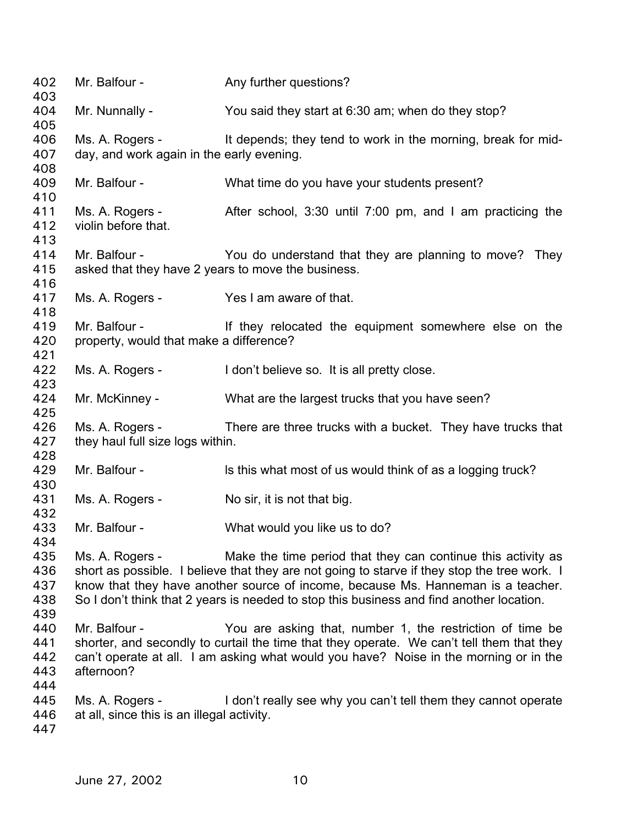402 Mr. Balfour - Any further questions? 403 404 405 406 407 408 409 410 411 412 413 414 415 416 417 418 419 420 421 422 423 424 425 426 427 428 429 430 431 432 433 434 435 436 437 438 439 440 441 442 443 444 445 446 447 Mr. Nunnally - You said they start at 6:30 am; when do they stop? Ms. A. Rogers - It depends; they tend to work in the morning, break for midday, and work again in the early evening. Mr. Balfour - What time do you have your students present? Ms. A. Rogers - After school, 3:30 until 7:00 pm, and I am practicing the violin before that. Mr. Balfour - They You do understand that they are planning to move? They asked that they have 2 years to move the business. Ms. A. Rogers - Yes I am aware of that. Mr. Balfour - The Mr. Balfour - The Mr. Balfour - The Intervention of the equipment somewhere else on the property, would that make a difference? Ms. A. Rogers - I don't believe so. It is all pretty close. Mr. McKinney - What are the largest trucks that you have seen? Ms. A. Rogers - There are three trucks with a bucket. They have trucks that they haul full size logs within. Mr. Balfour - ls this what most of us would think of as a logging truck? Ms. A. Rogers - No sir, it is not that big. Mr. Balfour - What would you like us to do? Ms. A. Rogers - Make the time period that they can continue this activity as short as possible. I believe that they are not going to starve if they stop the tree work. I know that they have another source of income, because Ms. Hanneman is a teacher. So I don't think that 2 years is needed to stop this business and find another location. Mr. Balfour - You are asking that, number 1, the restriction of time be shorter, and secondly to curtail the time that they operate. We can't tell them that they can't operate at all. I am asking what would you have? Noise in the morning or in the afternoon? Ms. A. Rogers - I don't really see why you can't tell them they cannot operate at all, since this is an illegal activity.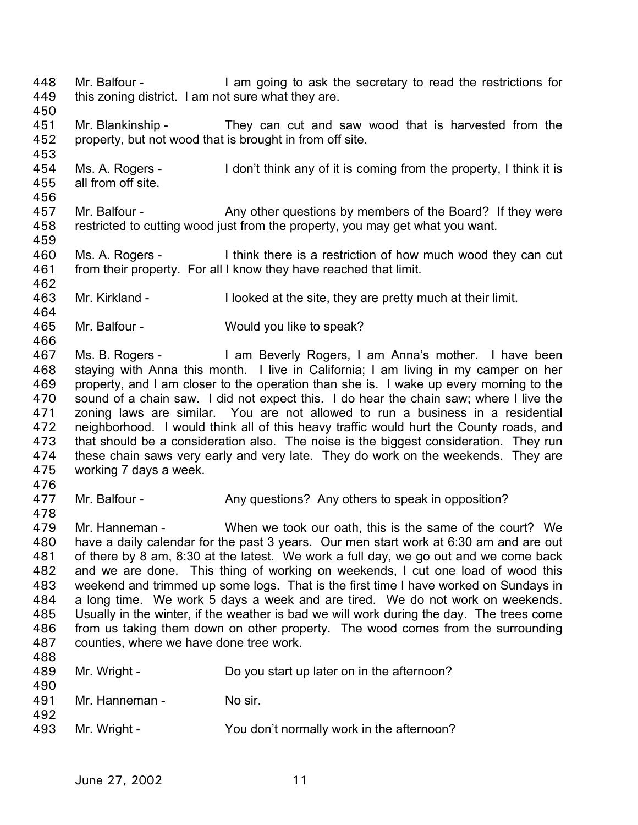Mr. Balfour - I am going to ask the secretary to read the restrictions for this zoning district. I am not sure what they are. 448 449 450 451 452 453 454 455 456 457 458 459 460 461 462 463 464 465 466 467 468 469 470 471 472 473 474 475 476 477 478 479 480 481 482 483 484 485 486 487 488 489 490 491 492 493 Mr. Blankinship - They can cut and saw wood that is harvested from the property, but not wood that is brought in from off site. Ms. A. Rogers - I don't think any of it is coming from the property, I think it is all from off site. Mr. Balfour - Any other questions by members of the Board? If they were restricted to cutting wood just from the property, you may get what you want. Ms. A. Rogers - I think there is a restriction of how much wood they can cut from their property. For all I know they have reached that limit. Mr. Kirkland - I looked at the site, they are pretty much at their limit. Mr. Balfour - Would you like to speak? Ms. B. Rogers - I am Beverly Rogers, I am Anna's mother. I have been staying with Anna this month. I live in California; I am living in my camper on her property, and I am closer to the operation than she is. I wake up every morning to the sound of a chain saw. I did not expect this. I do hear the chain saw; where I live the zoning laws are similar. You are not allowed to run a business in a residential neighborhood. I would think all of this heavy traffic would hurt the County roads, and that should be a consideration also. The noise is the biggest consideration. They run these chain saws very early and very late. They do work on the weekends. They are working 7 days a week. Mr. Balfour - Any questions? Any others to speak in opposition? Mr. Hanneman - When we took our oath, this is the same of the court? We have a daily calendar for the past 3 years. Our men start work at 6:30 am and are out of there by 8 am, 8:30 at the latest. We work a full day, we go out and we come back and we are done. This thing of working on weekends, I cut one load of wood this weekend and trimmed up some logs. That is the first time I have worked on Sundays in a long time. We work 5 days a week and are tired. We do not work on weekends. Usually in the winter, if the weather is bad we will work during the day. The trees come from us taking them down on other property. The wood comes from the surrounding counties, where we have done tree work. Mr. Wright - Do you start up later on in the afternoon? Mr. Hanneman - No sir. Mr. Wright - You don't normally work in the afternoon?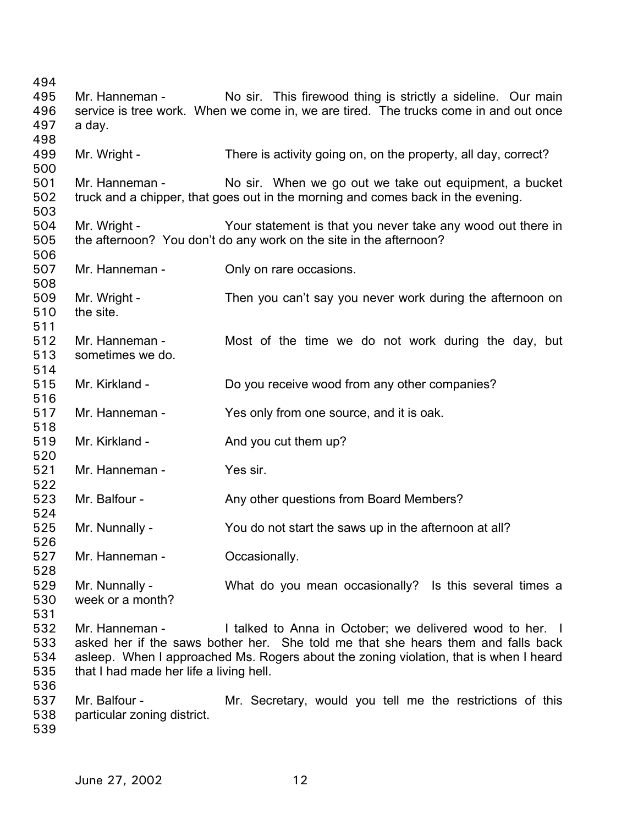Mr. Hanneman - No sir. This firewood thing is strictly a sideline. Our main service is tree work. When we come in, we are tired. The trucks come in and out once a day. Mr. Wright - There is activity going on, on the property, all day, correct? Mr. Hanneman - No sir. When we go out we take out equipment, a bucket truck and a chipper, that goes out in the morning and comes back in the evening. Mr. Wright - Your statement is that you never take any wood out there in the afternoon? You don't do any work on the site in the afternoon? Mr. Hanneman - Conly on rare occasions. Mr. Wright - Then you can't say you never work during the afternoon on the site. Mr. Hanneman - Most of the time we do not work during the day, but sometimes we do. Mr. Kirkland - Do you receive wood from any other companies? Mr. Hanneman - Yes only from one source, and it is oak. Mr. Kirkland - And you cut them up? Mr. Hanneman - Yes sir. Mr. Balfour - Any other questions from Board Members? Mr. Nunnally - You do not start the saws up in the afternoon at all? Mr. Hanneman - **Containers** Occasionally. Mr. Nunnally - What do you mean occasionally? Is this several times a week or a month? Mr. Hanneman - Talked to Anna in October: we delivered wood to her. I asked her if the saws bother her. She told me that she hears them and falls back asleep. When I approached Ms. Rogers about the zoning violation, that is when I heard that I had made her life a living hell. Mr. Balfour - The Mr. Secretary, would you tell me the restrictions of this particular zoning district.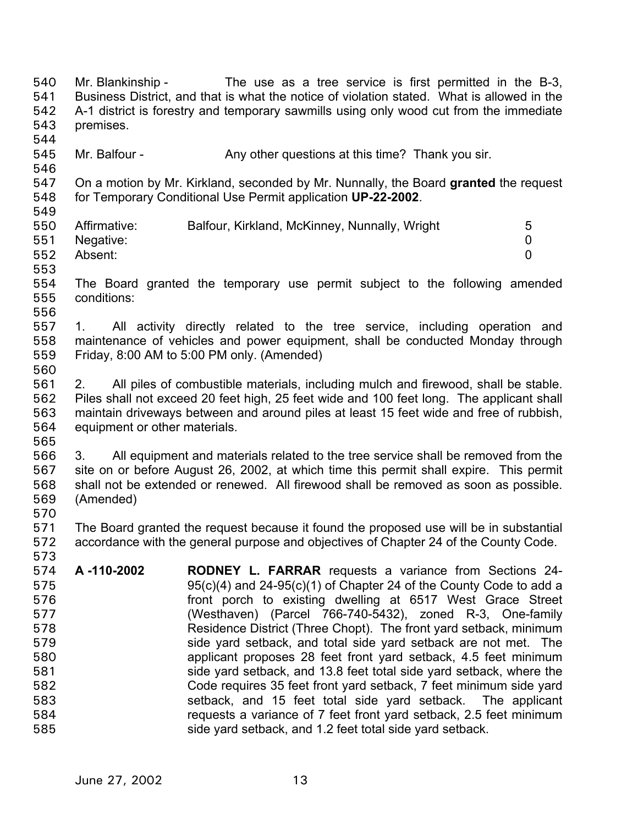Mr. Blankinship - The use as a tree service is first permitted in the B-3, Business District, and that is what the notice of violation stated. What is allowed in the A-1 district is forestry and temporary sawmills using only wood cut from the immediate premises. 540 541 542 543 544 545 546 547 548 549 550 551 552 553 554 555 556 557 558 559 560 561 562 563 564 565 566 567 568 569 570 571 572 573 574 575 576 577 578 579 580 581 582 583 584 585 Mr. Balfour - Any other questions at this time? Thank you sir. On a motion by Mr. Kirkland, seconded by Mr. Nunnally, the Board **granted** the request for Temporary Conditional Use Permit application **UP-22-2002**. Affirmative: Balfour, Kirkland, McKinney, Nunnally, Wright 5 Negative: 0 Absent: 0 The Board granted the temporary use permit subject to the following amended conditions: 1. All activity directly related to the tree service, including operation and maintenance of vehicles and power equipment, shall be conducted Monday through Friday, 8:00 AM to 5:00 PM only. (Amended) 2. All piles of combustible materials, including mulch and firewood, shall be stable. Piles shall not exceed 20 feet high, 25 feet wide and 100 feet long. The applicant shall maintain driveways between and around piles at least 15 feet wide and free of rubbish, equipment or other materials. 3. All equipment and materials related to the tree service shall be removed from the site on or before August 26, 2002, at which time this permit shall expire. This permit shall not be extended or renewed. All firewood shall be removed as soon as possible. (Amended) The Board granted the request because it found the proposed use will be in substantial accordance with the general purpose and objectives of Chapter 24 of the County Code. **A -110-2002 RODNEY L. FARRAR** requests a variance from Sections 24- 95(c)(4) and 24-95(c)(1) of Chapter 24 of the County Code to add a front porch to existing dwelling at 6517 West Grace Street (Westhaven) (Parcel 766-740-5432), zoned R-3, One-family Residence District (Three Chopt). The front yard setback, minimum side yard setback, and total side yard setback are not met. The applicant proposes 28 feet front yard setback, 4.5 feet minimum side yard setback, and 13.8 feet total side yard setback, where the Code requires 35 feet front yard setback, 7 feet minimum side yard setback, and 15 feet total side yard setback. The applicant requests a variance of 7 feet front yard setback, 2.5 feet minimum side yard setback, and 1.2 feet total side yard setback.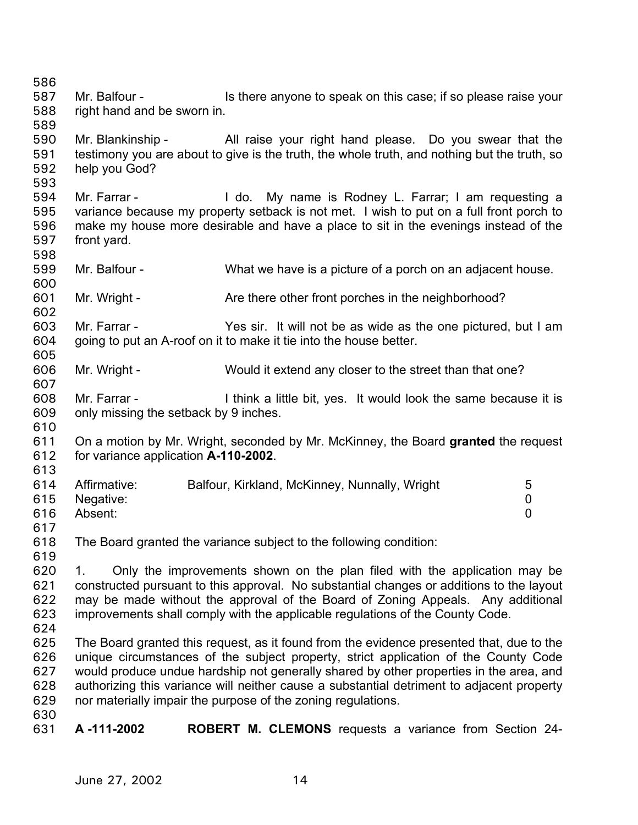587 588 589 590 591 592 593 594 595 596 597 598 599 600 601 602 603 604 605 606 607 608 609 610 611 612 613 614 615 616 617 618 619 620 621 622 623 624 625 626 627 628 629 630 631 Mr. Balfour - Is there anyone to speak on this case; if so please raise your right hand and be sworn in. Mr. Blankinship - All raise your right hand please. Do you swear that the testimony you are about to give is the truth, the whole truth, and nothing but the truth, so help you God? Mr. Farrar - The Co. My name is Rodney L. Farrar; I am requesting a variance because my property setback is not met. I wish to put on a full front porch to make my house more desirable and have a place to sit in the evenings instead of the front yard. Mr. Balfour - What we have is a picture of a porch on an adjacent house. Mr. Wright - Are there other front porches in the neighborhood? Mr. Farrar - Yes sir. It will not be as wide as the one pictured, but I am going to put an A-roof on it to make it tie into the house better. Mr. Wright - Would it extend any closer to the street than that one? Mr. Farrar - Think a little bit, yes. It would look the same because it is only missing the setback by 9 inches. On a motion by Mr. Wright, seconded by Mr. McKinney, the Board **granted** the request for variance application **A-110-2002**. Affirmative: Balfour, Kirkland, McKinney, Nunnally, Wright 5 Negative: 0 Absent: 0 The Board granted the variance subject to the following condition: 1. Only the improvements shown on the plan filed with the application may be constructed pursuant to this approval. No substantial changes or additions to the layout may be made without the approval of the Board of Zoning Appeals. Any additional improvements shall comply with the applicable regulations of the County Code. The Board granted this request, as it found from the evidence presented that, due to the unique circumstances of the subject property, strict application of the County Code would produce undue hardship not generally shared by other properties in the area, and authorizing this variance will neither cause a substantial detriment to adjacent property nor materially impair the purpose of the zoning regulations. **A -111-2002 ROBERT M. CLEMONS** requests a variance from Section 24-

586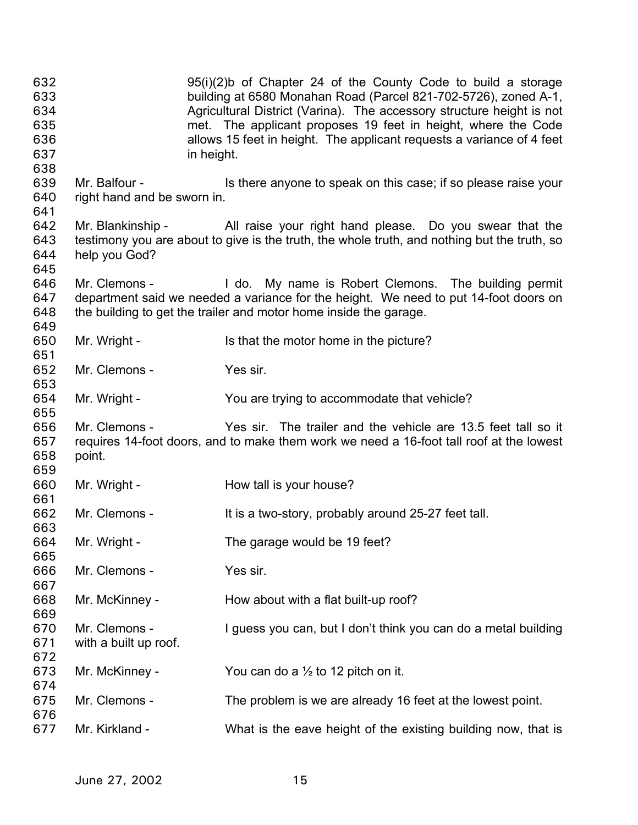| 632<br>633<br>634<br>635<br>636<br>637 |                                              | $95(i)(2)$ b of Chapter 24 of the County Code to build a storage<br>building at 6580 Monahan Road (Parcel 821-702-5726), zoned A-1,<br>Agricultural District (Varina). The accessory structure height is not<br>met. The applicant proposes 19 feet in height, where the Code<br>allows 15 feet in height. The applicant requests a variance of 4 feet<br>in height. |
|----------------------------------------|----------------------------------------------|----------------------------------------------------------------------------------------------------------------------------------------------------------------------------------------------------------------------------------------------------------------------------------------------------------------------------------------------------------------------|
| 638<br>639<br>640                      | Mr. Balfour -<br>right hand and be sworn in. | Is there anyone to speak on this case; if so please raise your                                                                                                                                                                                                                                                                                                       |
| 641<br>642<br>643<br>644<br>645        | help you God?                                | Mr. Blankinship - All raise your right hand please. Do you swear that the<br>testimony you are about to give is the truth, the whole truth, and nothing but the truth, so                                                                                                                                                                                            |
| 646<br>647<br>648<br>649               |                                              | Mr. Clemons - The do. My name is Robert Clemons. The building permit<br>department said we needed a variance for the height. We need to put 14-foot doors on<br>the building to get the trailer and motor home inside the garage.                                                                                                                                    |
| 650<br>651                             | Mr. Wright -                                 | Is that the motor home in the picture?                                                                                                                                                                                                                                                                                                                               |
| 652<br>653                             | Mr. Clemons -                                | Yes sir.                                                                                                                                                                                                                                                                                                                                                             |
| 654<br>655                             | Mr. Wright -                                 | You are trying to accommodate that vehicle?                                                                                                                                                                                                                                                                                                                          |
| 656<br>657<br>658<br>659               | Mr. Clemons -<br>point.                      | Yes sir. The trailer and the vehicle are 13.5 feet tall so it<br>requires 14-foot doors, and to make them work we need a 16-foot tall roof at the lowest                                                                                                                                                                                                             |
| 660<br>661                             | Mr. Wright -                                 | How tall is your house?                                                                                                                                                                                                                                                                                                                                              |
| 662<br>663                             | Mr. Clemons -                                | It is a two-story, probably around 25-27 feet tall.                                                                                                                                                                                                                                                                                                                  |
| 664<br>665                             | Mr. Wright -                                 | The garage would be 19 feet?                                                                                                                                                                                                                                                                                                                                         |
| 666<br>667                             | Mr. Clemons -                                | Yes sir.                                                                                                                                                                                                                                                                                                                                                             |
| 668<br>669                             | Mr. McKinney -                               | How about with a flat built-up roof?                                                                                                                                                                                                                                                                                                                                 |
| 670<br>671<br>672                      | Mr. Clemons -<br>with a built up roof.       | I guess you can, but I don't think you can do a metal building                                                                                                                                                                                                                                                                                                       |
| 673<br>674                             | Mr. McKinney -                               | You can do a $\frac{1}{2}$ to 12 pitch on it.                                                                                                                                                                                                                                                                                                                        |
| 675                                    | Mr. Clemons -                                | The problem is we are already 16 feet at the lowest point.                                                                                                                                                                                                                                                                                                           |
| 676<br>677                             | Mr. Kirkland -                               | What is the eave height of the existing building now, that is                                                                                                                                                                                                                                                                                                        |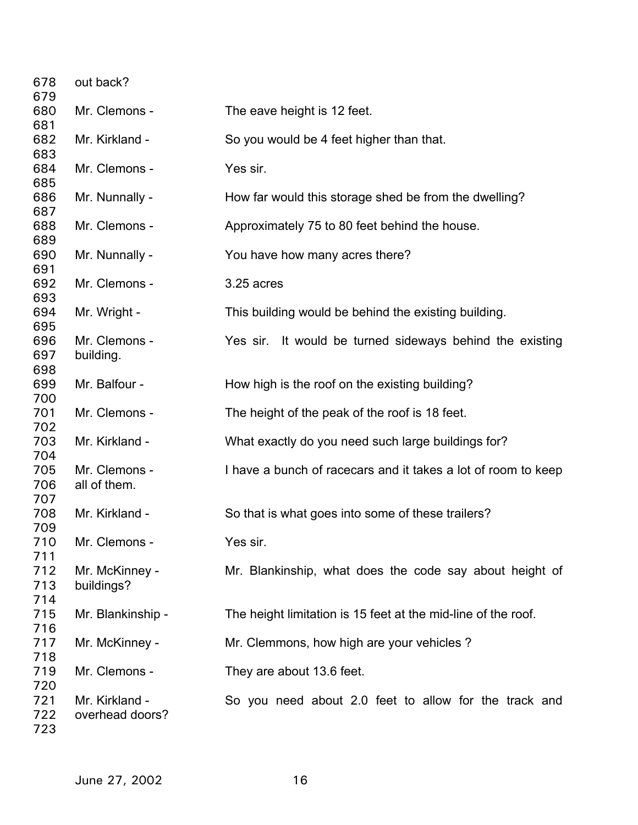| 678        | out back?         |                                                               |
|------------|-------------------|---------------------------------------------------------------|
| 679        |                   |                                                               |
| 680        | Mr. Clemons -     | The eave height is 12 feet.                                   |
| 681        |                   |                                                               |
| 682        | Mr. Kirkland -    | So you would be 4 feet higher than that.                      |
| 683        |                   |                                                               |
| 684        | Mr. Clemons -     | Yes sir.                                                      |
| 685        |                   |                                                               |
| 686        | Mr. Nunnally -    | How far would this storage shed be from the dwelling?         |
| 687        |                   |                                                               |
| 688        | Mr. Clemons -     | Approximately 75 to 80 feet behind the house.                 |
| 689        |                   |                                                               |
| 690        | Mr. Nunnally -    | You have how many acres there?                                |
| 691        |                   |                                                               |
| 692        | Mr. Clemons -     | 3.25 acres                                                    |
| 693        |                   |                                                               |
| 694        | Mr. Wright -      | This building would be behind the existing building.          |
| 695        |                   |                                                               |
| 696        | Mr. Clemons -     | Yes sir. It would be turned sideways behind the existing      |
| 697        |                   |                                                               |
| 698        | building.         |                                                               |
| 699        | Mr. Balfour -     | How high is the roof on the existing building?                |
|            |                   |                                                               |
| 700<br>701 |                   |                                                               |
|            | Mr. Clemons -     | The height of the peak of the roof is 18 feet.                |
| 702        |                   |                                                               |
| 703        | Mr. Kirkland -    | What exactly do you need such large buildings for?            |
| 704        |                   |                                                               |
| 705        | Mr. Clemons -     | I have a bunch of racecars and it takes a lot of room to keep |
| 706        | all of them.      |                                                               |
| 707        |                   |                                                               |
| 708        | Mr. Kirkland -    | So that is what goes into some of these trailers?             |
| 709        |                   |                                                               |
| 710        | Mr. Clemons -     | Yes sir                                                       |
| 711        |                   |                                                               |
| 712        | Mr. McKinney -    | Mr. Blankinship, what does the code say about height of       |
| 713        | buildings?        |                                                               |
| 714        |                   |                                                               |
| 715        | Mr. Blankinship - | The height limitation is 15 feet at the mid-line of the roof. |
| 716        |                   |                                                               |
| 717        | Mr. McKinney -    | Mr. Clemmons, how high are your vehicles?                     |
| 718        |                   |                                                               |
| 719        | Mr. Clemons -     | They are about 13.6 feet.                                     |
| 720        |                   |                                                               |
| 721        | Mr. Kirkland -    | So you need about 2.0 feet to allow for the track and         |
| 722        | overhead doors?   |                                                               |
| 723        |                   |                                                               |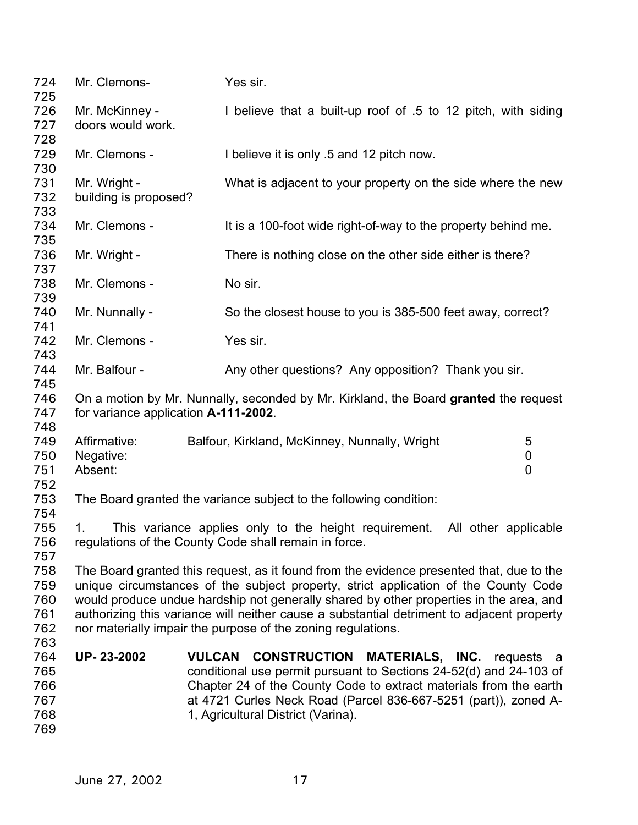| 724<br>725 | Mr. Clemons-                                                                         | Yes sir.                                                                                  |  |
|------------|--------------------------------------------------------------------------------------|-------------------------------------------------------------------------------------------|--|
| 726        | Mr. McKinney -                                                                       | I believe that a built-up roof of .5 to 12 pitch, with siding                             |  |
| 727        | doors would work.                                                                    |                                                                                           |  |
| 728        |                                                                                      |                                                                                           |  |
| 729        | Mr. Clemons -                                                                        | I believe it is only .5 and 12 pitch now.                                                 |  |
| 730        |                                                                                      |                                                                                           |  |
| 731        | Mr. Wright -                                                                         | What is adjacent to your property on the side where the new                               |  |
| 732        | building is proposed?                                                                |                                                                                           |  |
| 733        |                                                                                      |                                                                                           |  |
| 734        | Mr. Clemons -                                                                        | It is a 100-foot wide right-of-way to the property behind me.                             |  |
| 735        |                                                                                      |                                                                                           |  |
| 736        | Mr. Wright -                                                                         | There is nothing close on the other side either is there?                                 |  |
| 737        |                                                                                      |                                                                                           |  |
| 738        | Mr. Clemons -                                                                        | No sir.                                                                                   |  |
| 739        |                                                                                      |                                                                                           |  |
| 740        | Mr. Nunnally -                                                                       | So the closest house to you is 385-500 feet away, correct?                                |  |
| 741        |                                                                                      |                                                                                           |  |
| 742        | Mr. Clemons -                                                                        | Yes sir.                                                                                  |  |
| 743        |                                                                                      |                                                                                           |  |
| 744        | Mr. Balfour -                                                                        | Any other questions? Any opposition? Thank you sir.                                       |  |
| 745        |                                                                                      |                                                                                           |  |
| 746        | On a motion by Mr. Nunnally, seconded by Mr. Kirkland, the Board granted the request |                                                                                           |  |
| 747        | for variance application A-111-2002.                                                 |                                                                                           |  |
| 748        |                                                                                      |                                                                                           |  |
| 749        | Affirmative:                                                                         | 5<br>Balfour, Kirkland, McKinney, Nunnally, Wright                                        |  |
| 750        | Negative:                                                                            | $\mathbf 0$                                                                               |  |
| 751        | Absent:                                                                              | 0                                                                                         |  |
| 752        |                                                                                      |                                                                                           |  |
| 753        |                                                                                      | The Board granted the variance subject to the following condition:                        |  |
| 754        |                                                                                      |                                                                                           |  |
| 755        | 1.                                                                                   | This variance applies only to the height requirement. All other applicable                |  |
| 756        |                                                                                      | regulations of the County Code shall remain in force.                                     |  |
| 757        |                                                                                      |                                                                                           |  |
| 758        |                                                                                      | The Board granted this request, as it found from the evidence presented that, due to the  |  |
| 759        |                                                                                      | unique circumstances of the subject property, strict application of the County Code       |  |
| 760        |                                                                                      | would produce undue hardship not generally shared by other properties in the area, and    |  |
| 761        |                                                                                      | authorizing this variance will neither cause a substantial detriment to adjacent property |  |
| 762        |                                                                                      | nor materially impair the purpose of the zoning regulations.                              |  |
| 763        |                                                                                      |                                                                                           |  |
| 764        | UP-23-2002                                                                           | <b>CONSTRUCTION</b><br><b>VULCAN</b><br>MATERIALS, INC.<br>requests a                     |  |
| 765        |                                                                                      | conditional use permit pursuant to Sections 24-52(d) and 24-103 of                        |  |
| 766        |                                                                                      | Chapter 24 of the County Code to extract materials from the earth                         |  |
| 767        |                                                                                      | at 4721 Curles Neck Road (Parcel 836-667-5251 (part)), zoned A-                           |  |
| 768        |                                                                                      | 1, Agricultural District (Varina).                                                        |  |
| 769        |                                                                                      |                                                                                           |  |
|            |                                                                                      |                                                                                           |  |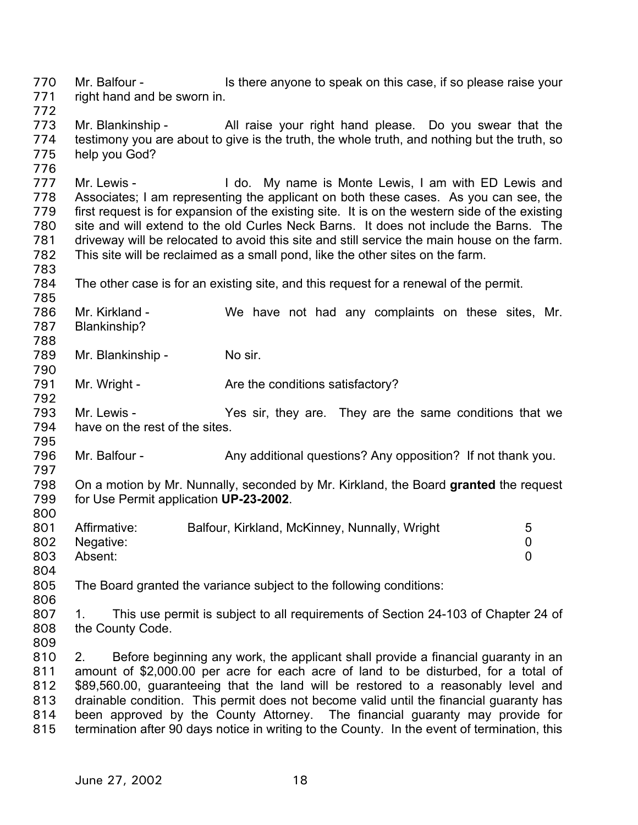Mr. Balfour - Is there anyone to speak on this case, if so please raise your right hand and be sworn in. 770 771

772

776

783

790

792

795

797

800

773 774 775 Mr. Blankinship - All raise your right hand please. Do you swear that the testimony you are about to give is the truth, the whole truth, and nothing but the truth, so help you God?

777 778 779 780 781 782 Mr. Lewis - I do. My name is Monte Lewis, I am with ED Lewis and Associates; I am representing the applicant on both these cases. As you can see, the first request is for expansion of the existing site. It is on the western side of the existing site and will extend to the old Curles Neck Barns. It does not include the Barns. The driveway will be relocated to avoid this site and still service the main house on the farm. This site will be reclaimed as a small pond, like the other sites on the farm.

784 The other case is for an existing site, and this request for a renewal of the permit.

785 786 787 788 Mr. Kirkland - We have not had any complaints on these sites, Mr. Blankinship?

789 Mr. Blankinship - No sir.

791 Mr. Wright - Are the conditions satisfactory?

793 794 Mr. Lewis - They are. They are the same conditions that we have on the rest of the sites.

796 Mr. Balfour - Any additional questions? Any opposition? If not thank you.

798 799 On a motion by Mr. Nunnally, seconded by Mr. Kirkland, the Board **granted** the request for Use Permit application **UP-23-2002**.

- 801 802 803 Affirmative: Balfour, Kirkland, McKinney, Nunnally, Wright 5 Negative: 0 Absent: 0
- 804

805 The Board granted the variance subject to the following conditions:

807 808 1. This use permit is subject to all requirements of Section 24-103 of Chapter 24 of the County Code.

809

806

810 811 812 813 814 815 2. Before beginning any work, the applicant shall provide a financial guaranty in an amount of \$2,000.00 per acre for each acre of land to be disturbed, for a total of \$89,560.00, guaranteeing that the land will be restored to a reasonably level and drainable condition. This permit does not become valid until the financial guaranty has been approved by the County Attorney. The financial guaranty may provide for termination after 90 days notice in writing to the County. In the event of termination, this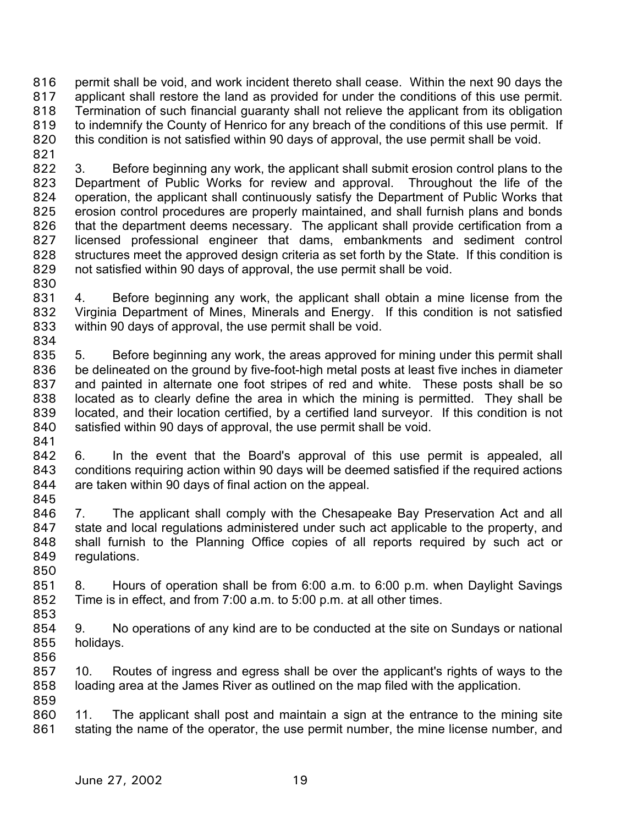permit shall be void, and work incident thereto shall cease. Within the next 90 days the applicant shall restore the land as provided for under the conditions of this use permit. Termination of such financial guaranty shall not relieve the applicant from its obligation to indemnify the County of Henrico for any breach of the conditions of this use permit. If this condition is not satisfied within 90 days of approval, the use permit shall be void. 816 817 818 819 820

821

822 823 824 825 826 827 828 829 3. Before beginning any work, the applicant shall submit erosion control plans to the Department of Public Works for review and approval. Throughout the life of the operation, the applicant shall continuously satisfy the Department of Public Works that erosion control procedures are properly maintained, and shall furnish plans and bonds that the department deems necessary. The applicant shall provide certification from a licensed professional engineer that dams, embankments and sediment control structures meet the approved design criteria as set forth by the State. If this condition is not satisfied within 90 days of approval, the use permit shall be void.

830

831 832 833 834 4. Before beginning any work, the applicant shall obtain a mine license from the Virginia Department of Mines, Minerals and Energy. If this condition is not satisfied within 90 days of approval, the use permit shall be void.

835 836 837 838 839 840 841 5. Before beginning any work, the areas approved for mining under this permit shall be delineated on the ground by five-foot-high metal posts at least five inches in diameter and painted in alternate one foot stripes of red and white. These posts shall be so located as to clearly define the area in which the mining is permitted. They shall be located, and their location certified, by a certified land surveyor. If this condition is not satisfied within 90 days of approval, the use permit shall be void.

842 843 844 845 6. In the event that the Board's approval of this use permit is appealed, all conditions requiring action within 90 days will be deemed satisfied if the required actions are taken within 90 days of final action on the appeal.

846 847 848 849 850 7. The applicant shall comply with the Chesapeake Bay Preservation Act and all state and local regulations administered under such act applicable to the property, and shall furnish to the Planning Office copies of all reports required by such act or regulations.

851 852 853 8. Hours of operation shall be from 6:00 a.m. to 6:00 p.m. when Daylight Savings Time is in effect, and from 7:00 a.m. to 5:00 p.m. at all other times.

854 855 856 9. No operations of any kind are to be conducted at the site on Sundays or national holidays.

857 858 859 10. Routes of ingress and egress shall be over the applicant's rights of ways to the loading area at the James River as outlined on the map filed with the application.

860 861 11. The applicant shall post and maintain a sign at the entrance to the mining site stating the name of the operator, the use permit number, the mine license number, and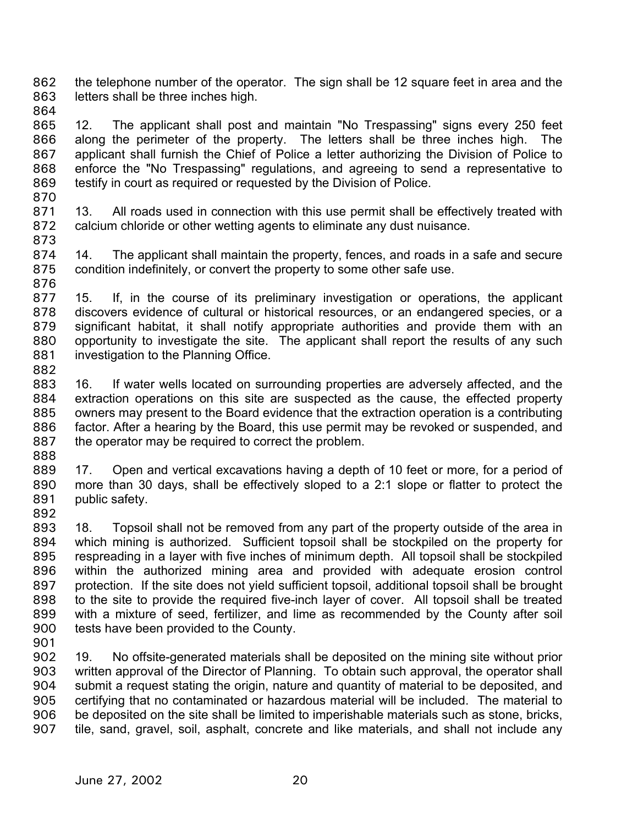the telephone number of the operator. The sign shall be 12 square feet in area and the letters shall be three inches high. 862 863

864

865 866 867 868 869 12. The applicant shall post and maintain "No Trespassing" signs every 250 feet along the perimeter of the property. The letters shall be three inches high. The applicant shall furnish the Chief of Police a letter authorizing the Division of Police to enforce the "No Trespassing" regulations, and agreeing to send a representative to testify in court as required or requested by the Division of Police.

870

871 872 873 13. All roads used in connection with this use permit shall be effectively treated with calcium chloride or other wetting agents to eliminate any dust nuisance.

874 875 14. The applicant shall maintain the property, fences, and roads in a safe and secure condition indefinitely, or convert the property to some other safe use.

876

877 878 879 880 881 882 15. If, in the course of its preliminary investigation or operations, the applicant discovers evidence of cultural or historical resources, or an endangered species, or a significant habitat, it shall notify appropriate authorities and provide them with an opportunity to investigate the site. The applicant shall report the results of any such investigation to the Planning Office.

883 884 885 886 887 16. If water wells located on surrounding properties are adversely affected, and the extraction operations on this site are suspected as the cause, the effected property owners may present to the Board evidence that the extraction operation is a contributing factor. After a hearing by the Board, this use permit may be revoked or suspended, and the operator may be required to correct the problem.

888 889

890 891 892 17. Open and vertical excavations having a depth of 10 feet or more, for a period of more than 30 days, shall be effectively sloped to a 2:1 slope or flatter to protect the public safety.

- 893 894 895 896 897 898 899 900 18. Topsoil shall not be removed from any part of the property outside of the area in which mining is authorized. Sufficient topsoil shall be stockpiled on the property for respreading in a layer with five inches of minimum depth. All topsoil shall be stockpiled within the authorized mining area and provided with adequate erosion control protection. If the site does not yield sufficient topsoil, additional topsoil shall be brought to the site to provide the required five-inch layer of cover. All topsoil shall be treated with a mixture of seed, fertilizer, and lime as recommended by the County after soil tests have been provided to the County.
- 901

902 903 904 905 906 907 19. No offsite-generated materials shall be deposited on the mining site without prior written approval of the Director of Planning. To obtain such approval, the operator shall submit a request stating the origin, nature and quantity of material to be deposited, and certifying that no contaminated or hazardous material will be included. The material to be deposited on the site shall be limited to imperishable materials such as stone, bricks, tile, sand, gravel, soil, asphalt, concrete and like materials, and shall not include any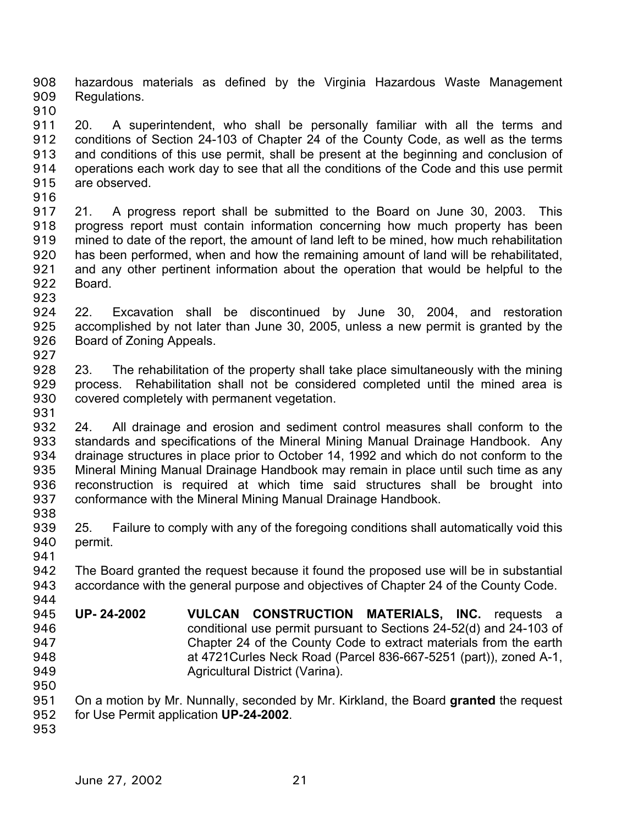hazardous materials as defined by the Virginia Hazardous Waste Management Regulations. 908 909

910

911 912 913 914 915 20. A superintendent, who shall be personally familiar with all the terms and conditions of Section 24-103 of Chapter 24 of the County Code, as well as the terms and conditions of this use permit, shall be present at the beginning and conclusion of operations each work day to see that all the conditions of the Code and this use permit are observed.

916

917 918 919 920 921 922 21. A progress report shall be submitted to the Board on June 30, 2003. This progress report must contain information concerning how much property has been mined to date of the report, the amount of land left to be mined, how much rehabilitation has been performed, when and how the remaining amount of land will be rehabilitated, and any other pertinent information about the operation that would be helpful to the Board.

923

924 925 926 927 22. Excavation shall be discontinued by June 30, 2004, and restoration accomplished by not later than June 30, 2005, unless a new permit is granted by the Board of Zoning Appeals.

- 928 929 930 931 23. The rehabilitation of the property shall take place simultaneously with the mining process. Rehabilitation shall not be considered completed until the mined area is covered completely with permanent vegetation.
- 932 933 934 935 936 937 938 24. All drainage and erosion and sediment control measures shall conform to the standards and specifications of the Mineral Mining Manual Drainage Handbook. Any drainage structures in place prior to October 14, 1992 and which do not conform to the Mineral Mining Manual Drainage Handbook may remain in place until such time as any reconstruction is required at which time said structures shall be brought into conformance with the Mineral Mining Manual Drainage Handbook.
- 939 940 941 25. Failure to comply with any of the foregoing conditions shall automatically void this permit.
- 942 943 944 The Board granted the request because it found the proposed use will be in substantial accordance with the general purpose and objectives of Chapter 24 of the County Code.
- 945 946 947 948 949 **UP- 24-2002 VULCAN CONSTRUCTION MATERIALS, INC.** requests a conditional use permit pursuant to Sections 24-52(d) and 24-103 of Chapter 24 of the County Code to extract materials from the earth at 4721Curles Neck Road (Parcel 836-667-5251 (part)), zoned A-1, Agricultural District (Varina).
- 950 951 952 On a motion by Mr. Nunnally, seconded by Mr. Kirkland, the Board **granted** the request for Use Permit application **UP-24-2002**.
- 953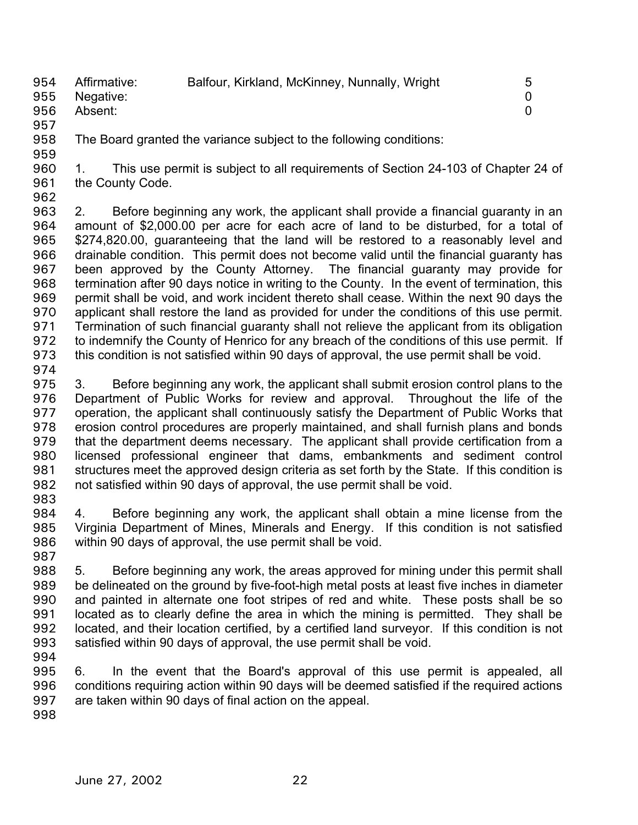| 954 Affirmative:<br>955 Negative: | Balfour, Kirkland, McKinney, Nunnally, Wright | -5 |
|-----------------------------------|-----------------------------------------------|----|
| 956 Absent:                       |                                               |    |

- 957
- 958 959 The Board granted the variance subject to the following conditions:

960 961 1. This use permit is subject to all requirements of Section 24-103 of Chapter 24 of the County Code.

962

963 964 965 966 967 968 969 970 971 972 973 2. Before beginning any work, the applicant shall provide a financial guaranty in an amount of \$2,000.00 per acre for each acre of land to be disturbed, for a total of \$274,820.00, guaranteeing that the land will be restored to a reasonably level and drainable condition. This permit does not become valid until the financial guaranty has been approved by the County Attorney. The financial guaranty may provide for termination after 90 days notice in writing to the County. In the event of termination, this permit shall be void, and work incident thereto shall cease. Within the next 90 days the applicant shall restore the land as provided for under the conditions of this use permit. Termination of such financial guaranty shall not relieve the applicant from its obligation to indemnify the County of Henrico for any breach of the conditions of this use permit. If this condition is not satisfied within 90 days of approval, the use permit shall be void.

974

975 976 977 978 979 980 981 982 3. Before beginning any work, the applicant shall submit erosion control plans to the Department of Public Works for review and approval. Throughout the life of the operation, the applicant shall continuously satisfy the Department of Public Works that erosion control procedures are properly maintained, and shall furnish plans and bonds that the department deems necessary. The applicant shall provide certification from a licensed professional engineer that dams, embankments and sediment control structures meet the approved design criteria as set forth by the State. If this condition is not satisfied within 90 days of approval, the use permit shall be void.

983

984 985 986 4. Before beginning any work, the applicant shall obtain a mine license from the Virginia Department of Mines, Minerals and Energy. If this condition is not satisfied within 90 days of approval, the use permit shall be void.

- 987 988 989 990 991 992 993 5. Before beginning any work, the areas approved for mining under this permit shall be delineated on the ground by five-foot-high metal posts at least five inches in diameter and painted in alternate one foot stripes of red and white. These posts shall be so located as to clearly define the area in which the mining is permitted. They shall be located, and their location certified, by a certified land surveyor. If this condition is not satisfied within 90 days of approval, the use permit shall be void.
- 994

995 996 997 6. In the event that the Board's approval of this use permit is appealed, all conditions requiring action within 90 days will be deemed satisfied if the required actions are taken within 90 days of final action on the appeal.

998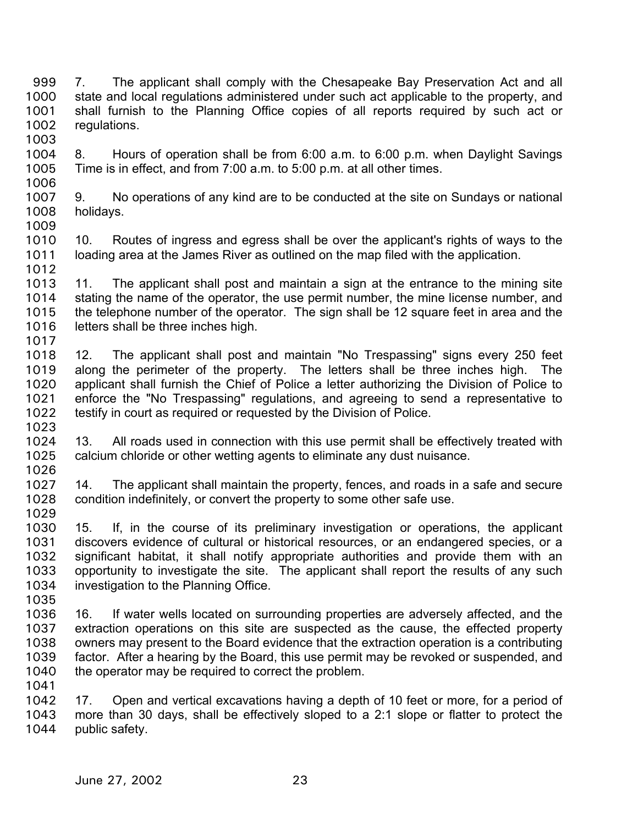7. The applicant shall comply with the Chesapeake Bay Preservation Act and all state and local regulations administered under such act applicable to the property, and shall furnish to the Planning Office copies of all reports required by such act or regulations. 999 1000 1001 1002 1003

- 1004 1005 1006 8. Hours of operation shall be from 6:00 a.m. to 6:00 p.m. when Daylight Savings Time is in effect, and from 7:00 a.m. to 5:00 p.m. at all other times.
- 1007 1008 1009 9. No operations of any kind are to be conducted at the site on Sundays or national holidays.
- 1010 1011 1012 10. Routes of ingress and egress shall be over the applicant's rights of ways to the loading area at the James River as outlined on the map filed with the application.
- 1013 1014 1015 1016 1017 11. The applicant shall post and maintain a sign at the entrance to the mining site stating the name of the operator, the use permit number, the mine license number, and the telephone number of the operator. The sign shall be 12 square feet in area and the letters shall be three inches high.
- 1018 1019 1020 1021 1022 1023 12. The applicant shall post and maintain "No Trespassing" signs every 250 feet along the perimeter of the property. The letters shall be three inches high. The applicant shall furnish the Chief of Police a letter authorizing the Division of Police to enforce the "No Trespassing" regulations, and agreeing to send a representative to testify in court as required or requested by the Division of Police.
- 1024 1025 1026 13. All roads used in connection with this use permit shall be effectively treated with calcium chloride or other wetting agents to eliminate any dust nuisance.
- 1027 1028 1029 14. The applicant shall maintain the property, fences, and roads in a safe and secure condition indefinitely, or convert the property to some other safe use.
- 1030 1031 1032 1033 1034 1035 15. If, in the course of its preliminary investigation or operations, the applicant discovers evidence of cultural or historical resources, or an endangered species, or a significant habitat, it shall notify appropriate authorities and provide them with an opportunity to investigate the site. The applicant shall report the results of any such investigation to the Planning Office.
- 1036 1037 1038 1039 1040 1041 16. If water wells located on surrounding properties are adversely affected, and the extraction operations on this site are suspected as the cause, the effected property owners may present to the Board evidence that the extraction operation is a contributing factor. After a hearing by the Board, this use permit may be revoked or suspended, and the operator may be required to correct the problem.
- 1042 1043 1044 17. Open and vertical excavations having a depth of 10 feet or more, for a period of more than 30 days, shall be effectively sloped to a 2:1 slope or flatter to protect the public safety.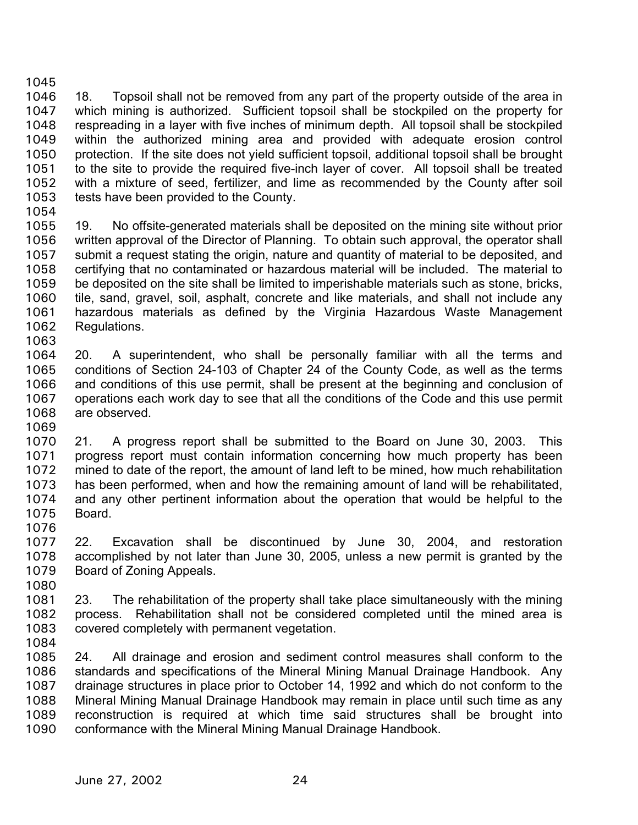1046 1047 1048 1049 1050 1051 1052 1053 18. Topsoil shall not be removed from any part of the property outside of the area in which mining is authorized. Sufficient topsoil shall be stockpiled on the property for respreading in a layer with five inches of minimum depth. All topsoil shall be stockpiled within the authorized mining area and provided with adequate erosion control protection. If the site does not yield sufficient topsoil, additional topsoil shall be brought to the site to provide the required five-inch layer of cover. All topsoil shall be treated with a mixture of seed, fertilizer, and lime as recommended by the County after soil tests have been provided to the County.

1054

1045

1055 1056 1057 1058 1059 1060 1061 1062 1063 19. No offsite-generated materials shall be deposited on the mining site without prior written approval of the Director of Planning. To obtain such approval, the operator shall submit a request stating the origin, nature and quantity of material to be deposited, and certifying that no contaminated or hazardous material will be included. The material to be deposited on the site shall be limited to imperishable materials such as stone, bricks, tile, sand, gravel, soil, asphalt, concrete and like materials, and shall not include any hazardous materials as defined by the Virginia Hazardous Waste Management Regulations.

1064 1065 1066 1067 1068 1069 20. A superintendent, who shall be personally familiar with all the terms and conditions of Section 24-103 of Chapter 24 of the County Code, as well as the terms and conditions of this use permit, shall be present at the beginning and conclusion of operations each work day to see that all the conditions of the Code and this use permit are observed.

- 1070 1071 1072 1073 1074 1075 1076 21. A progress report shall be submitted to the Board on June 30, 2003. This progress report must contain information concerning how much property has been mined to date of the report, the amount of land left to be mined, how much rehabilitation has been performed, when and how the remaining amount of land will be rehabilitated, and any other pertinent information about the operation that would be helpful to the Board.
- 1077 1078 1079 22. Excavation shall be discontinued by June 30, 2004, and restoration accomplished by not later than June 30, 2005, unless a new permit is granted by the Board of Zoning Appeals.
- 1081 1082 1083 23. The rehabilitation of the property shall take place simultaneously with the mining process. Rehabilitation shall not be considered completed until the mined area is covered completely with permanent vegetation.
- 1084

1080

1085 1086 1087 1088 1089 1090 24. All drainage and erosion and sediment control measures shall conform to the standards and specifications of the Mineral Mining Manual Drainage Handbook. Any drainage structures in place prior to October 14, 1992 and which do not conform to the Mineral Mining Manual Drainage Handbook may remain in place until such time as any reconstruction is required at which time said structures shall be brought into conformance with the Mineral Mining Manual Drainage Handbook.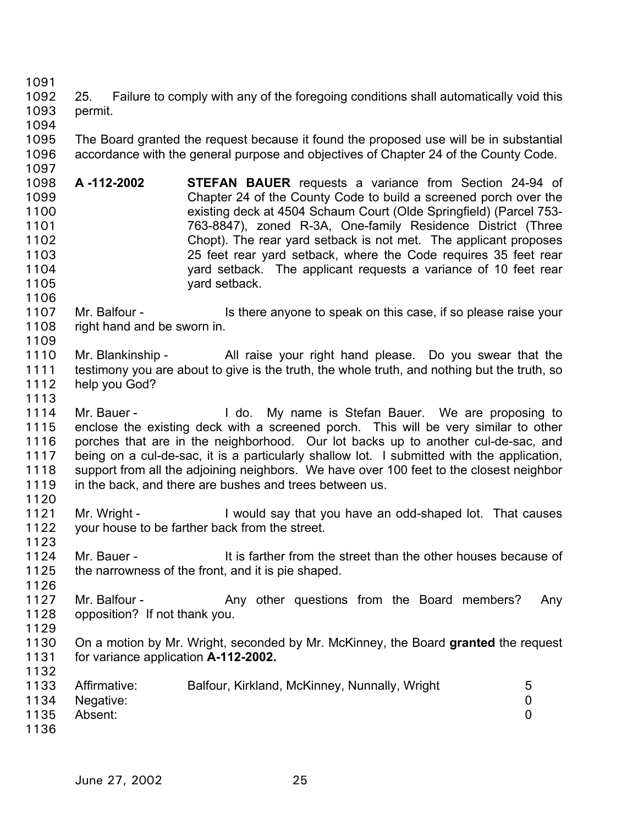1091

1097

1106

1113

1126

1132

- 1092 1093 25. Failure to comply with any of the foregoing conditions shall automatically void this permit.
- 1094 1095 1096 The Board granted the request because it found the proposed use will be in substantial accordance with the general purpose and objectives of Chapter 24 of the County Code.
- 1098 1099 1100 1101 1102 1103 1104 1105 **A -112-2002 STEFAN BAUER** requests a variance from Section 24-94 of Chapter 24 of the County Code to build a screened porch over the existing deck at 4504 Schaum Court (Olde Springfield) (Parcel 753- 763-8847), zoned R-3A, One-family Residence District (Three Chopt). The rear yard setback is not met. The applicant proposes 25 feet rear yard setback, where the Code requires 35 feet rear yard setback. The applicant requests a variance of 10 feet rear yard setback.
- 1107 1108 1109 Mr. Balfour - Is there anyone to speak on this case, if so please raise your right hand and be sworn in.
- 1110 1111 1112 Mr. Blankinship - All raise your right hand please. Do you swear that the testimony you are about to give is the truth, the whole truth, and nothing but the truth, so help you God?
- 1114 1115 1116 1117 1118 1119 Mr. Bauer - The My name is Stefan Bauer. We are proposing to enclose the existing deck with a screened porch. This will be very similar to other porches that are in the neighborhood. Our lot backs up to another cul-de-sac, and being on a cul-de-sac, it is a particularly shallow lot. I submitted with the application, support from all the adjoining neighbors. We have over 100 feet to the closest neighbor in the back, and there are bushes and trees between us.
- 1120 1121 1122 Mr. Wright - **I** would say that you have an odd-shaped lot. That causes your house to be farther back from the street.
- 1123 1124 1125 Mr. Bauer - The street than the other houses because of the narrowness of the front, and it is pie shaped.
- 1127 1128 Mr. Balfour - The Any other questions from the Board members? Any opposition? If not thank you.
- 1129 1130 1131 On a motion by Mr. Wright, seconded by Mr. McKinney, the Board **granted** the request for variance application **A-112-2002.**
- 1133 1134 1135 1136 Affirmative: Balfour, Kirkland, McKinney, Nunnally, Wright 5 Negative: 0 Absent: 0
	- June 27, 2002 25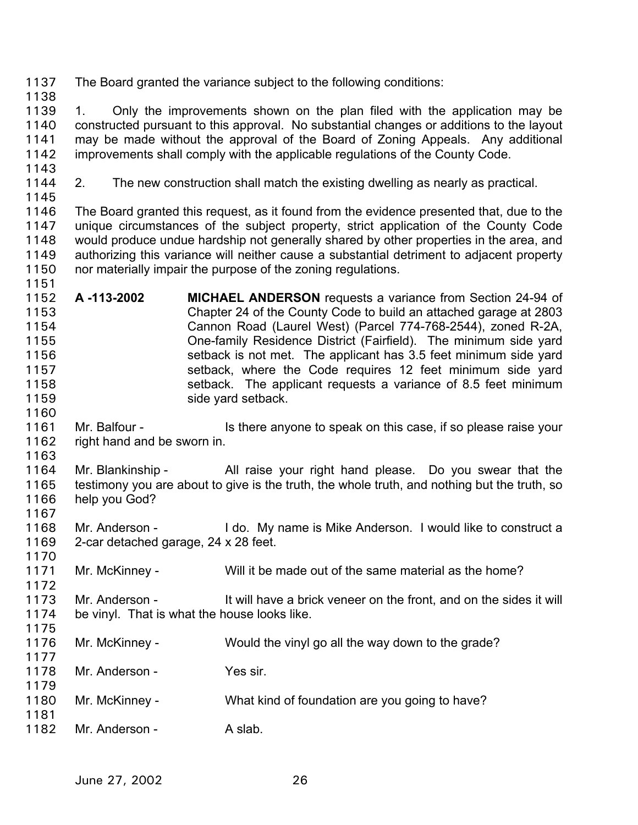1137 The Board granted the variance subject to the following conditions:

1138

1139 1140 1141 1142 1. Only the improvements shown on the plan filed with the application may be constructed pursuant to this approval. No substantial changes or additions to the layout may be made without the approval of the Board of Zoning Appeals. Any additional improvements shall comply with the applicable regulations of the County Code.

- 1143
- 1144

1151

2. The new construction shall match the existing dwelling as nearly as practical.

1145 1146 1147 1148 1149 1150 The Board granted this request, as it found from the evidence presented that, due to the unique circumstances of the subject property, strict application of the County Code would produce undue hardship not generally shared by other properties in the area, and authorizing this variance will neither cause a substantial detriment to adjacent property nor materially impair the purpose of the zoning regulations.

- 1152 1153 1154 1155 1156 1157 1158 1159 **A -113-2002 MICHAEL ANDERSON** requests a variance from Section 24-94 of Chapter 24 of the County Code to build an attached garage at 2803 Cannon Road (Laurel West) (Parcel 774-768-2544), zoned R-2A, One-family Residence District (Fairfield). The minimum side yard setback is not met. The applicant has 3.5 feet minimum side yard setback, where the Code requires 12 feet minimum side yard setback. The applicant requests a variance of 8.5 feet minimum side yard setback.
- 1160 1161 1162 Mr. Balfour - Is there anyone to speak on this case, if so please raise your right hand and be sworn in.
- 1163

1164 1165 1166 1167 Mr. Blankinship - All raise your right hand please. Do you swear that the testimony you are about to give is the truth, the whole truth, and nothing but the truth, so help you God?

1168 1169 1170 Mr. Anderson - I do. My name is Mike Anderson. I would like to construct a 2-car detached garage, 24 x 28 feet.

1171 1172 Mr. McKinney - Will it be made out of the same material as the home?

1173 1174 1175 Mr. Anderson - It will have a brick veneer on the front, and on the sides it will be vinyl. That is what the house looks like.

1176 1177 Mr. McKinney - Would the vinyl go all the way down to the grade?

1178 1179 Mr. Anderson - Yes sir.

- 1180 1181 Mr. McKinney - What kind of foundation are you going to have?
- 1182 Mr. Anderson - A slab.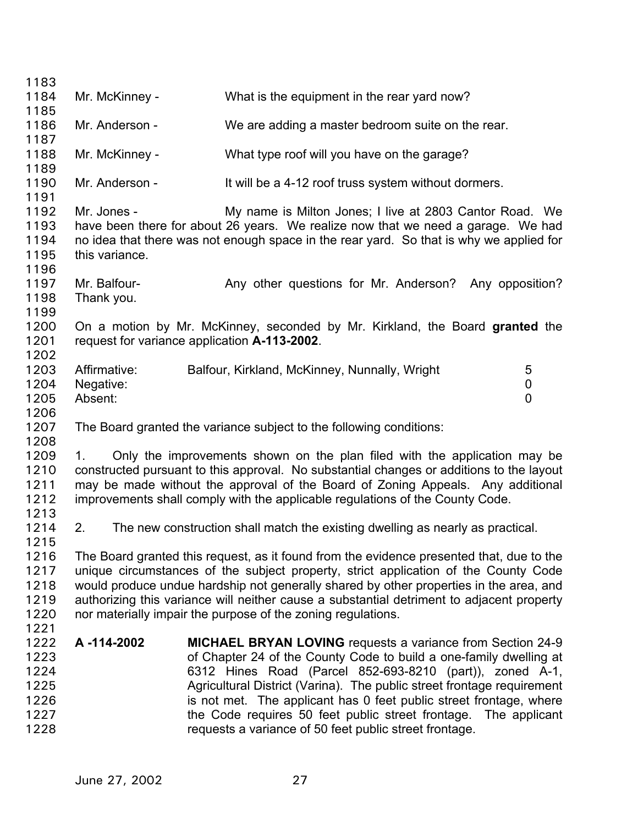| 1183                                                 |                                      |                                                                                                                                                                                                                                                                                                                                                                                                                                                                                  |             |
|------------------------------------------------------|--------------------------------------|----------------------------------------------------------------------------------------------------------------------------------------------------------------------------------------------------------------------------------------------------------------------------------------------------------------------------------------------------------------------------------------------------------------------------------------------------------------------------------|-------------|
| 1184                                                 | Mr. McKinney -                       | What is the equipment in the rear yard now?                                                                                                                                                                                                                                                                                                                                                                                                                                      |             |
| 1185                                                 |                                      |                                                                                                                                                                                                                                                                                                                                                                                                                                                                                  |             |
| 1186<br>1187                                         | Mr. Anderson -                       | We are adding a master bedroom suite on the rear.                                                                                                                                                                                                                                                                                                                                                                                                                                |             |
| 1188                                                 | Mr. McKinney -                       | What type roof will you have on the garage?                                                                                                                                                                                                                                                                                                                                                                                                                                      |             |
| 1189<br>1190<br>1191                                 | Mr. Anderson -                       | It will be a 4-12 roof truss system without dormers.                                                                                                                                                                                                                                                                                                                                                                                                                             |             |
| 1192<br>1193<br>1194<br>1195<br>1196                 | Mr. Jones -<br>this variance.        | My name is Milton Jones; I live at 2803 Cantor Road. We<br>have been there for about 26 years. We realize now that we need a garage. We had<br>no idea that there was not enough space in the rear yard. So that is why we applied for                                                                                                                                                                                                                                           |             |
| 1197<br>1198<br>1199                                 | Mr. Balfour-<br>Thank you.           | Any other questions for Mr. Anderson? Any opposition?                                                                                                                                                                                                                                                                                                                                                                                                                            |             |
| 1200<br>1201<br>1202                                 |                                      | On a motion by Mr. McKinney, seconded by Mr. Kirkland, the Board granted the<br>request for variance application A-113-2002.                                                                                                                                                                                                                                                                                                                                                     |             |
| 1203<br>1204<br>1205<br>1206                         | Affirmative:<br>Negative:<br>Absent: | Balfour, Kirkland, McKinney, Nunnally, Wright                                                                                                                                                                                                                                                                                                                                                                                                                                    | 5<br>0<br>0 |
| 1207<br>1208                                         |                                      | The Board granted the variance subject to the following conditions:                                                                                                                                                                                                                                                                                                                                                                                                              |             |
| 1209<br>1210<br>1211<br>1212<br>1213                 | 1.                                   | Only the improvements shown on the plan filed with the application may be<br>constructed pursuant to this approval. No substantial changes or additions to the layout<br>may be made without the approval of the Board of Zoning Appeals. Any additional<br>improvements shall comply with the applicable regulations of the County Code.                                                                                                                                        |             |
| 1214<br>1215                                         | 2.                                   | The new construction shall match the existing dwelling as nearly as practical.                                                                                                                                                                                                                                                                                                                                                                                                   |             |
| 1216<br>1217<br>1218<br>1219<br>1220<br>1221         |                                      | The Board granted this request, as it found from the evidence presented that, due to the<br>unique circumstances of the subject property, strict application of the County Code<br>would produce undue hardship not generally shared by other properties in the area, and<br>authorizing this variance will neither cause a substantial detriment to adjacent property<br>nor materially impair the purpose of the zoning regulations.                                           |             |
| 1222<br>1223<br>1224<br>1225<br>1226<br>1227<br>1228 | A-114-2002                           | <b>MICHAEL BRYAN LOVING</b> requests a variance from Section 24-9<br>of Chapter 24 of the County Code to build a one-family dwelling at<br>6312 Hines Road (Parcel 852-693-8210 (part)), zoned A-1,<br>Agricultural District (Varina). The public street frontage requirement<br>is not met. The applicant has 0 feet public street frontage, where<br>the Code requires 50 feet public street frontage. The applicant<br>requests a variance of 50 feet public street frontage. |             |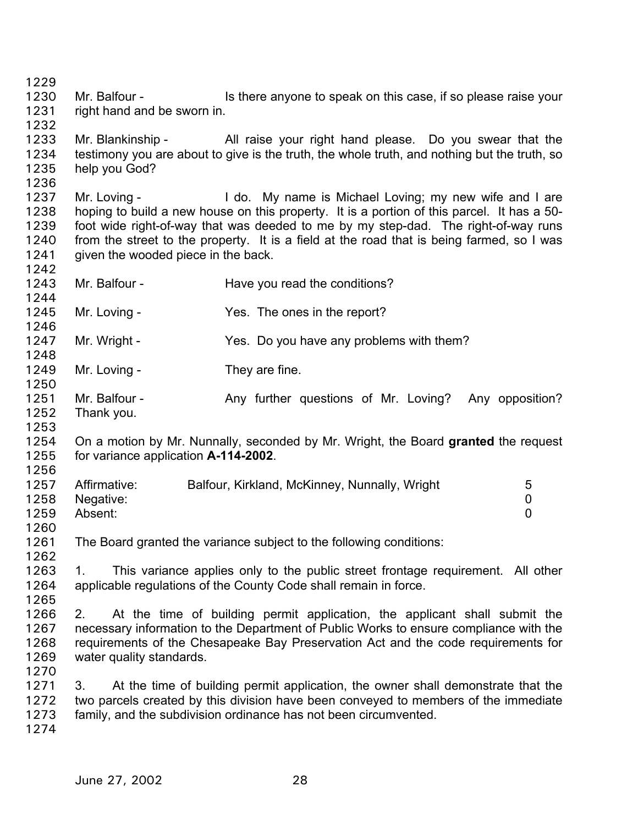1229 1230 1231 1232 1233 1234 1235 1236 1237 1238 1239 1240 1241 1242 1243 1244 1245 1246 1247 1248 1249 1250 1251 1252 1253 1254 1255 1256 1257 1258 1259 1260 1261 1262 1263 1264 1265 1266 1267 1268 1269 1270 1271 1272 1273 1274 Mr. Balfour - Is there anyone to speak on this case, if so please raise your right hand and be sworn in. Mr. Blankinship - All raise your right hand please. Do you swear that the testimony you are about to give is the truth, the whole truth, and nothing but the truth, so help you God? Mr. Loving - I do. My name is Michael Loving; my new wife and I are hoping to build a new house on this property. It is a portion of this parcel. It has a 50 foot wide right-of-way that was deeded to me by my step-dad. The right-of-way runs from the street to the property. It is a field at the road that is being farmed, so I was given the wooded piece in the back. Mr. Balfour - Have you read the conditions? Mr. Loving - The ones in the report? Mr. Wright - Yes. Do you have any problems with them? Mr. Loving - They are fine. Mr. Balfour - The Any further questions of Mr. Loving? Any opposition? Thank you. On a motion by Mr. Nunnally, seconded by Mr. Wright, the Board **granted** the request for variance application **A-114-2002**. Affirmative: Balfour, Kirkland, McKinney, Nunnally, Wright 5 Negative: 0 Absent: 0 The Board granted the variance subject to the following conditions: 1. This variance applies only to the public street frontage requirement. All other applicable regulations of the County Code shall remain in force. 2. At the time of building permit application, the applicant shall submit the necessary information to the Department of Public Works to ensure compliance with the requirements of the Chesapeake Bay Preservation Act and the code requirements for water quality standards. 3. At the time of building permit application, the owner shall demonstrate that the two parcels created by this division have been conveyed to members of the immediate family, and the subdivision ordinance has not been circumvented.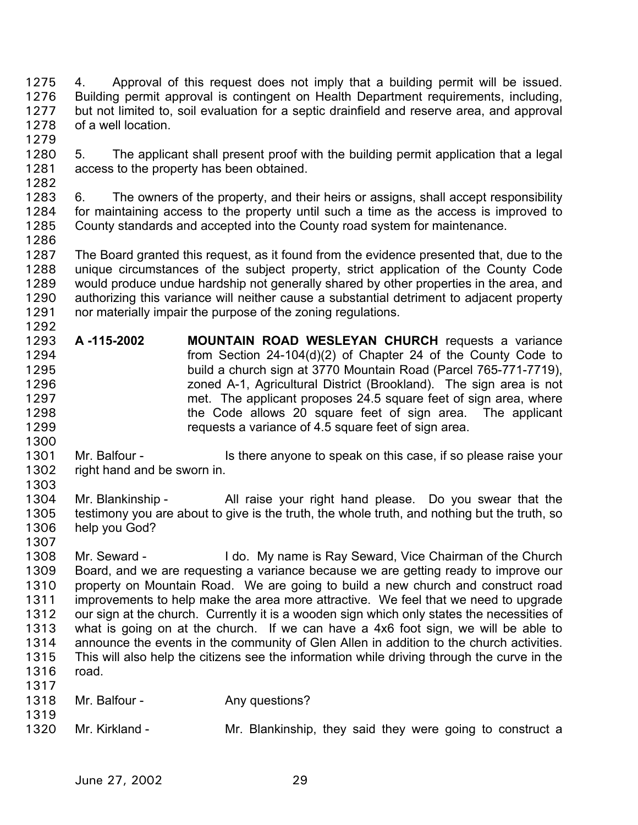4. Approval of this request does not imply that a building permit will be issued. Building permit approval is contingent on Health Department requirements, including, but not limited to, soil evaluation for a septic drainfield and reserve area, and approval of a well location. 1275 1276 1277 1278 1279

1280 1281 1282 5. The applicant shall present proof with the building permit application that a legal access to the property has been obtained.

1283 1284 1285 1286 6. The owners of the property, and their heirs or assigns, shall accept responsibility for maintaining access to the property until such a time as the access is improved to County standards and accepted into the County road system for maintenance.

1287 1288 1289 1290 1291 1292 The Board granted this request, as it found from the evidence presented that, due to the unique circumstances of the subject property, strict application of the County Code would produce undue hardship not generally shared by other properties in the area, and authorizing this variance will neither cause a substantial detriment to adjacent property nor materially impair the purpose of the zoning regulations.

- 1293 1294 1295 1296 1297 1298 1299 **A -115-2002 MOUNTAIN ROAD WESLEYAN CHURCH** requests a variance from Section 24-104(d)(2) of Chapter 24 of the County Code to build a church sign at 3770 Mountain Road (Parcel 765-771-7719), zoned A-1, Agricultural District (Brookland). The sign area is not met. The applicant proposes 24.5 square feet of sign area, where the Code allows 20 square feet of sign area. The applicant requests a variance of 4.5 square feet of sign area.
- 1301 1302 Mr. Balfour - The Is there anyone to speak on this case, if so please raise your right hand and be sworn in.
- 1303

1300

1304 1305 1306 Mr. Blankinship - All raise your right hand please. Do you swear that the testimony you are about to give is the truth, the whole truth, and nothing but the truth, so help you God?

1307

1308 1309 1310 1311 1312 1313 1314 1315 1316 1317 Mr. Seward - I do. My name is Ray Seward, Vice Chairman of the Church Board, and we are requesting a variance because we are getting ready to improve our property on Mountain Road. We are going to build a new church and construct road improvements to help make the area more attractive. We feel that we need to upgrade our sign at the church. Currently it is a wooden sign which only states the necessities of what is going on at the church. If we can have a 4x6 foot sign, we will be able to announce the events in the community of Glen Allen in addition to the church activities. This will also help the citizens see the information while driving through the curve in the road.

| 1017 |                |                                                           |
|------|----------------|-----------------------------------------------------------|
| 1318 | Mr. Balfour -  | Any questions?                                            |
| 1319 |                |                                                           |
| 1320 | Mr. Kirkland - | Mr. Blankinship, they said they were going to construct a |
|      |                |                                                           |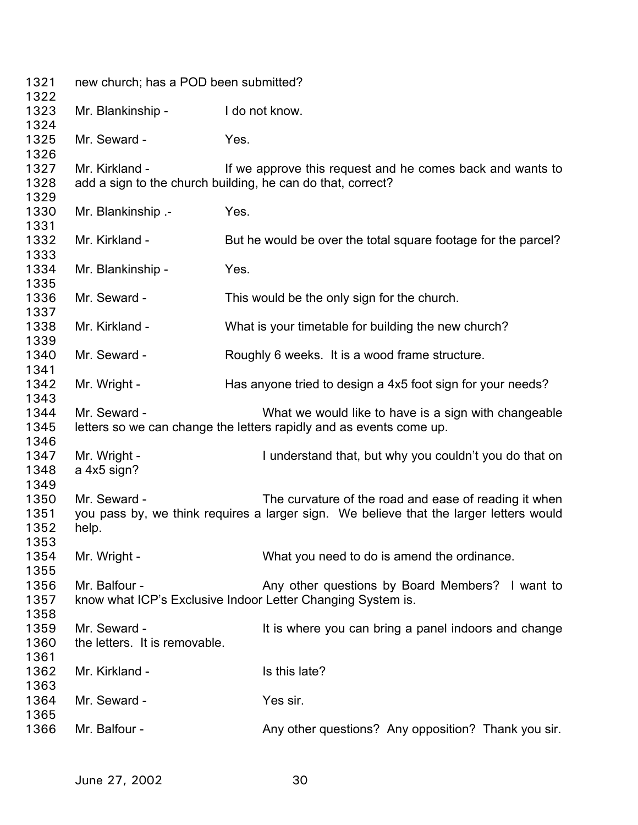| 1321<br>1322                         | new church; has a POD been submitted?         |                                                                                                                                                 |
|--------------------------------------|-----------------------------------------------|-------------------------------------------------------------------------------------------------------------------------------------------------|
| 1323<br>1324                         | Mr. Blankinship -                             | I do not know.                                                                                                                                  |
| 1325<br>1326                         | Mr. Seward -                                  | Yes.                                                                                                                                            |
| 1327<br>1328<br>1329                 | Mr. Kirkland -                                | If we approve this request and he comes back and wants to<br>add a sign to the church building, he can do that, correct?                        |
| 1330<br>1331                         | Mr. Blankinship .-                            | Yes.                                                                                                                                            |
| 1332<br>1333                         | Mr. Kirkland -                                | But he would be over the total square footage for the parcel?                                                                                   |
| 1334<br>1335                         | Mr. Blankinship -                             | Yes.                                                                                                                                            |
| 1336<br>1337                         | Mr. Seward -                                  | This would be the only sign for the church.                                                                                                     |
| 1338<br>1339                         | Mr. Kirkland -                                | What is your timetable for building the new church?                                                                                             |
| 1340<br>1341                         | Mr. Seward -                                  | Roughly 6 weeks. It is a wood frame structure.                                                                                                  |
| 1342<br>1343                         | Mr. Wright -                                  | Has anyone tried to design a 4x5 foot sign for your needs?                                                                                      |
| 1344<br>1345                         | Mr. Seward -                                  | What we would like to have is a sign with changeable<br>letters so we can change the letters rapidly and as events come up.                     |
| 1346<br>1347<br>1348                 | Mr. Wright -<br>a 4x5 sign?                   | I understand that, but why you couldn't you do that on                                                                                          |
| 1349<br>1350<br>1351<br>1352<br>1353 | Mr. Seward -<br>help.                         | The curvature of the road and ease of reading it when<br>you pass by, we think requires a larger sign. We believe that the larger letters would |
| 1354<br>1355                         | Mr. Wright -                                  | What you need to do is amend the ordinance.                                                                                                     |
| 1356<br>1357<br>1358                 | Mr. Balfour -                                 | Any other questions by Board Members? I want to<br>know what ICP's Exclusive Indoor Letter Changing System is.                                  |
| 1359<br>1360<br>1361                 | Mr. Seward -<br>the letters. It is removable. | It is where you can bring a panel indoors and change                                                                                            |
| 1362<br>1363                         | Mr. Kirkland -                                | Is this late?                                                                                                                                   |
| 1364<br>1365                         | Mr. Seward -                                  | Yes sir.                                                                                                                                        |
| 1366                                 | Mr. Balfour -                                 | Any other questions? Any opposition? Thank you sir.                                                                                             |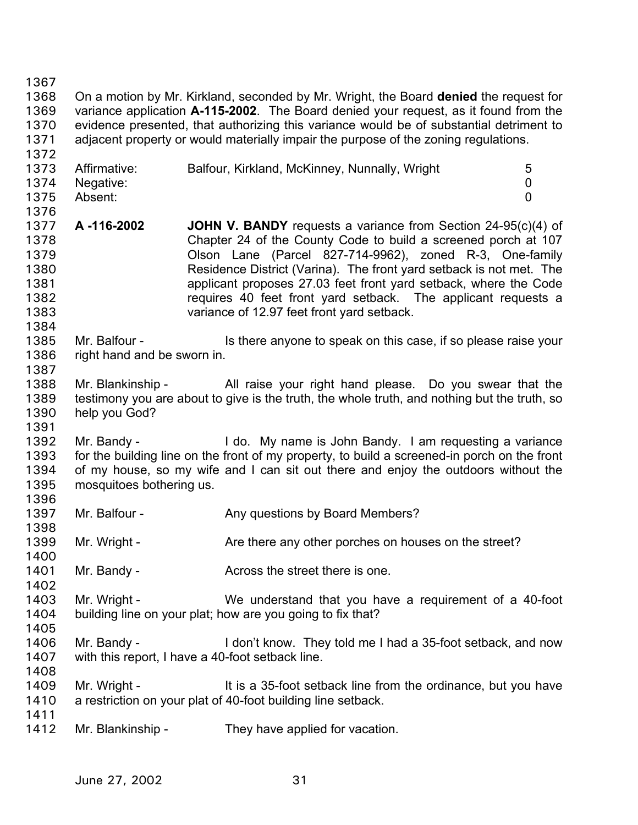1367 1368 1369 1370 1371 1372 1373 1374 1375 1376 1377 1378 1379 1380 1381 1382 1383 1384 1385 1386 1387 1388 1389 1390 1391 1392 1393 1394 1395 1396 1397 1398 1399 1400 1401 1402 1403 1404 1405 1406 1407 1408 1409 1410 1411 1412 On a motion by Mr. Kirkland, seconded by Mr. Wright, the Board **denied** the request for variance application **A-115-2002**. The Board denied your request, as it found from the evidence presented, that authorizing this variance would be of substantial detriment to adjacent property or would materially impair the purpose of the zoning regulations. Affirmative: Balfour, Kirkland, McKinney, Nunnally, Wright 5 Negative: 0 Absent: 0 **A -116-2002 JOHN V. BANDY** requests a variance from Section 24-95(c)(4) of Chapter 24 of the County Code to build a screened porch at 107 Olson Lane (Parcel 827-714-9962), zoned R-3, One-family Residence District (Varina). The front yard setback is not met. The applicant proposes 27.03 feet front yard setback, where the Code requires 40 feet front yard setback. The applicant requests a variance of 12.97 feet front yard setback. Mr. Balfour - Is there anyone to speak on this case, if so please raise your right hand and be sworn in. Mr. Blankinship - All raise your right hand please. Do you swear that the testimony you are about to give is the truth, the whole truth, and nothing but the truth, so help you God? Mr. Bandy - I do. My name is John Bandy. I am requesting a variance for the building line on the front of my property, to build a screened-in porch on the front of my house, so my wife and I can sit out there and enjoy the outdoors without the mosquitoes bothering us. Mr. Balfour - Any questions by Board Members? Mr. Wright - Are there any other porches on houses on the street? Mr. Bandy - The Street there is one. Mr. Wright - We understand that you have a requirement of a 40-foot building line on your plat; how are you going to fix that? Mr. Bandy - I don't know. They told me I had a 35-foot setback, and now with this report, I have a 40-foot setback line. Mr. Wright - It is a 35-foot setback line from the ordinance, but you have a restriction on your plat of 40-foot building line setback. Mr. Blankinship - They have applied for vacation.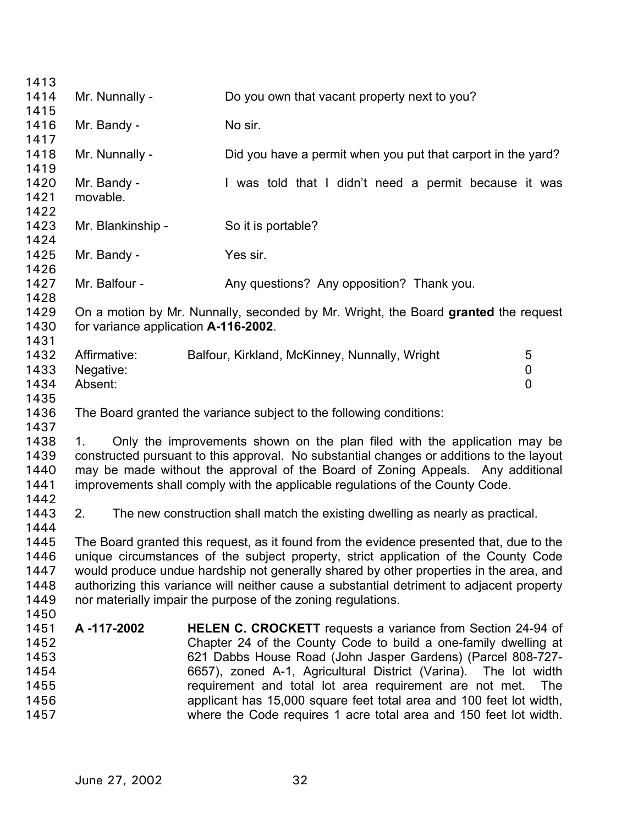| 1413                                                                                                                                   |                               |
|----------------------------------------------------------------------------------------------------------------------------------------|-------------------------------|
| 1414<br>Mr. Nunnally -<br>Do you own that vacant property next to you?                                                                 |                               |
| 1415                                                                                                                                   |                               |
| No sir.<br>1416<br>Mr. Bandy -                                                                                                         |                               |
| 1417                                                                                                                                   |                               |
| 1418<br>Mr. Nunnally -<br>Did you have a permit when you put that carport in the yard?                                                 |                               |
| 1419                                                                                                                                   |                               |
| 1420<br>Mr. Bandy -<br>I was told that I didn't need a permit because it was                                                           |                               |
| 1421<br>movable.                                                                                                                       |                               |
| 1422                                                                                                                                   |                               |
| 1423<br>Mr. Blankinship -<br>So it is portable?                                                                                        |                               |
| 1424                                                                                                                                   |                               |
| 1425<br>Mr. Bandy -<br>Yes sir.                                                                                                        |                               |
| 1426                                                                                                                                   |                               |
| 1427<br>Mr. Balfour -<br>Any questions? Any opposition? Thank you.                                                                     |                               |
| 1428                                                                                                                                   |                               |
| 1429<br>On a motion by Mr. Nunnally, seconded by Mr. Wright, the Board granted the request                                             |                               |
| 1430<br>for variance application A-116-2002.                                                                                           |                               |
| 1431                                                                                                                                   |                               |
| 1432<br>Affirmative:<br>Balfour, Kirkland, McKinney, Nunnally, Wright                                                                  | 5                             |
| 1433<br>Negative:<br>1434<br>Absent:                                                                                                   | $\mathbf 0$<br>$\overline{0}$ |
| 1435                                                                                                                                   |                               |
| 1436<br>The Board granted the variance subject to the following conditions:                                                            |                               |
| 1437                                                                                                                                   |                               |
| 1438<br>Only the improvements shown on the plan filed with the application may be<br>1.                                                |                               |
| constructed pursuant to this approval. No substantial changes or additions to the layout<br>1439                                       |                               |
| 1440<br>may be made without the approval of the Board of Zoning Appeals. Any additional                                                |                               |
| improvements shall comply with the applicable regulations of the County Code.<br>1441                                                  |                               |
| 1442                                                                                                                                   |                               |
| 1443<br>The new construction shall match the existing dwelling as nearly as practical.<br>2.                                           |                               |
| 1444                                                                                                                                   |                               |
|                                                                                                                                        |                               |
|                                                                                                                                        |                               |
| 1445<br>The Board granted this request, as it found from the evidence presented that, due to the                                       |                               |
| unique circumstances of the subject property, strict application of the County Code<br>1446                                            |                               |
| would produce undue hardship not generally shared by other properties in the area, and<br>1447                                         |                               |
| authorizing this variance will neither cause a substantial detriment to adjacent property<br>1448                                      |                               |
| nor materially impair the purpose of the zoning regulations.<br>1449                                                                   |                               |
| 1450                                                                                                                                   |                               |
| A-117-2002<br>1451<br><b>HELEN C. CROCKETT</b> requests a variance from Section 24-94 of                                               |                               |
| Chapter 24 of the County Code to build a one-family dwelling at<br>1452<br>1453                                                        |                               |
| 621 Dabbs House Road (John Jasper Gardens) (Parcel 808-727-<br>1454                                                                    |                               |
| 6657), zoned A-1, Agricultural District (Varina). The lot width<br>1455                                                                | The                           |
| requirement and total lot area requirement are not met.<br>applicant has 15,000 square feet total area and 100 feet lot width,<br>1456 |                               |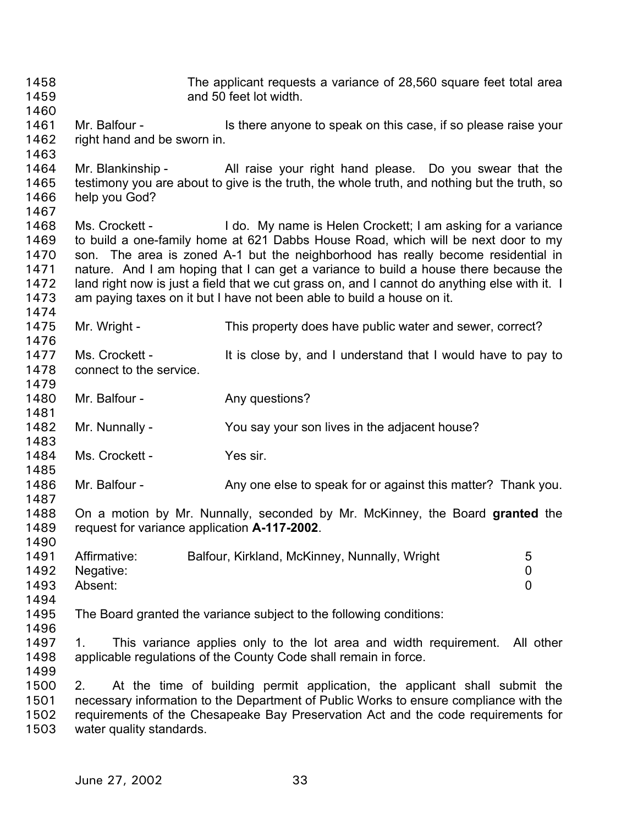The applicant requests a variance of 28,560 square feet total area and 50 feet lot width. 1458 1459 1460 1461 1462 1463 1464 1465 1466 1467 1468 1469 1470 1471 1472 1473 1474 1475 1476 1477 1478 1479 1480 1481 1482 1483 1484 1485 1486 1487 1488 1489 1490 1491 1492 1493 1494 1495 1496 1497 1498 1499 1500 1501 1502 1503 Mr. Balfour - Is there anyone to speak on this case, if so please raise your right hand and be sworn in. Mr. Blankinship - All raise your right hand please. Do you swear that the testimony you are about to give is the truth, the whole truth, and nothing but the truth, so help you God? Ms. Crockett - I do. My name is Helen Crockett; I am asking for a variance to build a one-family home at 621 Dabbs House Road, which will be next door to my son. The area is zoned A-1 but the neighborhood has really become residential in nature. And I am hoping that I can get a variance to build a house there because the land right now is just a field that we cut grass on, and I cannot do anything else with it. I am paying taxes on it but I have not been able to build a house on it. Mr. Wright - This property does have public water and sewer, correct? Ms. Crockett - It is close by, and I understand that I would have to pay to connect to the service. Mr. Balfour - Any questions? Mr. Nunnally - You say your son lives in the adjacent house? Ms. Crockett - Yes sir. Mr. Balfour - Any one else to speak for or against this matter? Thank you. On a motion by Mr. Nunnally, seconded by Mr. McKinney, the Board **granted** the request for variance application **A-117-2002**. Affirmative: Balfour, Kirkland, McKinney, Nunnally, Wright 5 Negative: 0 Absent: 0 The Board granted the variance subject to the following conditions: 1. This variance applies only to the lot area and width requirement. All other applicable regulations of the County Code shall remain in force. 2. At the time of building permit application, the applicant shall submit the necessary information to the Department of Public Works to ensure compliance with the requirements of the Chesapeake Bay Preservation Act and the code requirements for water quality standards.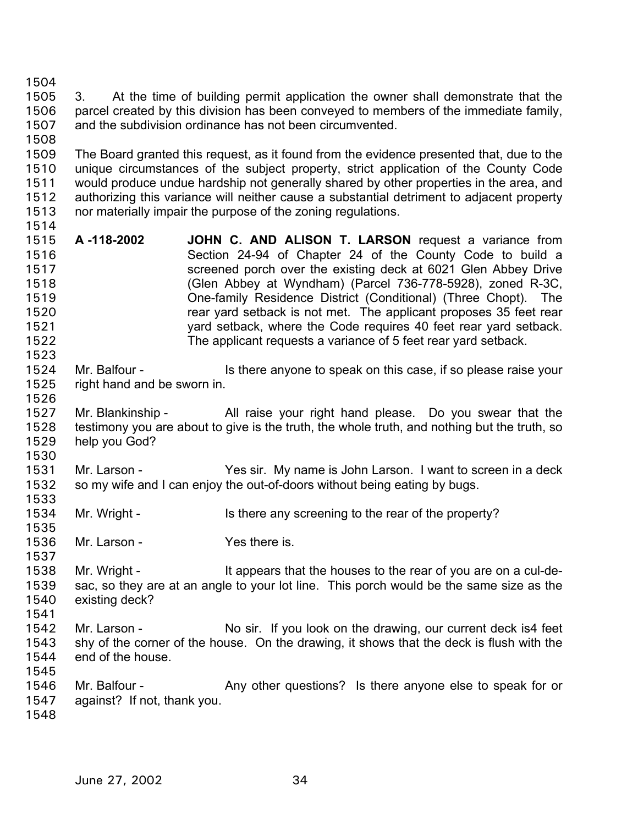1504

1505 1506 1507 3. At the time of building permit application the owner shall demonstrate that the parcel created by this division has been conveyed to members of the immediate family, and the subdivision ordinance has not been circumvented.

1508

1514

1523

1526

1530

1537

1509 1510 1511 1512 1513 The Board granted this request, as it found from the evidence presented that, due to the unique circumstances of the subject property, strict application of the County Code would produce undue hardship not generally shared by other properties in the area, and authorizing this variance will neither cause a substantial detriment to adjacent property nor materially impair the purpose of the zoning regulations.

- 1515 1516 1517 1518 1519 1520 1521 1522 **A -118-2002 JOHN C. AND ALISON T. LARSON** request a variance from Section 24-94 of Chapter 24 of the County Code to build a screened porch over the existing deck at 6021 Glen Abbey Drive (Glen Abbey at Wyndham) (Parcel 736-778-5928), zoned R-3C, One-family Residence District (Conditional) (Three Chopt). The rear yard setback is not met. The applicant proposes 35 feet rear yard setback, where the Code requires 40 feet rear yard setback. The applicant requests a variance of 5 feet rear yard setback.
- 1524 1525 Mr. Balfour - Is there anyone to speak on this case, if so please raise your right hand and be sworn in.
- 1527 1528 1529 Mr. Blankinship - All raise your right hand please. Do you swear that the testimony you are about to give is the truth, the whole truth, and nothing but the truth, so help you God?
- 1531 1532 1533 Mr. Larson - Yes sir. My name is John Larson. I want to screen in a deck so my wife and I can enjoy the out-of-doors without being eating by bugs.
- 1534 1535 Mr. Wright - Is there any screening to the rear of the property?
- 1536 Mr. Larson - The Yes there is.
- 1538 1539 1540 Mr. Wright - It appears that the houses to the rear of you are on a cul-desac, so they are at an angle to your lot line. This porch would be the same size as the existing deck?
- 1541 1542 1543 1544 Mr. Larson - No sir. If you look on the drawing, our current deck is4 feet shy of the corner of the house. On the drawing, it shows that the deck is flush with the end of the house.
- 1545 1546 1547 Mr. Balfour - Any other questions? Is there anyone else to speak for or against? If not, thank you.
- 1548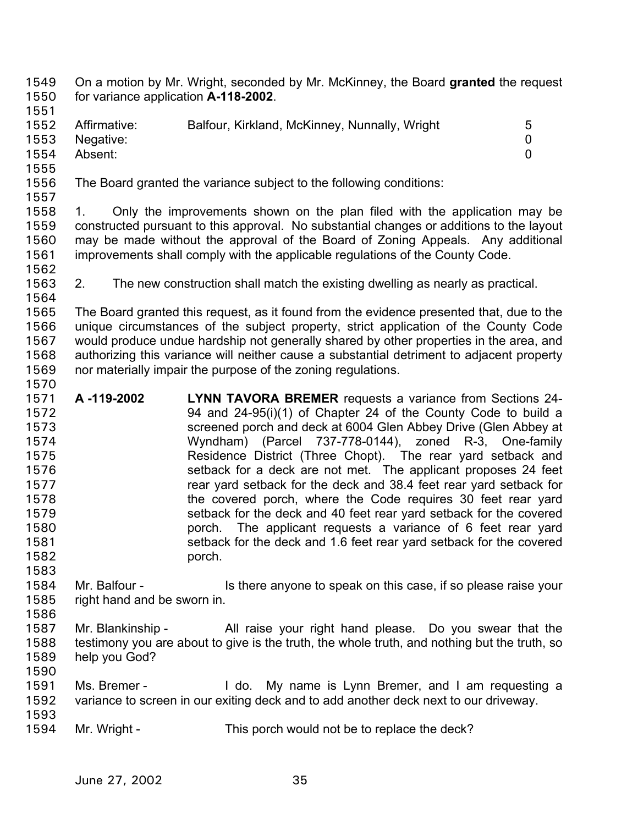On a motion by Mr. Wright, seconded by Mr. McKinney, the Board **granted** the request for variance application **A-118-2002**. 1549 1550

- 1551 1552 1553 1554 1555 Affirmative: Balfour, Kirkland, McKinney, Nunnally, Wright 5 Negative: 0 Absent: 0
- 1556 The Board granted the variance subject to the following conditions:
- 1557

1558 1559 1560 1561 1. Only the improvements shown on the plan filed with the application may be constructed pursuant to this approval. No substantial changes or additions to the layout may be made without the approval of the Board of Zoning Appeals. Any additional improvements shall comply with the applicable regulations of the County Code.

1562

1564

1570

1563 2. The new construction shall match the existing dwelling as nearly as practical.

1565 1566 1567 1568 1569 The Board granted this request, as it found from the evidence presented that, due to the unique circumstances of the subject property, strict application of the County Code would produce undue hardship not generally shared by other properties in the area, and authorizing this variance will neither cause a substantial detriment to adjacent property nor materially impair the purpose of the zoning regulations.

- 1571 1572 1573 1574 1575 1576 1577 1578 1579 1580 1581 1582 1583 **A -119-2002 LYNN TAVORA BREMER** requests a variance from Sections 24- 94 and 24-95(i)(1) of Chapter 24 of the County Code to build a screened porch and deck at 6004 Glen Abbey Drive (Glen Abbey at Wyndham) (Parcel 737-778-0144), zoned R-3, One-family Residence District (Three Chopt). The rear yard setback and setback for a deck are not met. The applicant proposes 24 feet rear yard setback for the deck and 38.4 feet rear yard setback for the covered porch, where the Code requires 30 feet rear yard setback for the deck and 40 feet rear yard setback for the covered porch. The applicant requests a variance of 6 feet rear yard setback for the deck and 1.6 feet rear yard setback for the covered porch.
- 1584 1585 Mr. Balfour - Is there anyone to speak on this case, if so please raise your right hand and be sworn in.
- 1586 1587 1588 1589 Mr. Blankinship - All raise your right hand please. Do you swear that the testimony you are about to give is the truth, the whole truth, and nothing but the truth, so help you God?
- 1590
- 1591 1592 1593 Ms. Bremer - I do. My name is Lynn Bremer, and I am requesting a variance to screen in our exiting deck and to add another deck next to our driveway.
- 1594 Mr. Wright - This porch would not be to replace the deck?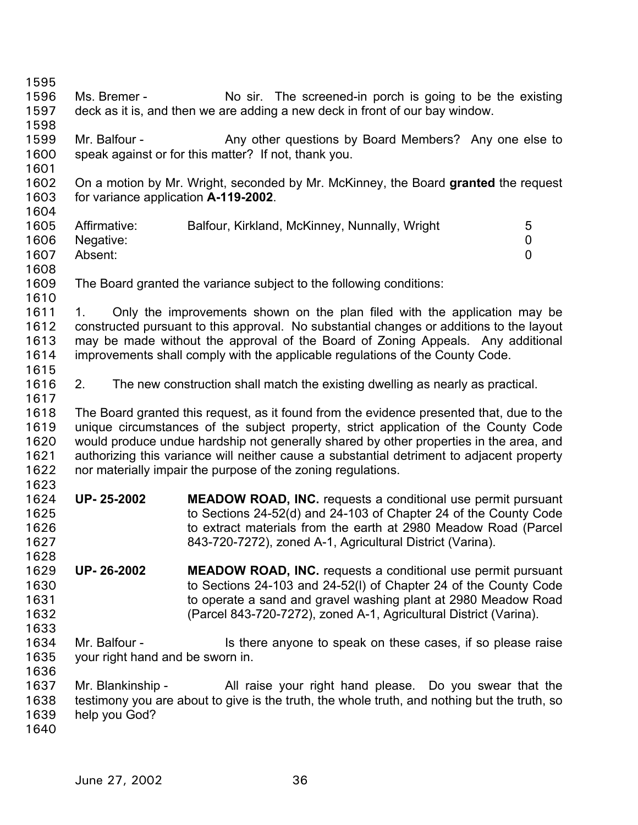1595 1596 1597 1598 1599 1600 1601 1602 1603 1604 1605 1606 1607 1608 1609 1610 1611 1612 1613 1614 1615 1616 1617 1618 1619 1620 1621 1622 1623 1624 1625 1626 1627 1628 1629 1630 1631 1632 1633 1634 1635 1636 1637 1638 1639 1640 Ms. Bremer - No sir. The screened-in porch is going to be the existing deck as it is, and then we are adding a new deck in front of our bay window. Mr. Balfour - Any other questions by Board Members? Any one else to speak against or for this matter? If not, thank you. On a motion by Mr. Wright, seconded by Mr. McKinney, the Board **granted** the request for variance application **A-119-2002**. Affirmative: Balfour, Kirkland, McKinney, Nunnally, Wright 5 Negative: 0 Absent: 0 The Board granted the variance subject to the following conditions: 1. Only the improvements shown on the plan filed with the application may be constructed pursuant to this approval. No substantial changes or additions to the layout may be made without the approval of the Board of Zoning Appeals. Any additional improvements shall comply with the applicable regulations of the County Code. 2. The new construction shall match the existing dwelling as nearly as practical. The Board granted this request, as it found from the evidence presented that, due to the unique circumstances of the subject property, strict application of the County Code would produce undue hardship not generally shared by other properties in the area, and authorizing this variance will neither cause a substantial detriment to adjacent property nor materially impair the purpose of the zoning regulations. **UP- 25-2002 MEADOW ROAD, INC.** requests a conditional use permit pursuant to Sections 24-52(d) and 24-103 of Chapter 24 of the County Code to extract materials from the earth at 2980 Meadow Road (Parcel 843-720-7272), zoned A-1, Agricultural District (Varina). **UP- 26-2002 MEADOW ROAD, INC.** requests a conditional use permit pursuant to Sections 24-103 and 24-52(l) of Chapter 24 of the County Code to operate a sand and gravel washing plant at 2980 Meadow Road (Parcel 843-720-7272), zoned A-1, Agricultural District (Varina). Mr. Balfour - Is there anyone to speak on these cases, if so please raise your right hand and be sworn in. Mr. Blankinship - All raise your right hand please. Do you swear that the testimony you are about to give is the truth, the whole truth, and nothing but the truth, so help you God?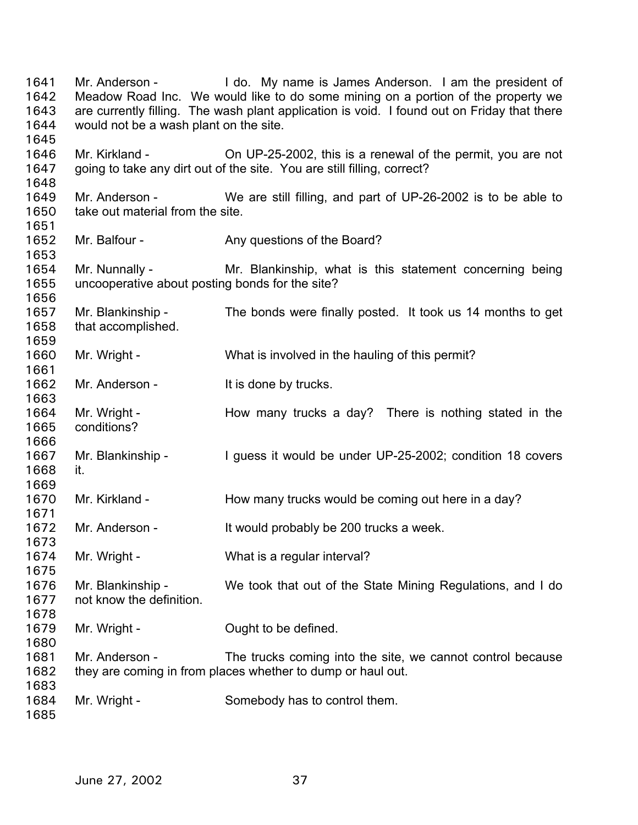Mr. Anderson - I do. My name is James Anderson. I am the president of Meadow Road Inc. We would like to do some mining on a portion of the property we are currently filling. The wash plant application is void. I found out on Friday that there would not be a wash plant on the site. Mr. Kirkland - Ch UP-25-2002, this is a renewal of the permit, you are not going to take any dirt out of the site. You are still filling, correct? Mr. Anderson - We are still filling, and part of UP-26-2002 is to be able to take out material from the site. Mr. Balfour - Any questions of the Board? Mr. Nunnally - Mr. Blankinship, what is this statement concerning being uncooperative about posting bonds for the site? Mr. Blankinship - The bonds were finally posted. It took us 14 months to get that accomplished. Mr. Wright - What is involved in the hauling of this permit? Mr. Anderson - It is done by trucks. Mr. Wright - The How many trucks a day? There is nothing stated in the conditions? Mr. Blankinship - I guess it would be under UP-25-2002; condition 18 covers it. Mr. Kirkland - How many trucks would be coming out here in a day? Mr. Anderson - It would probably be 200 trucks a week. Mr. Wright - What is a regular interval? Mr. Blankinship - We took that out of the State Mining Regulations, and I do not know the definition. Mr. Wright - Cught to be defined. Mr. Anderson - The trucks coming into the site, we cannot control because they are coming in from places whether to dump or haul out. Mr. Wright - Somebody has to control them.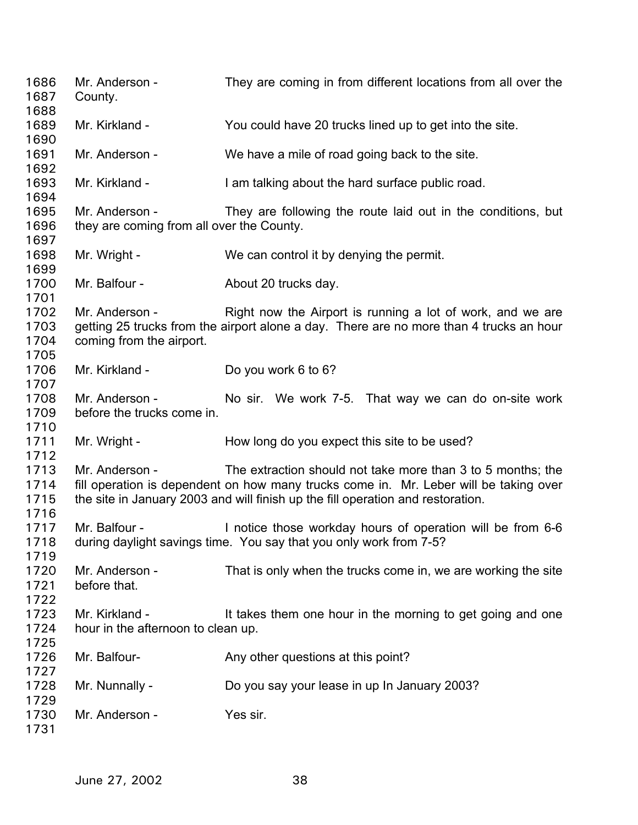Mr. Anderson - They are coming in from different locations from all over the County. Mr. Kirkland - You could have 20 trucks lined up to get into the site. Mr. Anderson - We have a mile of road going back to the site. Mr. Kirkland - I am talking about the hard surface public road. Mr. Anderson - They are following the route laid out in the conditions, but they are coming from all over the County. Mr. Wright - We can control it by denying the permit. Mr. Balfour - **About 20 trucks day.** Mr. Anderson - Right now the Airport is running a lot of work, and we are getting 25 trucks from the airport alone a day. There are no more than 4 trucks an hour coming from the airport. Mr. Kirkland - Do you work 6 to 6? Mr. Anderson - No sir. We work 7-5. That way we can do on-site work before the trucks come in. Mr. Wright - How long do you expect this site to be used? Mr. Anderson - The extraction should not take more than 3 to 5 months; the fill operation is dependent on how many trucks come in. Mr. Leber will be taking over the site in January 2003 and will finish up the fill operation and restoration. Mr. Balfour - Inotice those workday hours of operation will be from 6-6 during daylight savings time. You say that you only work from 7-5? Mr. Anderson - That is only when the trucks come in, we are working the site before that. Mr. Kirkland - It takes them one hour in the morning to get going and one hour in the afternoon to clean up. Mr. Balfour- **Any other questions at this point?** Mr. Nunnally - Do you say your lease in up In January 2003? Mr. Anderson - Yes sir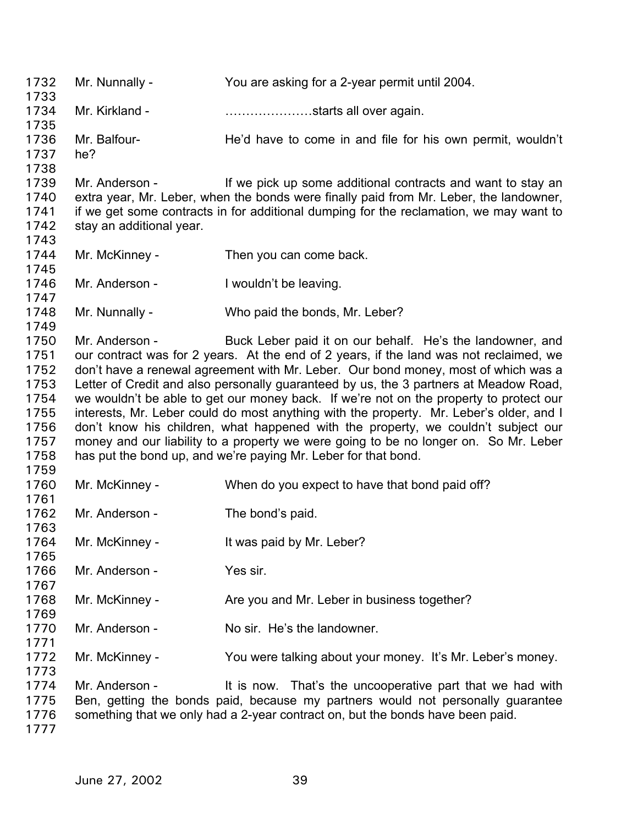Mr. Nunnally - You are asking for a 2-year permit until 2004. Mr. Kirkland - **Example 20** ........................starts all over again. Mr. Balfour- **He'd have to come in and file for his own permit, wouldn't** he? Mr. Anderson - If we pick up some additional contracts and want to stay an extra year, Mr. Leber, when the bonds were finally paid from Mr. Leber, the landowner, if we get some contracts in for additional dumping for the reclamation, we may want to stay an additional year. Mr. McKinney - Then you can come back. Mr. Anderson - I wouldn't be leaving. Mr. Nunnally - Who paid the bonds, Mr. Leber? Mr. Anderson - Buck Leber paid it on our behalf. He's the landowner, and our contract was for 2 years. At the end of 2 years, if the land was not reclaimed, we don't have a renewal agreement with Mr. Leber. Our bond money, most of which was a Letter of Credit and also personally guaranteed by us, the 3 partners at Meadow Road, we wouldn't be able to get our money back. If we're not on the property to protect our interests, Mr. Leber could do most anything with the property. Mr. Leber's older, and I don't know his children, what happened with the property, we couldn't subject our money and our liability to a property we were going to be no longer on. So Mr. Leber has put the bond up, and we're paying Mr. Leber for that bond. Mr. McKinney - When do you expect to have that bond paid off? Mr. Anderson - The bond's paid. Mr. McKinney - It was paid by Mr. Leber? Mr. Anderson - Yes sir Mr. McKinney - Are you and Mr. Leber in business together? Mr. Anderson - No sir. He's the landowner. Mr. McKinney - You were talking about your money. It's Mr. Leber's money. Mr. Anderson - It is now. That's the uncooperative part that we had with Ben, getting the bonds paid, because my partners would not personally guarantee something that we only had a 2-year contract on, but the bonds have been paid.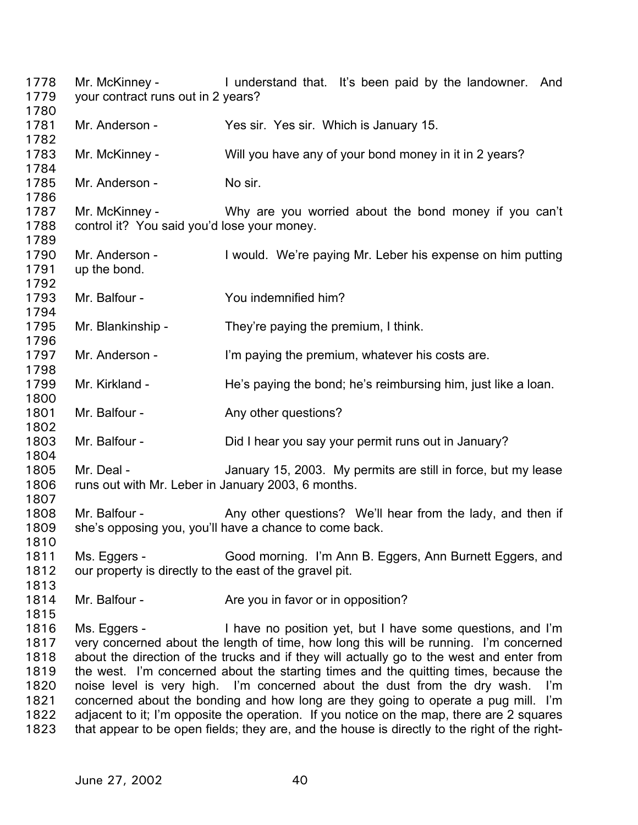Mr. McKinney - I understand that. It's been paid by the landowner. And your contract runs out in 2 years? 1778 1779 1780 1781 1782 1783 1784 1785 1786 1787 1788 1789 1790 1791 1792 1793 1794 1795 1796 1797 1798 1799 1800 1801 1802 1803 1804 1805 1806 1807 1808 1809 1810 1811 1812 1813 1814 1815 1816 1817 1818 1819 1820 1821 1822 1823 Mr. Anderson - Yes sir. Yes sir. Which is January 15. Mr. McKinney - Will you have any of your bond money in it in 2 years? Mr. Anderson - No sir. Mr. McKinney - Why are you worried about the bond money if you can't control it? You said you'd lose your money. Mr. Anderson - I would. We're paying Mr. Leber his expense on him putting up the bond. Mr. Balfour - **You indemnified him?** Mr. Blankinship - They're paying the premium, I think. Mr. Anderson - I'm paying the premium, whatever his costs are. Mr. Kirkland - He's paying the bond; he's reimbursing him, just like a loan. Mr. Balfour - Any other questions? Mr. Balfour - Did I hear you say your permit runs out in January? Mr. Deal - January 15, 2003. My permits are still in force, but my lease runs out with Mr. Leber in January 2003, 6 months. Mr. Balfour - Any other questions? We'll hear from the lady, and then if she's opposing you, you'll have a chance to come back. Ms. Eggers - Good morning. I'm Ann B. Eggers, Ann Burnett Eggers, and our property is directly to the east of the gravel pit. Mr. Balfour - Are you in favor or in opposition? Ms. Eggers - I have no position yet, but I have some questions, and I'm very concerned about the length of time, how long this will be running. I'm concerned about the direction of the trucks and if they will actually go to the west and enter from the west. I'm concerned about the starting times and the quitting times, because the noise level is very high. I'm concerned about the dust from the dry wash. I'm concerned about the bonding and how long are they going to operate a pug mill. I'm adjacent to it; I'm opposite the operation. If you notice on the map, there are 2 squares that appear to be open fields; they are, and the house is directly to the right of the right-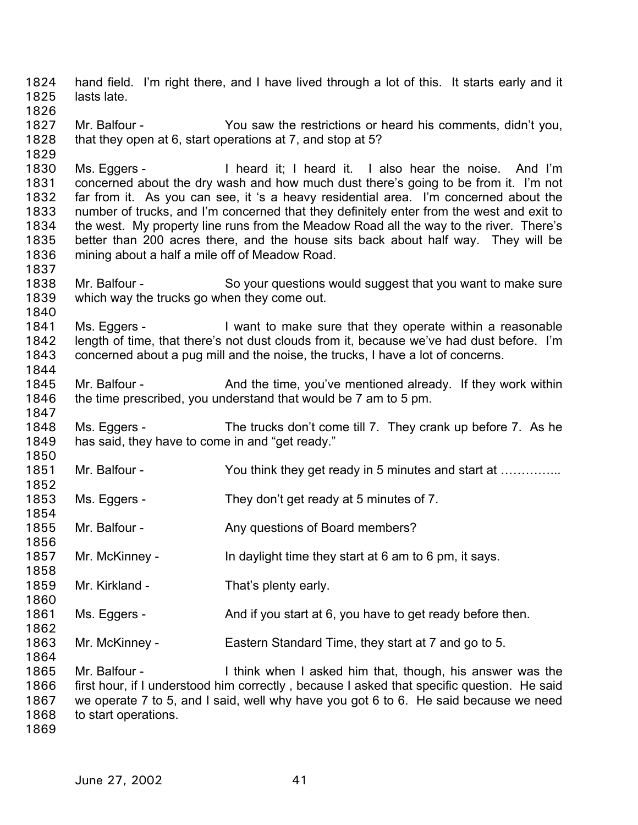hand field. I'm right there, and I have lived through a lot of this. It starts early and it lasts late. 1824 1825 1826 1827 1828 1829 1830 1831 1832 1833 1834 1835 1836 1837 1838 1839 1840 1841 1842 1843 1844 1845 1846 1847 1848 1849 1850 1851 1852 1853 1854 1855 1856 1857 1858 1859 1860 1861 1862 1863 1864 1865 1866 1867 1868 1869 Mr. Balfour - You saw the restrictions or heard his comments, didn't you, that they open at 6, start operations at 7, and stop at 5? Ms. Eggers - I heard it; I heard it. I also hear the noise. And I'm concerned about the dry wash and how much dust there's going to be from it. I'm not far from it. As you can see, it 's a heavy residential area. I'm concerned about the number of trucks, and I'm concerned that they definitely enter from the west and exit to the west. My property line runs from the Meadow Road all the way to the river. There's better than 200 acres there, and the house sits back about half way. They will be mining about a half a mile off of Meadow Road. Mr. Balfour - So your questions would suggest that you want to make sure which way the trucks go when they come out. Ms. Eggers - I want to make sure that they operate within a reasonable length of time, that there's not dust clouds from it, because we've had dust before. I'm concerned about a pug mill and the noise, the trucks, I have a lot of concerns. Mr. Balfour - And the time, you've mentioned already. If they work within the time prescribed, you understand that would be 7 am to 5 pm. Ms. Eggers - The trucks don't come till 7. They crank up before 7. As he has said, they have to come in and "get ready." Mr. Balfour - You think they get ready in 5 minutes and start at ............... Ms. Eggers - They don't get ready at 5 minutes of 7. Mr. Balfour - Any questions of Board members? Mr. McKinney - In daylight time they start at 6 am to 6 pm, it says. Mr. Kirkland - That's plenty early. Ms. Eggers - And if you start at 6, you have to get ready before then. Mr. McKinney - Eastern Standard Time, they start at 7 and go to 5. Mr. Balfour - I think when I asked him that, though, his answer was the first hour, if I understood him correctly , because I asked that specific question. He said we operate 7 to 5, and I said, well why have you got 6 to 6. He said because we need to start operations.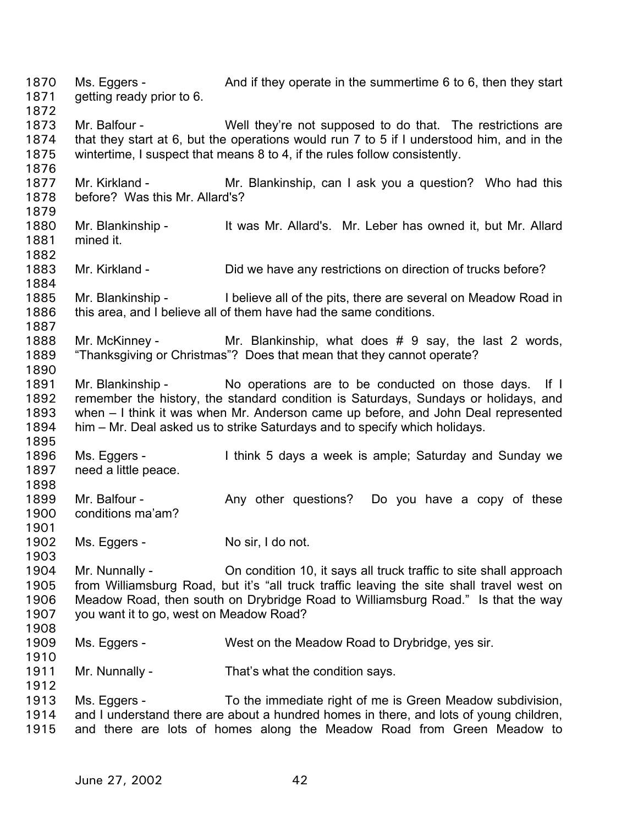Ms. Eggers - And if they operate in the summertime 6 to 6, then they start getting ready prior to 6. 1870 1871 1872 1873 1874 1875 1876 1877 1878 1879 1880 1881 1882 1883 1884 1885 1886 1887 1888 1889 1890 1891 1892 1893 1894 1895 1896 1897 1898 1899 1900 1901 1902 1903 1904 1905 1906 1907 1908 1909 1910 1911 1912 1913 1914 1915 Mr. Balfour - Well they're not supposed to do that. The restrictions are that they start at 6, but the operations would run 7 to 5 if I understood him, and in the wintertime, I suspect that means 8 to 4, if the rules follow consistently. Mr. Kirkland - The Mr. Blankinship, can I ask you a question? Who had this before? Was this Mr. Allard's? Mr. Blankinship - It was Mr. Allard's. Mr. Leber has owned it, but Mr. Allard mined it. Mr. Kirkland - Did we have any restrictions on direction of trucks before? Mr. Blankinship - I believe all of the pits, there are several on Meadow Road in this area, and I believe all of them have had the same conditions. Mr. McKinney - Mr. Blankinship, what does # 9 say, the last 2 words, "Thanksgiving or Christmas"? Does that mean that they cannot operate? Mr. Blankinship - No operations are to be conducted on those days. If I remember the history, the standard condition is Saturdays, Sundays or holidays, and when – I think it was when Mr. Anderson came up before, and John Deal represented him – Mr. Deal asked us to strike Saturdays and to specify which holidays. Ms. Eggers - I think 5 days a week is ample; Saturday and Sunday we need a little peace. Mr. Balfour - Any other questions? Do you have a copy of these conditions ma'am? Ms. Eggers - No sir, I do not. Mr. Nunnally - Christon 10, it says all truck traffic to site shall approach from Williamsburg Road, but it's "all truck traffic leaving the site shall travel west on Meadow Road, then south on Drybridge Road to Williamsburg Road." Is that the way you want it to go, west on Meadow Road? Ms. Eggers - West on the Meadow Road to Drybridge, yes sir. Mr. Nunnally - That's what the condition says. Ms. Eggers - To the immediate right of me is Green Meadow subdivision, and I understand there are about a hundred homes in there, and lots of young children, and there are lots of homes along the Meadow Road from Green Meadow to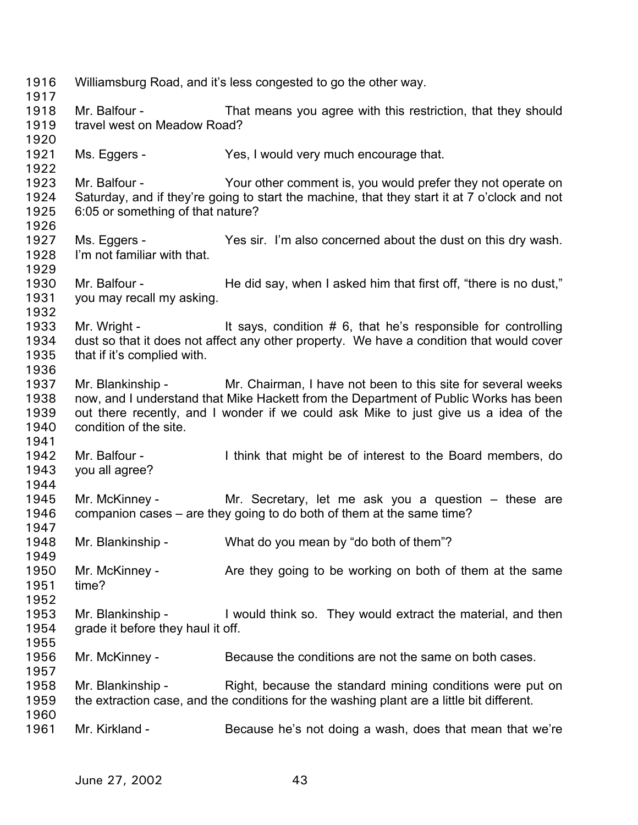| 1916<br>1917 |                                   | Williamsburg Road, and it's less congested to go the other way.                              |
|--------------|-----------------------------------|----------------------------------------------------------------------------------------------|
| 1918         | Mr. Balfour -                     | That means you agree with this restriction, that they should                                 |
| 1919         | travel west on Meadow Road?       |                                                                                              |
| 1920         |                                   |                                                                                              |
| 1921         | Ms. Eggers -                      | Yes, I would very much encourage that.                                                       |
| 1922         |                                   |                                                                                              |
| 1923         | Mr. Balfour -                     | Your other comment is, you would prefer they not operate on                                  |
|              |                                   |                                                                                              |
| 1924         |                                   | Saturday, and if they're going to start the machine, that they start it at 7 o'clock and not |
| 1925         | 6:05 or something of that nature? |                                                                                              |
| 1926         |                                   |                                                                                              |
| 1927         | Ms. Eggers -                      | Yes sir. I'm also concerned about the dust on this dry wash.                                 |
| 1928         | I'm not familiar with that.       |                                                                                              |
| 1929         |                                   |                                                                                              |
| 1930         | Mr. Balfour -                     | He did say, when I asked him that first off, "there is no dust,"                             |
| 1931         | you may recall my asking.         |                                                                                              |
| 1932         |                                   |                                                                                              |
| 1933         | Mr. Wright -                      | It says, condition $# 6$ , that he's responsible for controlling                             |
| 1934         |                                   | dust so that it does not affect any other property. We have a condition that would cover     |
| 1935         | that if it's complied with.       |                                                                                              |
| 1936         |                                   |                                                                                              |
| 1937         |                                   | Mr. Blankinship - Mr. Chairman, I have not been to this site for several weeks               |
| 1938         |                                   | now, and I understand that Mike Hackett from the Department of Public Works has been         |
| 1939         |                                   | out there recently, and I wonder if we could ask Mike to just give us a idea of the          |
| 1940         | condition of the site.            |                                                                                              |
| 1941         |                                   |                                                                                              |
| 1942         | Mr. Balfour -                     | I think that might be of interest to the Board members, do                                   |
| 1943         | you all agree?                    |                                                                                              |
| 1944         |                                   |                                                                                              |
| 1945         | Mr. McKinney -                    | Mr. Secretary, let me ask you a question – these are                                         |
| 1946         |                                   | companion cases – are they going to do both of them at the same time?                        |
| 1947         |                                   |                                                                                              |
| 1948         | Mr. Blankinship -                 | What do you mean by "do both of them"?                                                       |
| 1949         |                                   |                                                                                              |
|              |                                   |                                                                                              |
| 1950         | Mr. McKinney -                    | Are they going to be working on both of them at the same                                     |
| 1951         | time?                             |                                                                                              |
| 1952         |                                   |                                                                                              |
| 1953         | Mr. Blankinship -                 | I would think so. They would extract the material, and then                                  |
| 1954         | grade it before they haul it off. |                                                                                              |
| 1955         |                                   |                                                                                              |
| 1956         | Mr. McKinney -                    | Because the conditions are not the same on both cases.                                       |
| 1957         |                                   |                                                                                              |
| 1958         | Mr. Blankinship -                 | Right, because the standard mining conditions were put on                                    |
| 1959         |                                   | the extraction case, and the conditions for the washing plant are a little bit different.    |
| 1960         |                                   |                                                                                              |
| 1961         | Mr. Kirkland -                    | Because he's not doing a wash, does that mean that we're                                     |
|              |                                   |                                                                                              |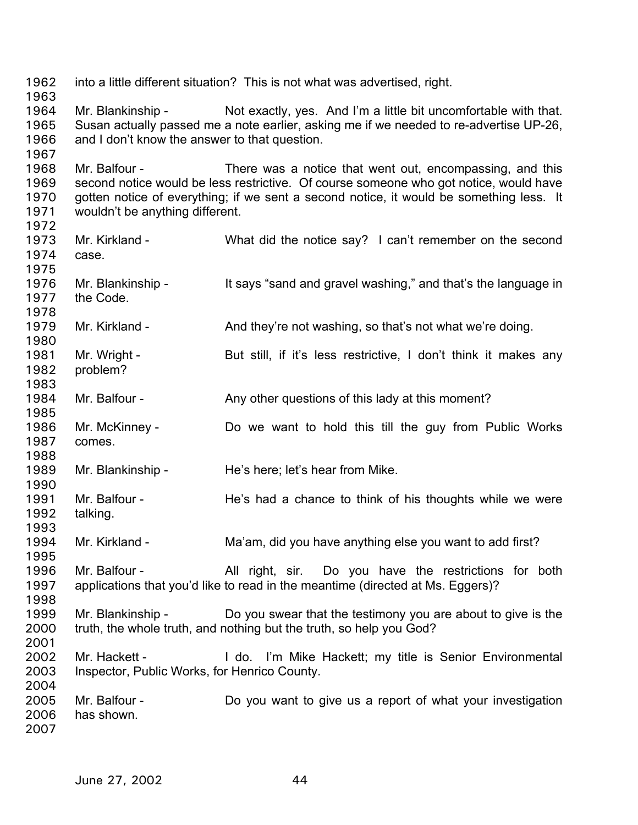into a little different situation? This is not what was advertised, right. Mr. Blankinship - Not exactly, yes. And I'm a little bit uncomfortable with that. Susan actually passed me a note earlier, asking me if we needed to re-advertise UP-26, and I don't know the answer to that question. Mr. Balfour - There was a notice that went out, encompassing, and this second notice would be less restrictive. Of course someone who got notice, would have gotten notice of everything; if we sent a second notice, it would be something less. It wouldn't be anything different. Mr. Kirkland - What did the notice say? I can't remember on the second case. Mr. Blankinship - It says "sand and gravel washing," and that's the language in the Code. Mr. Kirkland - And they're not washing, so that's not what we're doing. Mr. Wright - But still, if it's less restrictive, I don't think it makes any problem? Mr. Balfour - Any other questions of this lady at this moment? Mr. McKinney - Do we want to hold this till the guy from Public Works comes. Mr. Blankinship - He's here; let's hear from Mike. Mr. Balfour - The's had a chance to think of his thoughts while we were talking. Mr. Kirkland - Ma'am, did you have anything else you want to add first? Mr. Balfour - The All right, sir. Do you have the restrictions for both applications that you'd like to read in the meantime (directed at Ms. Eggers)? Mr. Blankinship - Do you swear that the testimony you are about to give is the truth, the whole truth, and nothing but the truth, so help you God? Mr. Hackett - I do. I'm Mike Hackett; my title is Senior Environmental Inspector, Public Works, for Henrico County. Mr. Balfour - **Do** you want to give us a report of what your investigation has shown.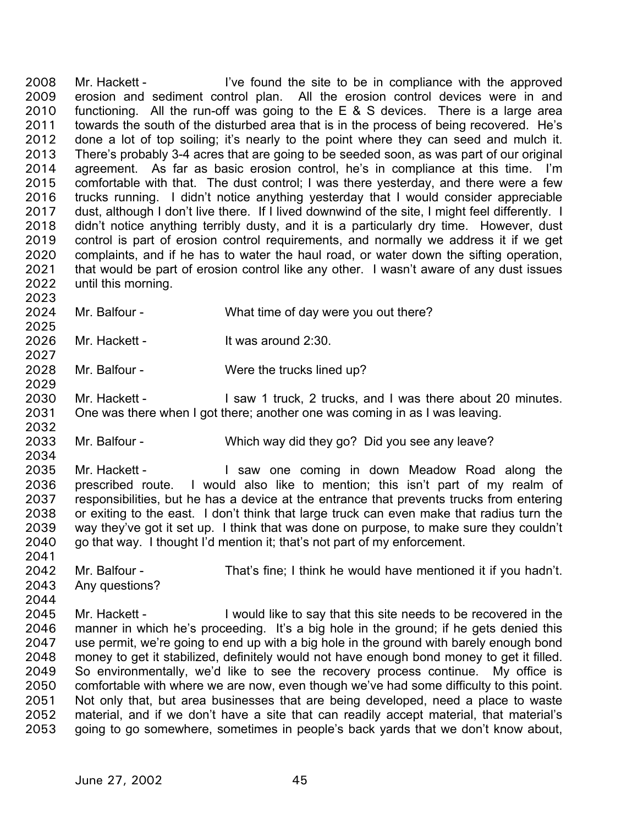Mr. Hackett - I've found the site to be in compliance with the approved erosion and sediment control plan. All the erosion control devices were in and functioning. All the run-off was going to the  $E \& S$  devices. There is a large area towards the south of the disturbed area that is in the process of being recovered. He's done a lot of top soiling; it's nearly to the point where they can seed and mulch it. There's probably 3-4 acres that are going to be seeded soon, as was part of our original agreement. As far as basic erosion control, he's in compliance at this time. I'm comfortable with that. The dust control; I was there yesterday, and there were a few trucks running. I didn't notice anything yesterday that I would consider appreciable dust, although I don't live there. If I lived downwind of the site, I might feel differently. I didn't notice anything terribly dusty, and it is a particularly dry time. However, dust control is part of erosion control requirements, and normally we address it if we get complaints, and if he has to water the haul road, or water down the sifting operation, that would be part of erosion control like any other. I wasn't aware of any dust issues until this morning. 2008 2009 2010 2011 2012 2013 2014 2015 2016 2017 2018 2019 2020 2021 2022

- 2024 Mr. Balfour - What time of day were you out there?
- 2026 Mr. Hackett - It was around 2:30.
- 2028 Mr. Balfour - Were the trucks lined up?
- 2030 2031 Mr. Hackett - The Saw 1 truck, 2 trucks, and I was there about 20 minutes. One was there when I got there; another one was coming in as I was leaving.
- 2033 Mr. Balfour - Which way did they go? Did you see any leave?
- 2035 2036 2037 2038 2039 2040 Mr. Hackett - The Saw one coming in down Meadow Road along the prescribed route. I would also like to mention; this isn't part of my realm of responsibilities, but he has a device at the entrance that prevents trucks from entering or exiting to the east. I don't think that large truck can even make that radius turn the way they've got it set up. I think that was done on purpose, to make sure they couldn't go that way. I thought I'd mention it; that's not part of my enforcement.
- 2042 2043 Mr. Balfour - That's fine; I think he would have mentioned it if you hadn't. Any questions?
- 2044

2041

2023

2025

2027

2029

2032

2034

2045 2046 2047 2048 2049 2050 2051 2052 2053 Mr. Hackett - I would like to say that this site needs to be recovered in the manner in which he's proceeding. It's a big hole in the ground; if he gets denied this use permit, we're going to end up with a big hole in the ground with barely enough bond money to get it stabilized, definitely would not have enough bond money to get it filled. So environmentally, we'd like to see the recovery process continue. My office is comfortable with where we are now, even though we've had some difficulty to this point. Not only that, but area businesses that are being developed, need a place to waste material, and if we don't have a site that can readily accept material, that material's going to go somewhere, sometimes in people's back yards that we don't know about,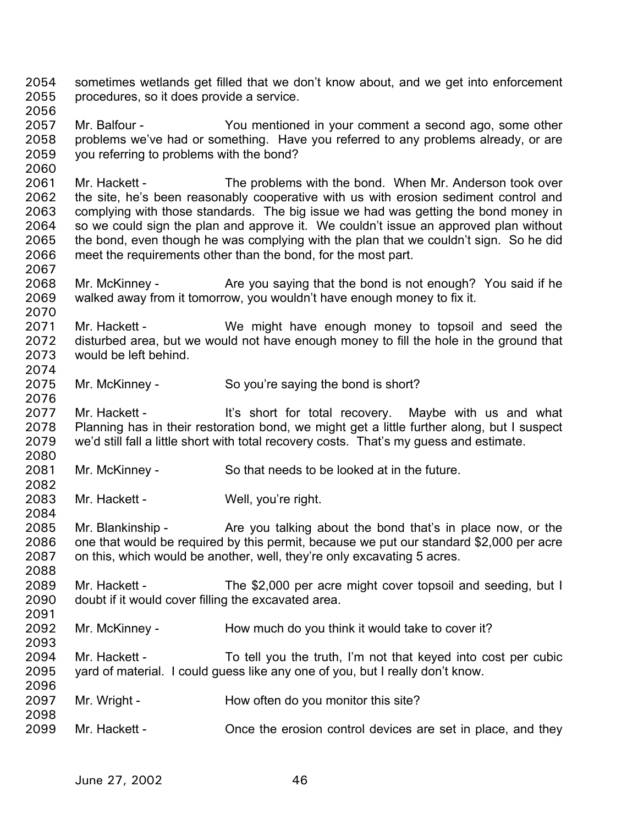sometimes wetlands get filled that we don't know about, and we get into enforcement procedures, so it does provide a service. 2054 2055 2056

- 2057 2058 2059 Mr. Balfour - You mentioned in your comment a second ago, some other problems we've had or something. Have you referred to any problems already, or are you referring to problems with the bond?
- 2061 2062 2063 2064 2065 2066 Mr. Hackett - The problems with the bond. When Mr. Anderson took over the site, he's been reasonably cooperative with us with erosion sediment control and complying with those standards. The big issue we had was getting the bond money in so we could sign the plan and approve it. We couldn't issue an approved plan without the bond, even though he was complying with the plan that we couldn't sign. So he did meet the requirements other than the bond, for the most part.
- 2068 2069 2070 Mr. McKinney - Are you saying that the bond is not enough? You said if he walked away from it tomorrow, you wouldn't have enough money to fix it.
- 2071 2072 2073 2074 Mr. Hackett - We might have enough money to topsoil and seed the disturbed area, but we would not have enough money to fill the hole in the ground that would be left behind.
- 2075 Mr. McKinney - So you're saying the bond is short?
- 2077 2078 2079 2080 Mr. Hackett - The It's short for total recovery. Maybe with us and what Planning has in their restoration bond, we might get a little further along, but I suspect we'd still fall a little short with total recovery costs. That's my guess and estimate.
- 2081 Mr. McKinney - So that needs to be looked at in the future.
- 2083 Mr. Hackett - Well, you're right.
- 2085 2086 2087 Mr. Blankinship - The you talking about the bond that's in place now, or the one that would be required by this permit, because we put our standard \$2,000 per acre on this, which would be another, well, they're only excavating 5 acres.
- 2089 2090 2091 Mr. Hackett - The \$2,000 per acre might cover topsoil and seeding, but I doubt if it would cover filling the excavated area.
- 2092 2093 Mr. McKinney - How much do you think it would take to cover it?
- 2094 2095 Mr. Hackett - To tell you the truth, I'm not that keyed into cost per cubic yard of material. I could guess like any one of you, but I really don't know.
- 2097 2098 Mr. Wright - How often do you monitor this site?
- 2099 Mr. Hackett - Once the erosion control devices are set in place, and they

2060

2067

2076

2082

2084

2088

2096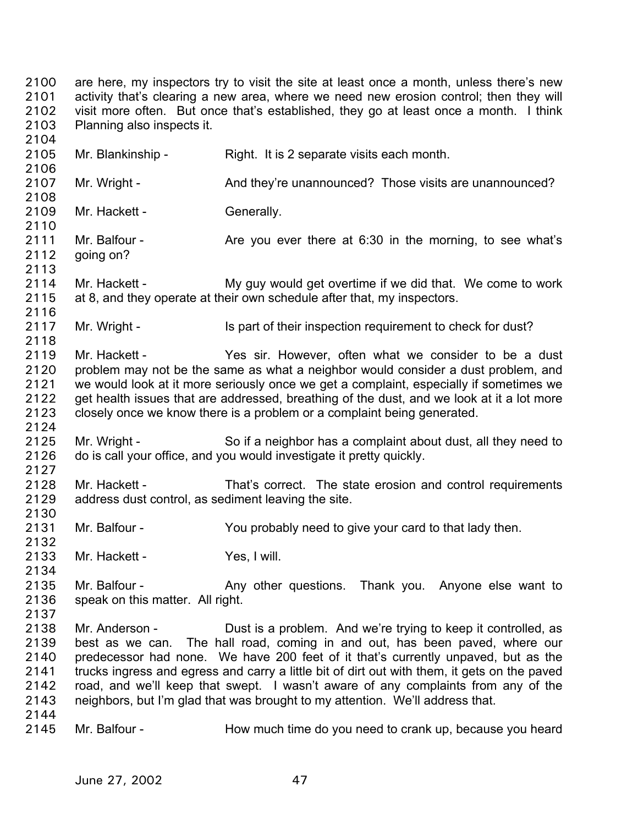are here, my inspectors try to visit the site at least once a month, unless there's new activity that's clearing a new area, where we need new erosion control; then they will visit more often. But once that's established, they go at least once a month. I think Planning also inspects it. 2100 2101 2102 2103 2104

2105 2106 2107 2108 2109 2110 2111 2112 2113 2114 2115 2116 2117 2118 2119 2120 2121 2122 2123 2124 2125 2126 2127 2128 2129 2130 2131 2132 2133 2134 2135 2136 2137 2138 2139 2140 2141 2142 2143 2144 2145 Mr. Blankinship - Right. It is 2 separate visits each month. Mr. Wright - And they're unannounced? Those visits are unannounced? Mr. Hackett - Generally. Mr. Balfour - Are you ever there at 6:30 in the morning, to see what's going on? Mr. Hackett - My guy would get overtime if we did that. We come to work at 8, and they operate at their own schedule after that, my inspectors. Mr. Wright - Is part of their inspection requirement to check for dust? Mr. Hackett - The Yes sir. However, often what we consider to be a dust problem may not be the same as what a neighbor would consider a dust problem, and we would look at it more seriously once we get a complaint, especially if sometimes we get health issues that are addressed, breathing of the dust, and we look at it a lot more closely once we know there is a problem or a complaint being generated. Mr. Wright - So if a neighbor has a complaint about dust, all they need to do is call your office, and you would investigate it pretty quickly. Mr. Hackett - That's correct. The state erosion and control requirements address dust control, as sediment leaving the site. Mr. Balfour - You probably need to give your card to that lady then. Mr. Hackett - Yes, I will. Mr. Balfour - Thank you. Any other questions. Thank you. Anyone else want to speak on this matter. All right. Mr. Anderson - Dust is a problem. And we're trying to keep it controlled, as best as we can. The hall road, coming in and out, has been paved, where our predecessor had none. We have 200 feet of it that's currently unpaved, but as the trucks ingress and egress and carry a little bit of dirt out with them, it gets on the paved road, and we'll keep that swept. I wasn't aware of any complaints from any of the neighbors, but I'm glad that was brought to my attention. We'll address that. Mr. Balfour - **How much time do you need to crank up, because you heard**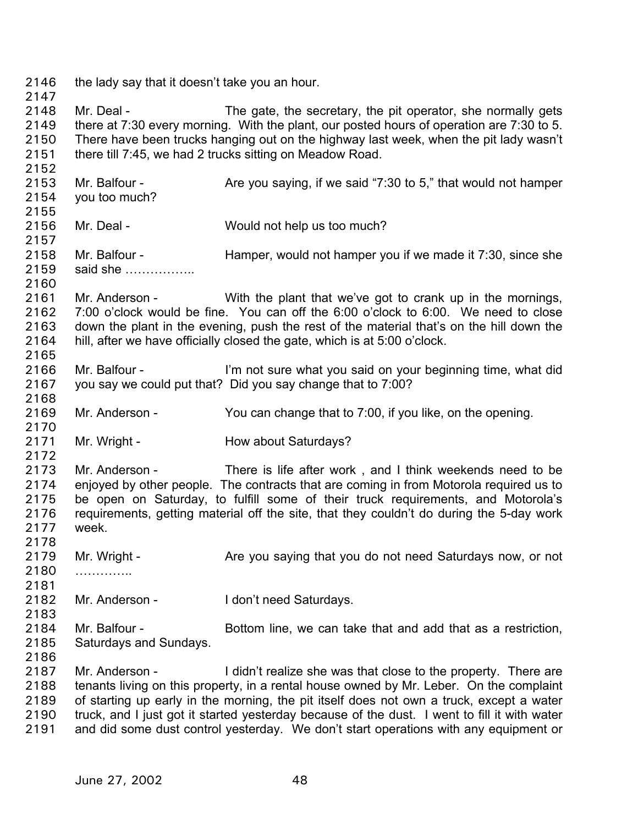2146 the lady say that it doesn't take you an hour. 2147 2148 2149 2150 2151 2152 2153 2154 2155 2156 2157 2158 2159 2160 2161 2162 2163 2164 2165 2166 2167 2168 2169 2170 2171 2172 2173 2174 2175 2176 2177 2178 2179 2180 2181 2182 2183 2184 2185 2186 2187 2188 2189 2190 2191 Mr. Deal - The gate, the secretary, the pit operator, she normally gets there at 7:30 every morning. With the plant, our posted hours of operation are 7:30 to 5. There have been trucks hanging out on the highway last week, when the pit lady wasn't there till 7:45, we had 2 trucks sitting on Meadow Road. Mr. Balfour - Are you saying, if we said "7:30 to 5," that would not hamper you too much? Mr. Deal - Would not help us too much? Mr. Balfour - Hamper, would not hamper you if we made it 7:30, since she said she …………….. Mr. Anderson - With the plant that we've got to crank up in the mornings, 7:00 o'clock would be fine. You can off the 6:00 o'clock to 6:00. We need to close down the plant in the evening, push the rest of the material that's on the hill down the hill, after we have officially closed the gate, which is at 5:00 o'clock. Mr. Balfour - I'm not sure what you said on your beginning time, what did you say we could put that? Did you say change that to 7:00? Mr. Anderson - You can change that to 7:00, if you like, on the opening. Mr. Wright - **How about Saturdays?** Mr. Anderson - There is life after work, and I think weekends need to be enjoyed by other people. The contracts that are coming in from Motorola required us to be open on Saturday, to fulfill some of their truck requirements, and Motorola's requirements, getting material off the site, that they couldn't do during the 5-day work week. Mr. Wright - Are you saying that you do not need Saturdays now, or not ……………… Mr. Anderson - I don't need Saturdays. Mr. Balfour - Bottom line, we can take that and add that as a restriction, Saturdays and Sundays. Mr. Anderson - I didn't realize she was that close to the property. There are tenants living on this property, in a rental house owned by Mr. Leber. On the complaint of starting up early in the morning, the pit itself does not own a truck, except a water truck, and I just got it started yesterday because of the dust. I went to fill it with water and did some dust control yesterday. We don't start operations with any equipment or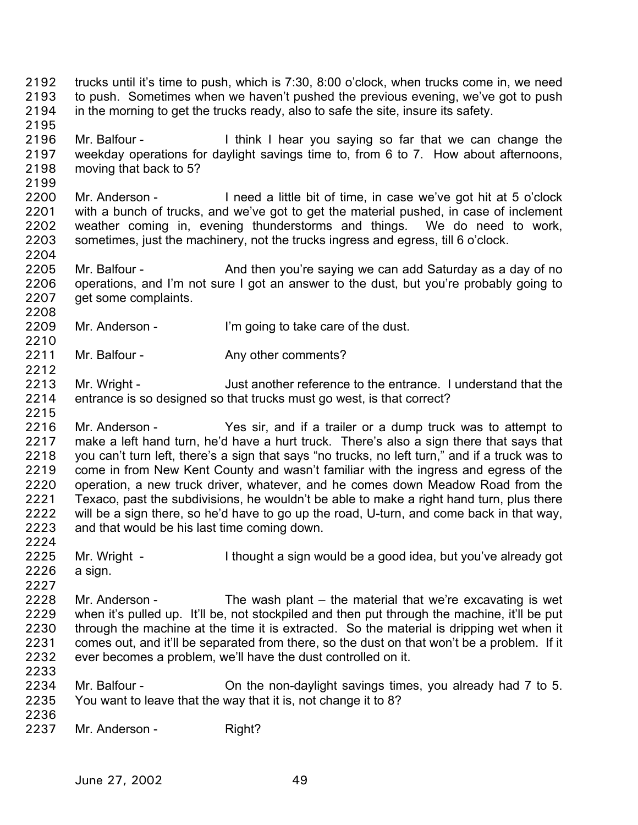- trucks until it's time to push, which is 7:30, 8:00 o'clock, when trucks come in, we need to push. Sometimes when we haven't pushed the previous evening, we've got to push in the morning to get the trucks ready, also to safe the site, insure its safety. 2192 2193 2194
- 2195 2196 2197 2198 Mr. Balfour - I think I hear you saying so far that we can change the weekday operations for daylight savings time to, from 6 to 7. How about afternoons, moving that back to 5?
- 2200 2201 2202 2203 Mr. Anderson - I need a little bit of time, in case we've got hit at 5 o'clock with a bunch of trucks, and we've got to get the material pushed, in case of inclement weather coming in, evening thunderstorms and things. We do need to work, sometimes, just the machinery, not the trucks ingress and egress, till 6 o'clock.
- 2205 2206 2207 Mr. Balfour - And then you're saying we can add Saturday as a day of no operations, and I'm not sure I got an answer to the dust, but you're probably going to get some complaints.
- 2209 2210 Mr. Anderson - I'm going to take care of the dust.
- 2211 Mr. Balfour - Any other comments?
- 2213 2214 2215 Mr. Wright - Just another reference to the entrance. I understand that the entrance is so designed so that trucks must go west, is that correct?
- 2216 2217 2218 2219 2220 2221 2222 2223 2224 Mr. Anderson - Yes sir, and if a trailer or a dump truck was to attempt to make a left hand turn, he'd have a hurt truck. There's also a sign there that says that you can't turn left, there's a sign that says "no trucks, no left turn," and if a truck was to come in from New Kent County and wasn't familiar with the ingress and egress of the operation, a new truck driver, whatever, and he comes down Meadow Road from the Texaco, past the subdivisions, he wouldn't be able to make a right hand turn, plus there will be a sign there, so he'd have to go up the road, U-turn, and come back in that way, and that would be his last time coming down.
- 2225 2226 Mr. Wright - I thought a sign would be a good idea, but you've already got a sign.
- 2227 2228 2229 2230 2231 2232 2233 Mr. Anderson - The wash plant – the material that we're excavating is wet when it's pulled up. It'll be, not stockpiled and then put through the machine, it'll be put through the machine at the time it is extracted. So the material is dripping wet when it comes out, and it'll be separated from there, so the dust on that won't be a problem. If it ever becomes a problem, we'll have the dust controlled on it.
- 2234 2235 Mr. Balfour - Christian on-daylight savings times, you already had 7 to 5. You want to leave that the way that it is, not change it to 8?
- 2236

2199

2204

2208

2212

2237 Mr. Anderson - Right?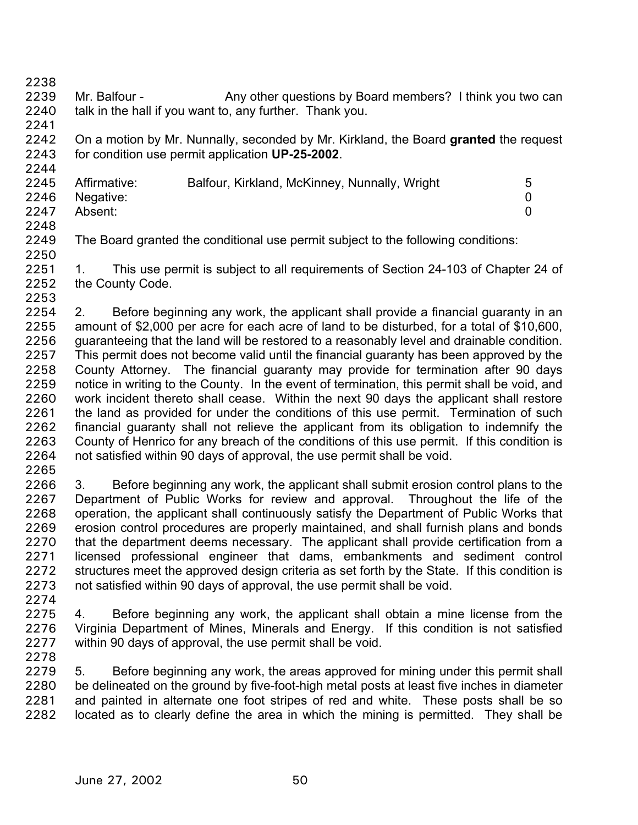2238

2239 2240 2241 Mr. Balfour - Any other questions by Board members? I think you two can talk in the hall if you want to, any further. Thank you.

2242 2243 2244 On a motion by Mr. Nunnally, seconded by Mr. Kirkland, the Board **granted** the request for condition use permit application **UP-25-2002**.

| 2245 | Affirmative: | Balfour, Kirkland, McKinney, Nunnally, Wright | 5 |
|------|--------------|-----------------------------------------------|---|
| 2246 | Negative:    |                                               |   |
| 2247 | Absent:      |                                               |   |
| 2248 |              |                                               |   |

2249 2250 The Board granted the conditional use permit subject to the following conditions:

2251 2252 1. This use permit is subject to all requirements of Section 24-103 of Chapter 24 of the County Code.

- 2253 2254 2255 2256 2257 2258 2259 2260 2261 2262 2263 2264 2. Before beginning any work, the applicant shall provide a financial guaranty in an amount of \$2,000 per acre for each acre of land to be disturbed, for a total of \$10,600, guaranteeing that the land will be restored to a reasonably level and drainable condition. This permit does not become valid until the financial guaranty has been approved by the County Attorney. The financial guaranty may provide for termination after 90 days notice in writing to the County. In the event of termination, this permit shall be void, and work incident thereto shall cease. Within the next 90 days the applicant shall restore the land as provided for under the conditions of this use permit. Termination of such financial guaranty shall not relieve the applicant from its obligation to indemnify the County of Henrico for any breach of the conditions of this use permit. If this condition is not satisfied within 90 days of approval, the use permit shall be void.
- 2265

2266 2267 2268 2269 2270 2271 2272 2273 2274 3. Before beginning any work, the applicant shall submit erosion control plans to the Department of Public Works for review and approval. Throughout the life of the operation, the applicant shall continuously satisfy the Department of Public Works that erosion control procedures are properly maintained, and shall furnish plans and bonds that the department deems necessary. The applicant shall provide certification from a licensed professional engineer that dams, embankments and sediment control structures meet the approved design criteria as set forth by the State. If this condition is not satisfied within 90 days of approval, the use permit shall be void.

- 2275 2276 2277 4. Before beginning any work, the applicant shall obtain a mine license from the Virginia Department of Mines, Minerals and Energy. If this condition is not satisfied within 90 days of approval, the use permit shall be void.
- 2278

2279 2280 2281 2282 5. Before beginning any work, the areas approved for mining under this permit shall be delineated on the ground by five-foot-high metal posts at least five inches in diameter and painted in alternate one foot stripes of red and white. These posts shall be so located as to clearly define the area in which the mining is permitted. They shall be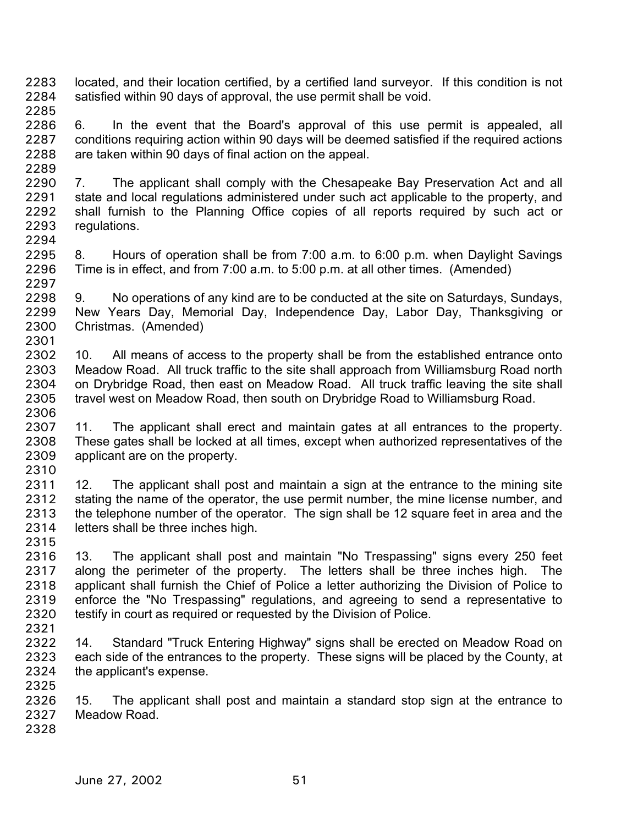- located, and their location certified, by a certified land surveyor. If this condition is not satisfied within 90 days of approval, the use permit shall be void. 2283 2284 2285
- 2286 2287 2288 2289 6. In the event that the Board's approval of this use permit is appealed, all conditions requiring action within 90 days will be deemed satisfied if the required actions are taken within 90 days of final action on the appeal.
- 2290 2291 2292 2293 2294 7. The applicant shall comply with the Chesapeake Bay Preservation Act and all state and local regulations administered under such act applicable to the property, and shall furnish to the Planning Office copies of all reports required by such act or regulations.
- 2295 2296 2297 8. Hours of operation shall be from 7:00 a.m. to 6:00 p.m. when Daylight Savings Time is in effect, and from 7:00 a.m. to 5:00 p.m. at all other times. (Amended)
- 2298 2299 2300 2301 9. No operations of any kind are to be conducted at the site on Saturdays, Sundays, New Years Day, Memorial Day, Independence Day, Labor Day, Thanksgiving or Christmas. (Amended)
- 2302 2303 2304 2305 2306 10. All means of access to the property shall be from the established entrance onto Meadow Road. All truck traffic to the site shall approach from Williamsburg Road north on Drybridge Road, then east on Meadow Road. All truck traffic leaving the site shall travel west on Meadow Road, then south on Drybridge Road to Williamsburg Road.
- 2307 2308 2309 2310 11. The applicant shall erect and maintain gates at all entrances to the property. These gates shall be locked at all times, except when authorized representatives of the applicant are on the property.
- 2311 2312 2313 2314 12. The applicant shall post and maintain a sign at the entrance to the mining site stating the name of the operator, the use permit number, the mine license number, and the telephone number of the operator. The sign shall be 12 square feet in area and the letters shall be three inches high.
- 2315 2316 2317 2318 2319 2320 13. The applicant shall post and maintain "No Trespassing" signs every 250 feet along the perimeter of the property. The letters shall be three inches high. The applicant shall furnish the Chief of Police a letter authorizing the Division of Police to enforce the "No Trespassing" regulations, and agreeing to send a representative to testify in court as required or requested by the Division of Police.
- 2321
- 2322 2323 2324 2325 14. Standard "Truck Entering Highway" signs shall be erected on Meadow Road on each side of the entrances to the property. These signs will be placed by the County, at the applicant's expense.
- 2326 2327 15. The applicant shall post and maintain a standard stop sign at the entrance to Meadow Road.
- 2328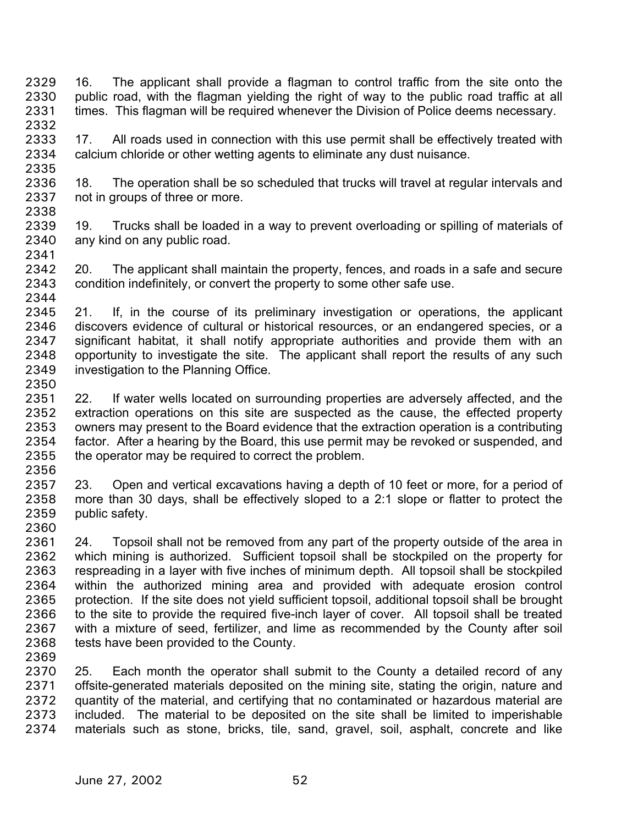16. The applicant shall provide a flagman to control traffic from the site onto the public road, with the flagman yielding the right of way to the public road traffic at all times. This flagman will be required whenever the Division of Police deems necessary. 2329 2330 2331 2332

2333 2334 2335 17. All roads used in connection with this use permit shall be effectively treated with calcium chloride or other wetting agents to eliminate any dust nuisance.

2336 2337 2338 18. The operation shall be so scheduled that trucks will travel at regular intervals and not in groups of three or more.

- 2339 2340 19. Trucks shall be loaded in a way to prevent overloading or spilling of materials of any kind on any public road.
- 2342 2343 20. The applicant shall maintain the property, fences, and roads in a safe and secure condition indefinitely, or convert the property to some other safe use.

2344

2356

2369

2341

2345 2346 2347 2348 2349 2350 21. If, in the course of its preliminary investigation or operations, the applicant discovers evidence of cultural or historical resources, or an endangered species, or a significant habitat, it shall notify appropriate authorities and provide them with an opportunity to investigate the site. The applicant shall report the results of any such investigation to the Planning Office.

- 2351 2352 2353 2354 2355 22. If water wells located on surrounding properties are adversely affected, and the extraction operations on this site are suspected as the cause, the effected property owners may present to the Board evidence that the extraction operation is a contributing factor. After a hearing by the Board, this use permit may be revoked or suspended, and the operator may be required to correct the problem.
- 2357 2358 2359 2360 23. Open and vertical excavations having a depth of 10 feet or more, for a period of more than 30 days, shall be effectively sloped to a 2:1 slope or flatter to protect the public safety.
- 2361 2362 2363 2364 2365 2366 2367 2368 24. Topsoil shall not be removed from any part of the property outside of the area in which mining is authorized. Sufficient topsoil shall be stockpiled on the property for respreading in a layer with five inches of minimum depth. All topsoil shall be stockpiled within the authorized mining area and provided with adequate erosion control protection. If the site does not yield sufficient topsoil, additional topsoil shall be brought to the site to provide the required five-inch layer of cover. All topsoil shall be treated with a mixture of seed, fertilizer, and lime as recommended by the County after soil tests have been provided to the County.
- 2370 2371 2372 2373 2374 25. Each month the operator shall submit to the County a detailed record of any offsite-generated materials deposited on the mining site, stating the origin, nature and quantity of the material, and certifying that no contaminated or hazardous material are included. The material to be deposited on the site shall be limited to imperishable materials such as stone, bricks, tile, sand, gravel, soil, asphalt, concrete and like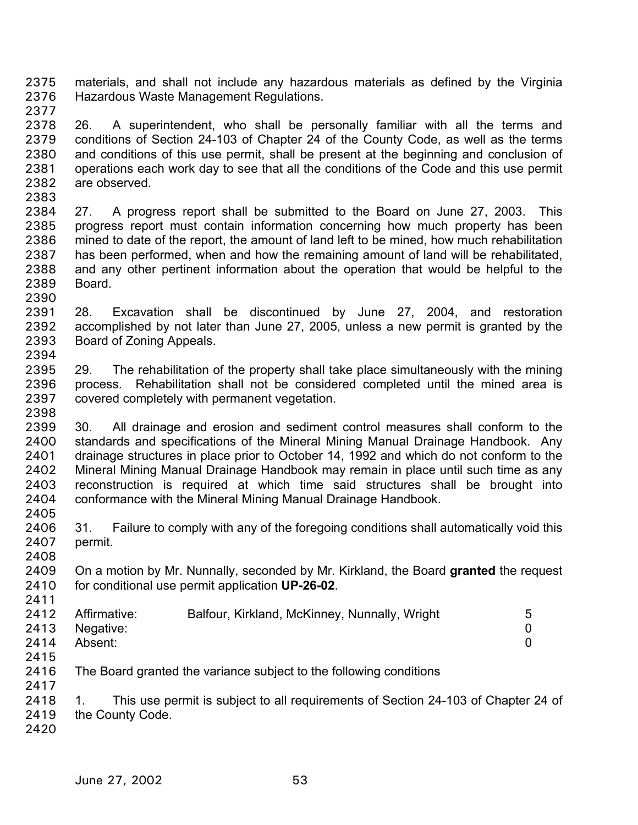materials, and shall not include any hazardous materials as defined by the Virginia Hazardous Waste Management Regulations. 2375 2376 2377

- 2378 2379 2380 2381 2382 26. A superintendent, who shall be personally familiar with all the terms and conditions of Section 24-103 of Chapter 24 of the County Code, as well as the terms and conditions of this use permit, shall be present at the beginning and conclusion of operations each work day to see that all the conditions of the Code and this use permit are observed.
- 2383

2390

2384 2385 2386 2387 2388 2389 27. A progress report shall be submitted to the Board on June 27, 2003. This progress report must contain information concerning how much property has been mined to date of the report, the amount of land left to be mined, how much rehabilitation has been performed, when and how the remaining amount of land will be rehabilitated, and any other pertinent information about the operation that would be helpful to the Board.

2391 2392 2393 2394 28. Excavation shall be discontinued by June 27, 2004, and restoration accomplished by not later than June 27, 2005, unless a new permit is granted by the Board of Zoning Appeals.

2395 2396 2397 2398 29. The rehabilitation of the property shall take place simultaneously with the mining process. Rehabilitation shall not be considered completed until the mined area is covered completely with permanent vegetation.

2399 2400 2401 2402 2403 2404 2405 30. All drainage and erosion and sediment control measures shall conform to the standards and specifications of the Mineral Mining Manual Drainage Handbook. Any drainage structures in place prior to October 14, 1992 and which do not conform to the Mineral Mining Manual Drainage Handbook may remain in place until such time as any reconstruction is required at which time said structures shall be brought into conformance with the Mineral Mining Manual Drainage Handbook.

2406 2407 2408 31. Failure to comply with any of the foregoing conditions shall automatically void this permit.

2409 2410 2411 On a motion by Mr. Nunnally, seconded by Mr. Kirkland, the Board **granted** the request for conditional use permit application **UP-26-02**.

|      | 2412 Affirmative: | Balfour, Kirkland, McKinney, Nunnally, Wright | 5 |
|------|-------------------|-----------------------------------------------|---|
|      | 2413 Negative:    |                                               |   |
| 2414 | Absent:           |                                               |   |
| 2415 |                   |                                               |   |

2416 The Board granted the variance subject to the following conditions

2418 2419 1. This use permit is subject to all requirements of Section 24-103 of Chapter 24 of the County Code.

2420

2417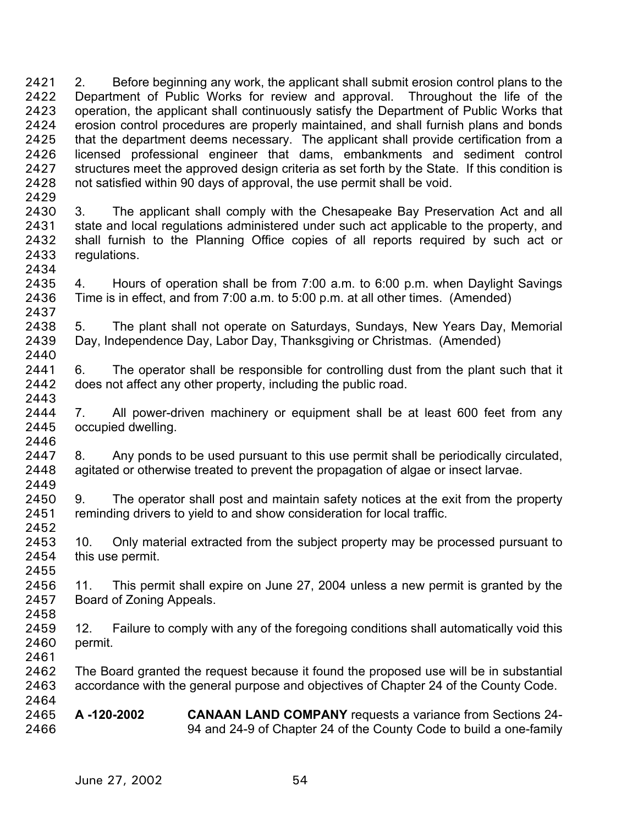2. Before beginning any work, the applicant shall submit erosion control plans to the Department of Public Works for review and approval. Throughout the life of the operation, the applicant shall continuously satisfy the Department of Public Works that erosion control procedures are properly maintained, and shall furnish plans and bonds that the department deems necessary. The applicant shall provide certification from a licensed professional engineer that dams, embankments and sediment control structures meet the approved design criteria as set forth by the State. If this condition is not satisfied within 90 days of approval, the use permit shall be void. 2421 2422 2423 2424 2425 2426 2427 2428 2429

2430 2431 2432 2433 2434 3. The applicant shall comply with the Chesapeake Bay Preservation Act and all state and local regulations administered under such act applicable to the property, and shall furnish to the Planning Office copies of all reports required by such act or regulations.

2435 2436 2437 4. Hours of operation shall be from 7:00 a.m. to 6:00 p.m. when Daylight Savings Time is in effect, and from 7:00 a.m. to 5:00 p.m. at all other times. (Amended)

2438 2439 2440 5. The plant shall not operate on Saturdays, Sundays, New Years Day, Memorial Day, Independence Day, Labor Day, Thanksgiving or Christmas. (Amended)

2441 2442 6. The operator shall be responsible for controlling dust from the plant such that it does not affect any other property, including the public road.

2444 2445 2446 7. All power-driven machinery or equipment shall be at least 600 feet from any occupied dwelling.

2447 2448 2449 8. Any ponds to be used pursuant to this use permit shall be periodically circulated, agitated or otherwise treated to prevent the propagation of algae or insect larvae.

2450 2451 2452 9. The operator shall post and maintain safety notices at the exit from the property reminding drivers to yield to and show consideration for local traffic.

2453 2454 10. Only material extracted from the subject property may be processed pursuant to this use permit.

2456 2457 11. This permit shall expire on June 27, 2004 unless a new permit is granted by the Board of Zoning Appeals.

2459 2460 12. Failure to comply with any of the foregoing conditions shall automatically void this permit.

2462 2463 2464 The Board granted the request because it found the proposed use will be in substantial accordance with the general purpose and objectives of Chapter 24 of the County Code.

2465 2466 **A -120-2002 CANAAN LAND COMPANY** requests a variance from Sections 24- 94 and 24-9 of Chapter 24 of the County Code to build a one-family

2443

2455

2458

2461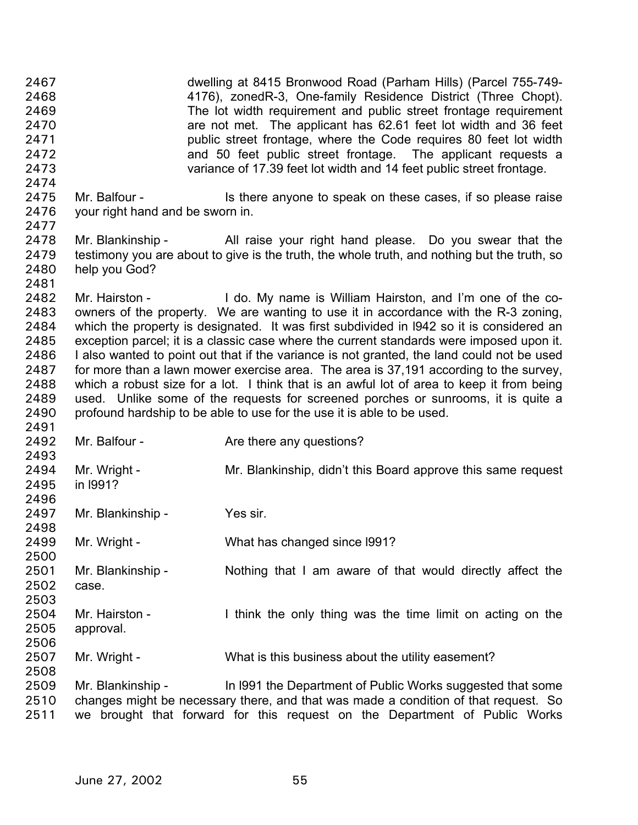dwelling at 8415 Bronwood Road (Parham Hills) (Parcel 755-749- 4176), zonedR-3, One-family Residence District (Three Chopt). The lot width requirement and public street frontage requirement are not met. The applicant has 62.61 feet lot width and 36 feet public street frontage, where the Code requires 80 feet lot width and 50 feet public street frontage. The applicant requests a variance of 17.39 feet lot width and 14 feet public street frontage. 2467 2468 2469 2470 2471 2472 2473 2474 2475 2476 2477 2478 2479 2480 2481 2482 2483 2484 2485 2486 2487 2488 2489 2490 2491 2492 2493 2494 2495 2496 2497 2498 2499 2500 2501 2502 2503 2504 2505 2506 2507 2508 2509 2510 2511 Mr. Balfour - Is there anyone to speak on these cases, if so please raise your right hand and be sworn in. Mr. Blankinship - All raise your right hand please. Do you swear that the testimony you are about to give is the truth, the whole truth, and nothing but the truth, so help you God? Mr. Hairston - I do. My name is William Hairston, and I'm one of the coowners of the property. We are wanting to use it in accordance with the R-3 zoning, which the property is designated. It was first subdivided in l942 so it is considered an exception parcel; it is a classic case where the current standards were imposed upon it. I also wanted to point out that if the variance is not granted, the land could not be used for more than a lawn mower exercise area. The area is 37,191 according to the survey, which a robust size for a lot. I think that is an awful lot of area to keep it from being used. Unlike some of the requests for screened porches or sunrooms, it is quite a profound hardship to be able to use for the use it is able to be used. Mr. Balfour - **Are there any questions?** Mr. Wright - Mr. Blankinship, didn't this Board approve this same request in l991? Mr. Blankinship - Yes sir. Mr. Wright - What has changed since 1991? Mr. Blankinship - Nothing that I am aware of that would directly affect the case. Mr. Hairston - I think the only thing was the time limit on acting on the approval. Mr. Wright - What is this business about the utility easement? Mr. Blankinship - In 1991 the Department of Public Works suggested that some changes might be necessary there, and that was made a condition of that request. So we brought that forward for this request on the Department of Public Works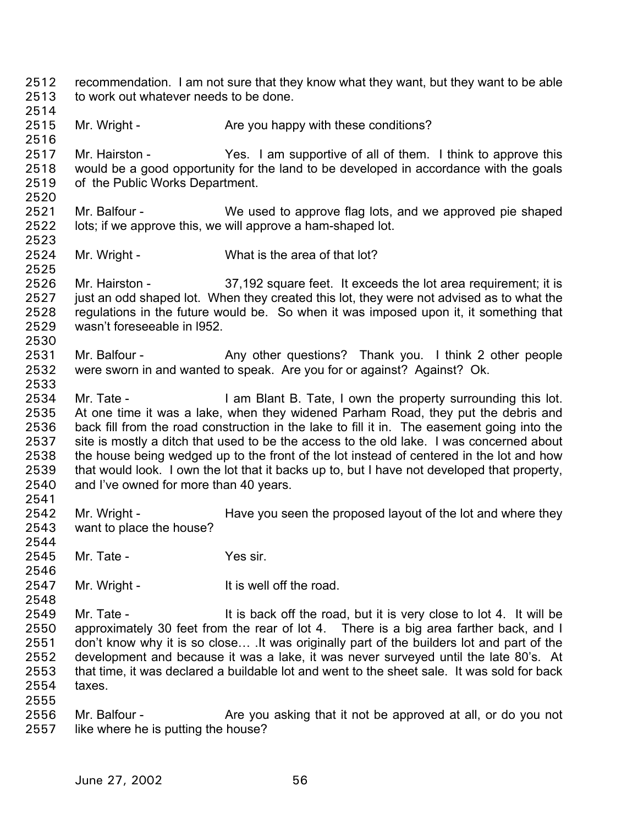- recommendation. I am not sure that they know what they want, but they want to be able to work out whatever needs to be done. 2512 2513 2514
- 2515 Mr. Wright - Are you happy with these conditions?
- 2517 2518 2519 Mr. Hairston - Yes. I am supportive of all of them. I think to approve this would be a good opportunity for the land to be developed in accordance with the goals of the Public Works Department.
- 2521 2522 2523 Mr. Balfour - We used to approve flag lots, and we approved pie shaped lots; if we approve this, we will approve a ham-shaped lot.
- 2524 Mr. Wright - What is the area of that lot?
- 2526 2527 2528 2529 2530 Mr. Hairston - 37,192 square feet. It exceeds the lot area requirement; it is just an odd shaped lot. When they created this lot, they were not advised as to what the regulations in the future would be. So when it was imposed upon it, it something that wasn't foreseeable in l952.
- 2531 2532 2533 Mr. Balfour - Any other questions? Thank you. I think 2 other people were sworn in and wanted to speak. Are you for or against? Against? Ok.
- 2534 2535 2536 2537 2538 2539 2540 2541 Mr. Tate - I am Blant B. Tate, I own the property surrounding this lot. At one time it was a lake, when they widened Parham Road, they put the debris and back fill from the road construction in the lake to fill it in. The easement going into the site is mostly a ditch that used to be the access to the old lake. I was concerned about the house being wedged up to the front of the lot instead of centered in the lot and how that would look. I own the lot that it backs up to, but I have not developed that property, and I've owned for more than 40 years.
- 2542 2543 Mr. Wright - Have you seen the proposed layout of the lot and where they want to place the house?
- 2544 2545

2546

2548

2555

2516

2520

2525

- Mr. Tate Yes sir.
- 2547 Mr. Wright - The Muslim State of the road.
- 2549 2550 2551 2552 2553 2554 Mr. Tate - It is back off the road, but it is very close to lot 4. It will be approximately 30 feet from the rear of lot 4. There is a big area farther back, and I don't know why it is so close… .It was originally part of the builders lot and part of the development and because it was a lake, it was never surveyed until the late 80's. At that time, it was declared a buildable lot and went to the sheet sale. It was sold for back taxes.
- 2556 2557 Mr. Balfour - Are you asking that it not be approved at all, or do you not like where he is putting the house?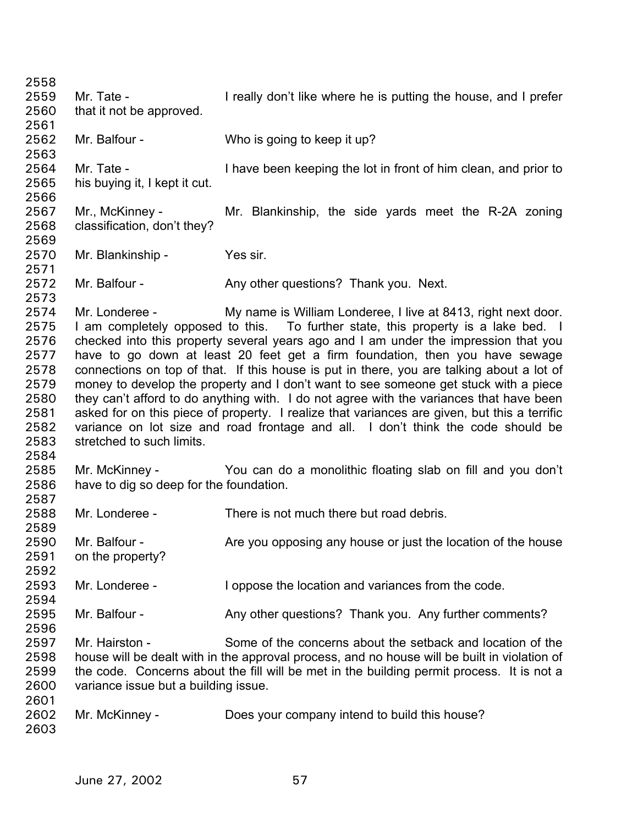2558 2559 2560 2561 2562 2563 2564 2565 2566 2567 2568 2569 2570 2571 2572 2573 2574 2575 2576 2577 2578 2579 2580 2581 2582 2583 2584 2585 2586 2587 2588 2589 2590 2591 2592 2593 2594 2595 2596 2597 2598 2599 2600 2601 2602 2603 Mr. Tate - I really don't like where he is putting the house, and I prefer that it not be approved. Mr. Balfour - Who is going to keep it up? Mr. Tate - I have been keeping the lot in front of him clean, and prior to his buying it, I kept it cut. Mr., McKinney - Mr. Blankinship, the side yards meet the R-2A zoning classification, don't they? Mr. Blankinship - Yes sir. Mr. Balfour - Any other questions? Thank you. Next. Mr. Londeree - My name is William Londeree, I live at 8413, right next door. I am completely opposed to this. To further state, this property is a lake bed. I checked into this property several years ago and I am under the impression that you have to go down at least 20 feet get a firm foundation, then you have sewage connections on top of that. If this house is put in there, you are talking about a lot of money to develop the property and I don't want to see someone get stuck with a piece they can't afford to do anything with. I do not agree with the variances that have been asked for on this piece of property. I realize that variances are given, but this a terrific variance on lot size and road frontage and all. I don't think the code should be stretched to such limits. Mr. McKinney - You can do a monolithic floating slab on fill and you don't have to dig so deep for the foundation. Mr. Londeree - There is not much there but road debris. Mr. Balfour - Are you opposing any house or just the location of the house on the property? Mr. Londeree - I oppose the location and variances from the code. Mr. Balfour - Any other questions? Thank you. Any further comments? Mr. Hairston - Some of the concerns about the setback and location of the house will be dealt with in the approval process, and no house will be built in violation of the code. Concerns about the fill will be met in the building permit process. It is not a variance issue but a building issue. Mr. McKinney - Does your company intend to build this house?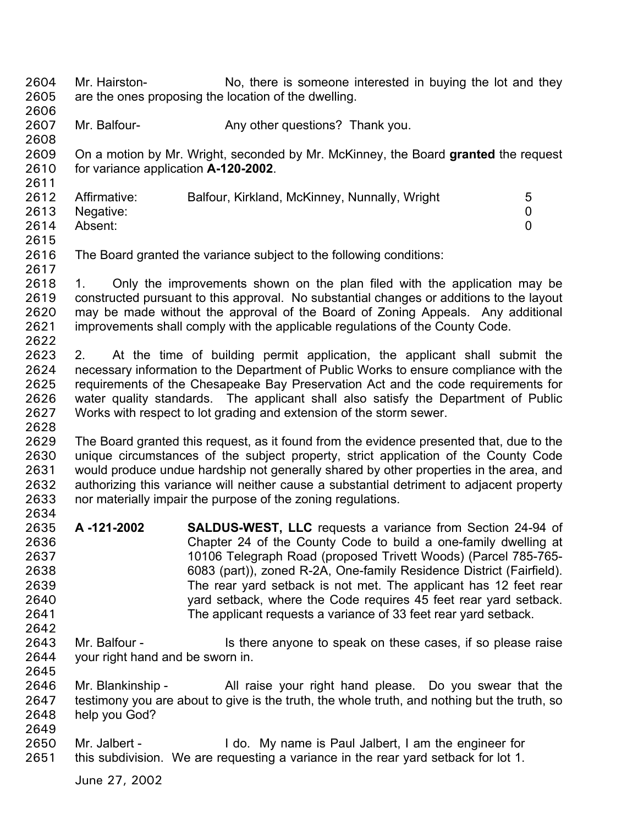Mr. Hairston- No, there is someone interested in buying the lot and they are the ones proposing the location of the dwelling. 2604 2605

2607 Mr. Balfour- **Any other questions?** Thank you.

2609 2610 On a motion by Mr. Wright, seconded by Mr. McKinney, the Board **granted** the request for variance application **A-120-2002**.

| 2612 | Affirmative:   | Balfour, Kirkland, McKinney, Nunnally, Wright | 5 |
|------|----------------|-----------------------------------------------|---|
|      | 2613 Negative: |                                               |   |
| 2614 | Absent:        |                                               |   |
|      |                |                                               |   |

2615

2642

2606

2608

2611

2616 2617 The Board granted the variance subject to the following conditions:

2618 2619 2620 2621 2622 1. Only the improvements shown on the plan filed with the application may be constructed pursuant to this approval. No substantial changes or additions to the layout may be made without the approval of the Board of Zoning Appeals. Any additional improvements shall comply with the applicable regulations of the County Code.

2623 2624 2625 2626 2627 2628 2. At the time of building permit application, the applicant shall submit the necessary information to the Department of Public Works to ensure compliance with the requirements of the Chesapeake Bay Preservation Act and the code requirements for water quality standards. The applicant shall also satisfy the Department of Public Works with respect to lot grading and extension of the storm sewer.

2629 2630 2631 2632 2633 2634 The Board granted this request, as it found from the evidence presented that, due to the unique circumstances of the subject property, strict application of the County Code would produce undue hardship not generally shared by other properties in the area, and authorizing this variance will neither cause a substantial detriment to adjacent property nor materially impair the purpose of the zoning regulations.

- 2635 2636 2637 2638 2639 2640 2641 **A -121-2002 SALDUS-WEST, LLC** requests a variance from Section 24-94 of Chapter 24 of the County Code to build a one-family dwelling at 10106 Telegraph Road (proposed Trivett Woods) (Parcel 785-765- 6083 (part)), zoned R-2A, One-family Residence District (Fairfield). The rear yard setback is not met. The applicant has 12 feet rear yard setback, where the Code requires 45 feet rear yard setback. The applicant requests a variance of 33 feet rear yard setback.
- 2643 2644 2645 Mr. Balfour - Is there anyone to speak on these cases, if so please raise your right hand and be sworn in.
- 2646 2647 2648 2649 Mr. Blankinship - All raise your right hand please. Do you swear that the testimony you are about to give is the truth, the whole truth, and nothing but the truth, so help you God?
- 2650 2651 Mr. Jalbert - The My name is Paul Jalbert, I am the engineer for this subdivision. We are requesting a variance in the rear yard setback for lot 1.